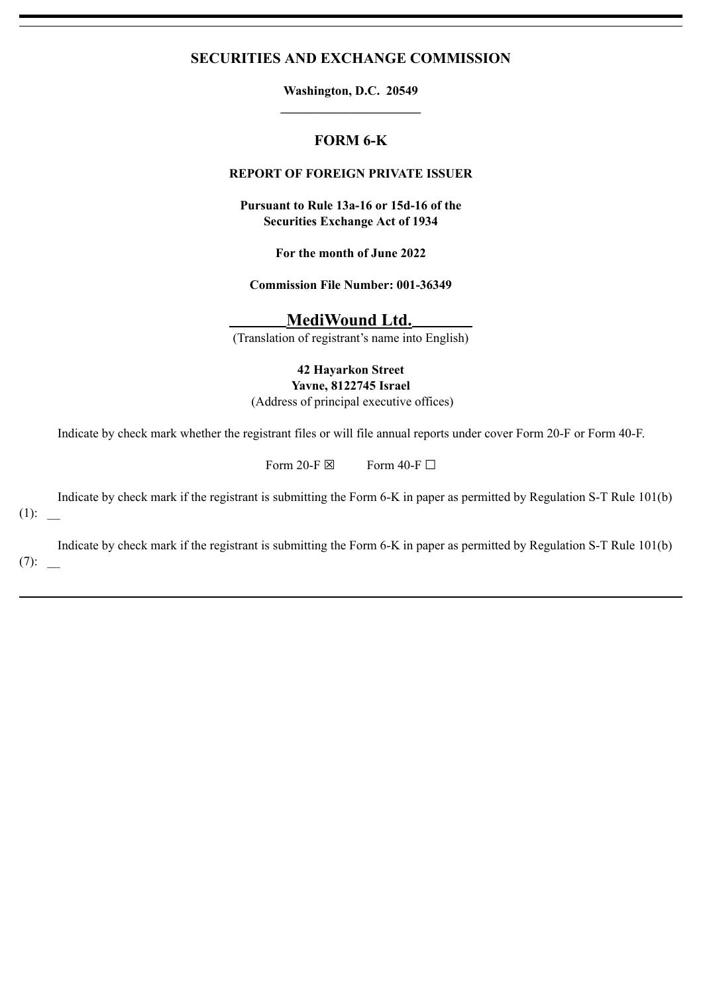# **SECURITIES AND EXCHANGE COMMISSION**

**Washington, D.C. 20549 \_\_\_\_\_\_\_\_\_\_\_\_\_\_\_\_\_\_\_\_\_\_**

# **FORM 6-K**

# **REPORT OF FOREIGN PRIVATE ISSUER**

**Pursuant to Rule 13a-16 or 15d-16 of the Securities Exchange Act of 1934**

**For the month of June 2022**

**Commission File Number: 001-36349**

**MediWound Ltd.**

(Translation of registrant's name into English)

**42 Hayarkon Street Yavne, 8122745 Israel**

(Address of principal executive offices)

Indicate by check mark whether the registrant files or will file annual reports under cover Form 20-F or Form 40-F.

Form 20-F  $\boxtimes$  Form 40-F  $\Box$ 

Indicate by check mark if the registrant is submitting the Form 6-K in paper as permitted by Regulation S-T Rule 101(b)  $(1)$ :

Indicate by check mark if the registrant is submitting the Form 6-K in paper as permitted by Regulation S-T Rule 101(b)  $(7)$ :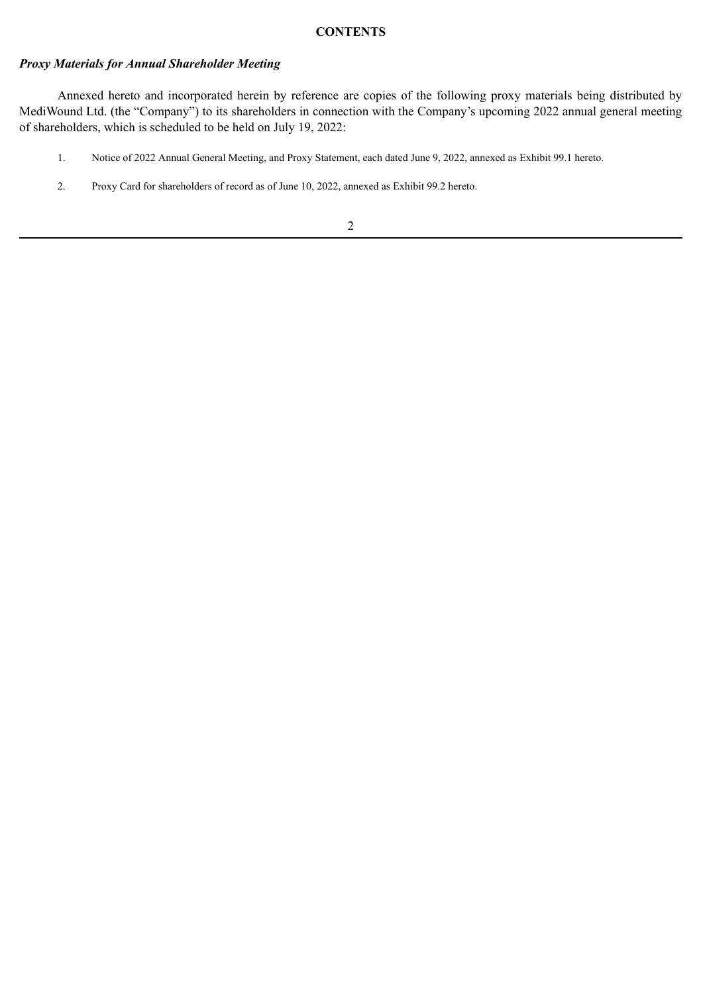#### **CONTENTS**

## *Proxy Materials for Annual Shareholder Meeting*

Annexed hereto and incorporated herein by reference are copies of the following proxy materials being distributed by MediWound Ltd. (the "Company") to its shareholders in connection with the Company's upcoming 2022 annual general meeting of shareholders, which is scheduled to be held on July 19, 2022:

- 1. Notice of 2022 Annual General Meeting, and Proxy Statement, each dated June 9, 2022, annexed as Exhibit 99.1 hereto.
- 2. Proxy Card for shareholders of record as of June 10, 2022, annexed as Exhibit 99.2 hereto.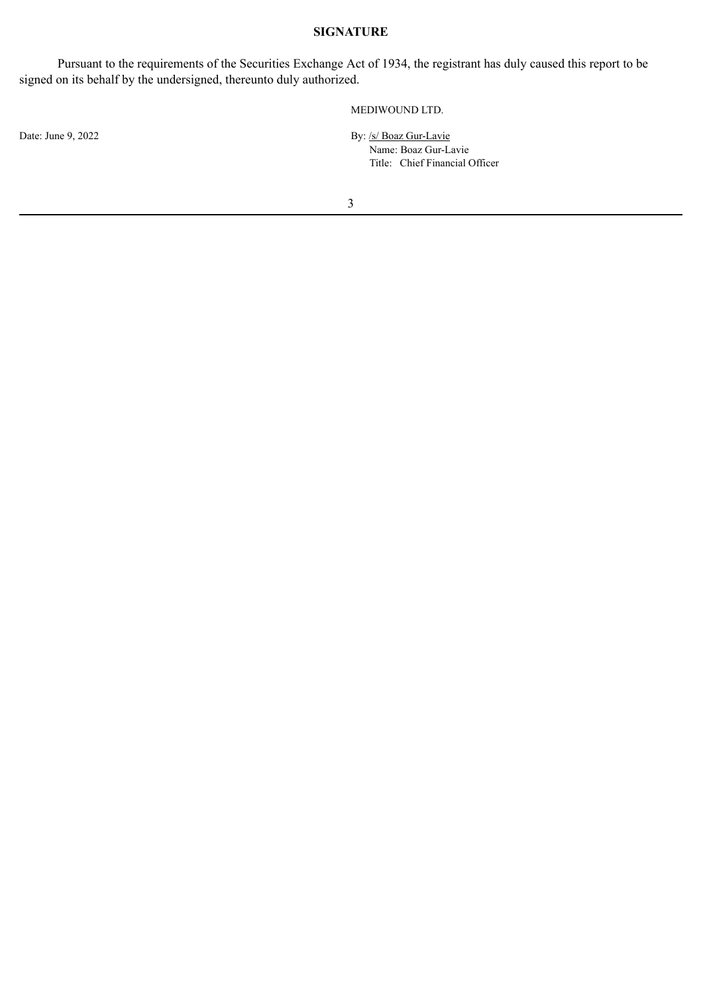# **SIGNATURE**

Pursuant to the requirements of the Securities Exchange Act of 1934, the registrant has duly caused this report to be signed on its behalf by the undersigned, thereunto duly authorized.

Date: June 9, 2022

### MEDIWOUND LTD.

By: /s/ Boaz Gur-Lavie Name: Boaz Gur-Lavie Title: Chief Financial Officer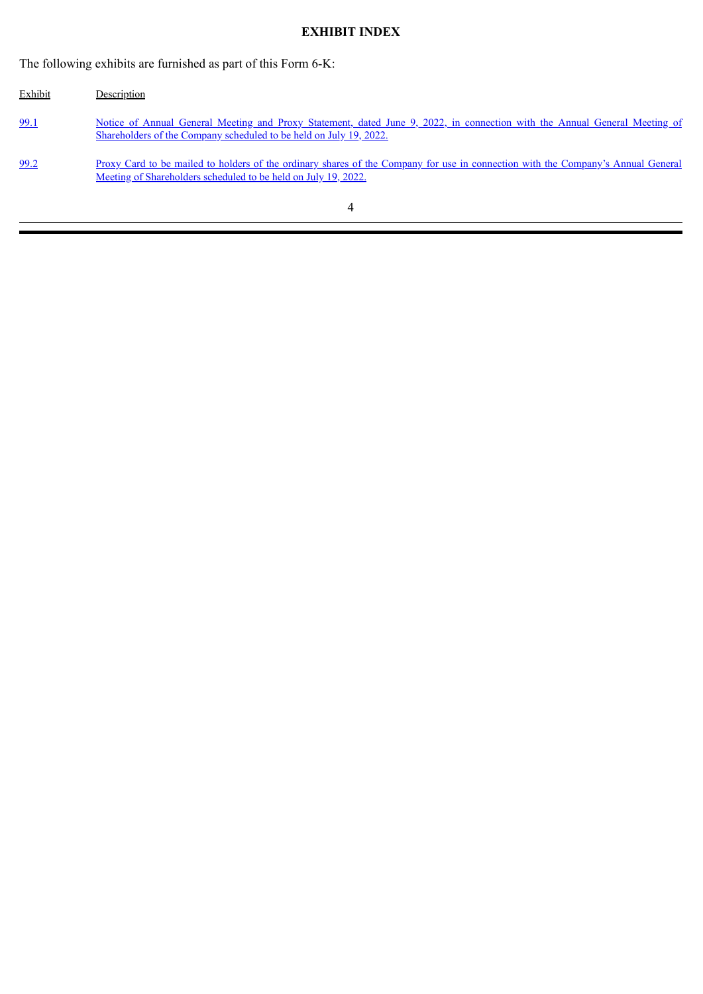# **EXHIBIT INDEX**

The following exhibits are furnished as part of this Form 6-K:

| Exhibit | Description                                                                                                                                                                                        |
|---------|----------------------------------------------------------------------------------------------------------------------------------------------------------------------------------------------------|
| 99.1    | Notice of Annual General Meeting and Proxy Statement, dated June 9, 2022, in connection with the Annual General Meeting of<br>Shareholders of the Company scheduled to be held on July 19, 2022.   |
| 99.2    | Proxy Card to be mailed to holders of the ordinary shares of the Company for use in connection with the Company's Annual General<br>Meeting of Shareholders scheduled to be held on July 19, 2022. |
|         |                                                                                                                                                                                                    |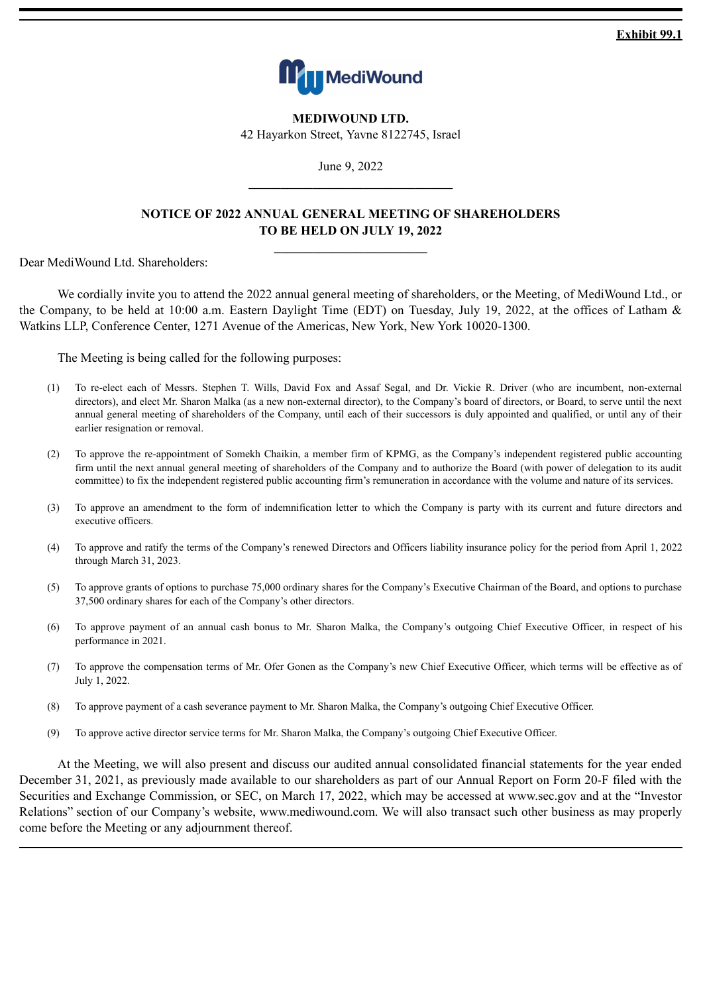**Exhibit 99.1**



**MEDIWOUND LTD.** 42 Hayarkon Street, Yavne 8122745, Israel

June 9, 2022 **\_\_\_\_\_\_\_\_\_\_\_\_\_\_\_\_\_\_\_\_\_\_\_\_\_\_\_\_\_\_\_\_**

# <span id="page-4-0"></span>**NOTICE OF 2022 ANNUAL GENERAL MEETING OF SHAREHOLDERS TO BE HELD ON JULY 19, 2022**

**\_\_\_\_\_\_\_\_\_\_\_\_\_\_\_\_\_\_\_\_\_\_\_\_**

Dear MediWound Ltd. Shareholders:

We cordially invite you to attend the 2022 annual general meeting of shareholders, or the Meeting, of MediWound Ltd., or the Company, to be held at 10:00 a.m. Eastern Daylight Time (EDT) on Tuesday, July 19, 2022, at the offices of Latham & Watkins LLP, Conference Center, 1271 Avenue of the Americas, New York, New York 10020-1300.

The Meeting is being called for the following purposes:

- (1) To re-elect each of Messrs. Stephen T. Wills, David Fox and Assaf Segal, and Dr. Vickie R. Driver (who are incumbent, non-external directors), and elect Mr. Sharon Malka (as a new non-external director), to the Company's board of directors, or Board, to serve until the next annual general meeting of shareholders of the Company, until each of their successors is duly appointed and qualified, or until any of their earlier resignation or removal.
- (2) To approve the re-appointment of Somekh Chaikin, a member firm of KPMG, as the Company's independent registered public accounting firm until the next annual general meeting of shareholders of the Company and to authorize the Board (with power of delegation to its audit committee) to fix the independent registered public accounting firm's remuneration in accordance with the volume and nature of its services.
- (3) To approve an amendment to the form of indemnification letter to which the Company is party with its current and future directors and executive officers.
- (4) To approve and ratify the terms of the Company's renewed Directors and Officers liability insurance policy for the period from April 1, 2022 through March 31, 2023.
- (5) To approve grants of options to purchase 75,000 ordinary shares for the Company's Executive Chairman of the Board, and options to purchase 37,500 ordinary shares for each of the Company's other directors.
- (6) To approve payment of an annual cash bonus to Mr. Sharon Malka, the Company's outgoing Chief Executive Officer, in respect of his performance in 2021.
- (7) To approve the compensation terms of Mr. Ofer Gonen as the Company's new Chief Executive Officer, which terms will be effective as of July 1, 2022.
- (8) To approve payment of a cash severance payment to Mr. Sharon Malka, the Company's outgoing Chief Executive Officer.
- (9) To approve active director service terms for Mr. Sharon Malka, the Company's outgoing Chief Executive Officer.

At the Meeting, we will also present and discuss our audited annual consolidated financial statements for the year ended December 31, 2021, as previously made available to our shareholders as part of our Annual Report on Form 20-F filed with the Securities and Exchange Commission, or SEC, on March 17, 2022, which may be accessed at www.sec.gov and at the "Investor Relations" section of our Company's website, www.mediwound.com. We will also transact such other business as may properly come before the Meeting or any adjournment thereof.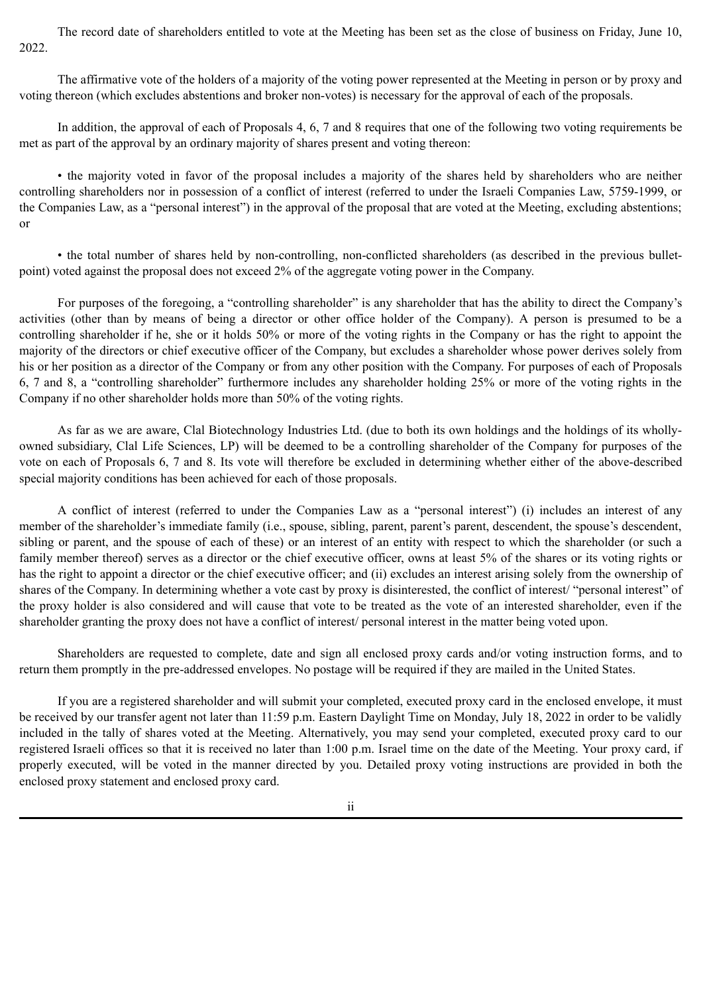The record date of shareholders entitled to vote at the Meeting has been set as the close of business on Friday, June 10, 2022.

The affirmative vote of the holders of a majority of the voting power represented at the Meeting in person or by proxy and voting thereon (which excludes abstentions and broker non-votes) is necessary for the approval of each of the proposals.

In addition, the approval of each of Proposals 4, 6, 7 and 8 requires that one of the following two voting requirements be met as part of the approval by an ordinary majority of shares present and voting thereon:

• the majority voted in favor of the proposal includes a majority of the shares held by shareholders who are neither controlling shareholders nor in possession of a conflict of interest (referred to under the Israeli Companies Law, 5759-1999, or the Companies Law, as a "personal interest") in the approval of the proposal that are voted at the Meeting, excluding abstentions; or

• the total number of shares held by non-controlling, non-conflicted shareholders (as described in the previous bulletpoint) voted against the proposal does not exceed 2% of the aggregate voting power in the Company.

For purposes of the foregoing, a "controlling shareholder" is any shareholder that has the ability to direct the Company's activities (other than by means of being a director or other office holder of the Company). A person is presumed to be a controlling shareholder if he, she or it holds 50% or more of the voting rights in the Company or has the right to appoint the majority of the directors or chief executive officer of the Company, but excludes a shareholder whose power derives solely from his or her position as a director of the Company or from any other position with the Company. For purposes of each of Proposals 6, 7 and 8, a "controlling shareholder" furthermore includes any shareholder holding 25% or more of the voting rights in the Company if no other shareholder holds more than 50% of the voting rights.

As far as we are aware, Clal Biotechnology Industries Ltd. (due to both its own holdings and the holdings of its whollyowned subsidiary, Clal Life Sciences, LP) will be deemed to be a controlling shareholder of the Company for purposes of the vote on each of Proposals 6, 7 and 8. Its vote will therefore be excluded in determining whether either of the above-described special majority conditions has been achieved for each of those proposals.

A conflict of interest (referred to under the Companies Law as a "personal interest") (i) includes an interest of any member of the shareholder's immediate family (i.e., spouse, sibling, parent, parent's parent, descendent, the spouse's descendent, sibling or parent, and the spouse of each of these) or an interest of an entity with respect to which the shareholder (or such a family member thereof) serves as a director or the chief executive officer, owns at least 5% of the shares or its voting rights or has the right to appoint a director or the chief executive officer; and (ii) excludes an interest arising solely from the ownership of shares of the Company. In determining whether a vote cast by proxy is disinterested, the conflict of interest/ "personal interest" of the proxy holder is also considered and will cause that vote to be treated as the vote of an interested shareholder, even if the shareholder granting the proxy does not have a conflict of interest/ personal interest in the matter being voted upon.

Shareholders are requested to complete, date and sign all enclosed proxy cards and/or voting instruction forms, and to return them promptly in the pre-addressed envelopes. No postage will be required if they are mailed in the United States.

If you are a registered shareholder and will submit your completed, executed proxy card in the enclosed envelope, it must be received by our transfer agent not later than 11:59 p.m. Eastern Daylight Time on Monday, July 18, 2022 in order to be validly included in the tally of shares voted at the Meeting. Alternatively, you may send your completed, executed proxy card to our registered Israeli offices so that it is received no later than 1:00 p.m. Israel time on the date of the Meeting. Your proxy card, if properly executed, will be voted in the manner directed by you. Detailed proxy voting instructions are provided in both the enclosed proxy statement and enclosed proxy card.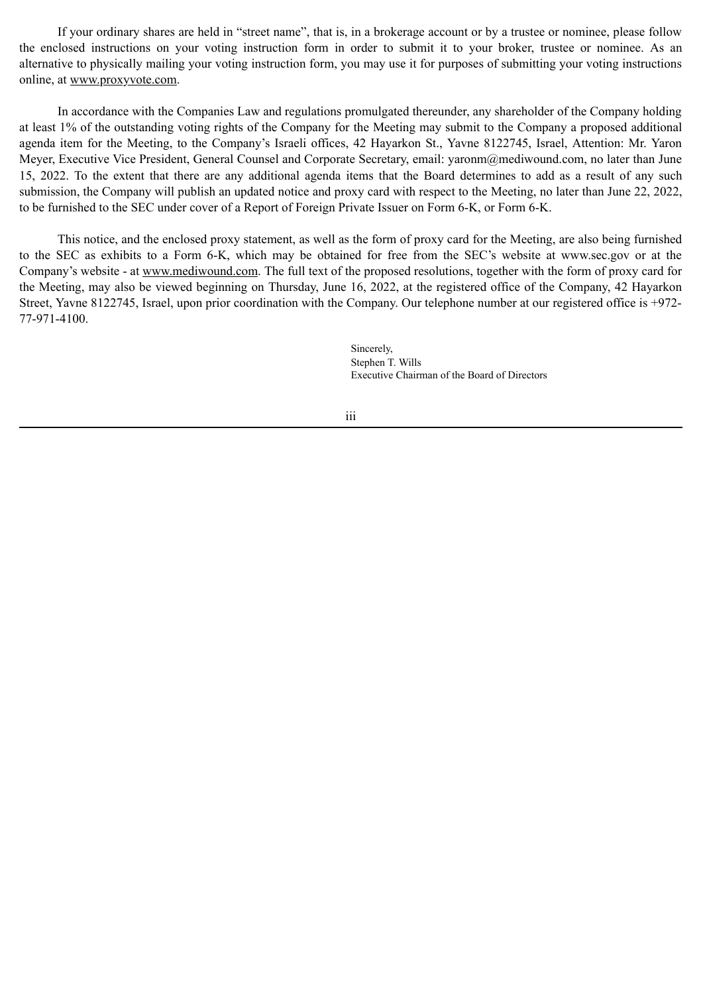If your ordinary shares are held in "street name", that is, in a brokerage account or by a trustee or nominee, please follow the enclosed instructions on your voting instruction form in order to submit it to your broker, trustee or nominee. As an alternative to physically mailing your voting instruction form, you may use it for purposes of submitting your voting instructions online, at www.proxyvote.com.

In accordance with the Companies Law and regulations promulgated thereunder, any shareholder of the Company holding at least 1% of the outstanding voting rights of the Company for the Meeting may submit to the Company a proposed additional agenda item for the Meeting, to the Company's Israeli offices, 42 Hayarkon St., Yavne 8122745, Israel, Attention: Mr. Yaron Meyer, Executive Vice President, General Counsel and Corporate Secretary, email: yaronm@mediwound.com, no later than June 15, 2022. To the extent that there are any additional agenda items that the Board determines to add as a result of any such submission, the Company will publish an updated notice and proxy card with respect to the Meeting, no later than June 22, 2022, to be furnished to the SEC under cover of a Report of Foreign Private Issuer on Form 6-K, or Form 6-K.

This notice, and the enclosed proxy statement, as well as the form of proxy card for the Meeting, are also being furnished to the SEC as exhibits to a Form 6-K, which may be obtained for free from the SEC's website at www.sec.gov or at the Company's website - at www.mediwound.com. The full text of the proposed resolutions, together with the form of proxy card for the Meeting, may also be viewed beginning on Thursday, June 16, 2022, at the registered office of the Company, 42 Hayarkon Street, Yavne 8122745, Israel, upon prior coordination with the Company. Our telephone number at our registered office is +972- 77-971-4100.

> Sincerely, Stephen T. Wills Executive Chairman of the Board of Directors

iii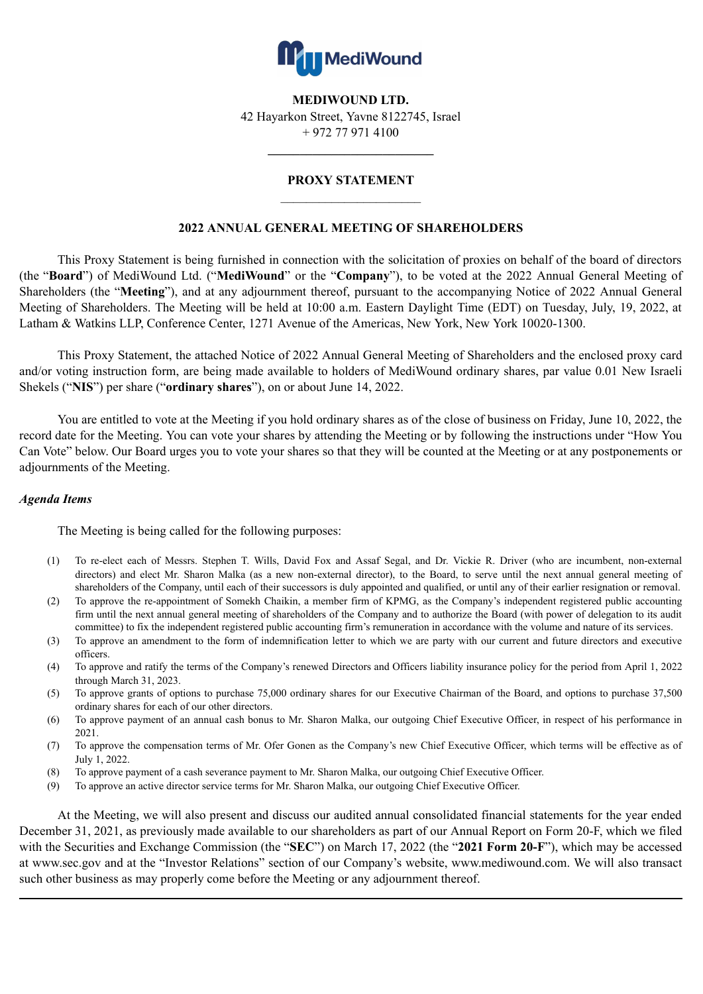

**MEDIWOUND LTD.**

42 Hayarkon Street, Yavne 8122745, Israel + 972 77 971 4100

**\_\_\_\_\_\_\_\_\_\_\_\_\_\_\_\_\_\_\_\_\_\_\_\_\_\_**

# **PROXY STATEMENT**  $\mathcal{L}_\text{max}$  and  $\mathcal{L}_\text{max}$  and  $\mathcal{L}_\text{max}$

# **2022 ANNUAL GENERAL MEETING OF SHAREHOLDERS**

This Proxy Statement is being furnished in connection with the solicitation of proxies on behalf of the board of directors (the "**Board**") of MediWound Ltd. ("**MediWound**" or the "**Company**"), to be voted at the 2022 Annual General Meeting of Shareholders (the "**Meeting**"), and at any adjournment thereof, pursuant to the accompanying Notice of 2022 Annual General Meeting of Shareholders. The Meeting will be held at 10:00 a.m. Eastern Daylight Time (EDT) on Tuesday, July, 19, 2022, at Latham & Watkins LLP, Conference Center, 1271 Avenue of the Americas, New York, New York 10020-1300.

This Proxy Statement, the attached Notice of 2022 Annual General Meeting of Shareholders and the enclosed proxy card and/or voting instruction form, are being made available to holders of MediWound ordinary shares, par value 0.01 New Israeli Shekels ("**NIS**") per share ("**ordinary shares**"), on or about June 14, 2022.

You are entitled to vote at the Meeting if you hold ordinary shares as of the close of business on Friday, June 10, 2022, the record date for the Meeting. You can vote your shares by attending the Meeting or by following the instructions under "How You Can Vote" below. Our Board urges you to vote your shares so that they will be counted at the Meeting or at any postponements or adjournments of the Meeting.

## *Agenda Items*

The Meeting is being called for the following purposes:

- (1) To re-elect each of Messrs. Stephen T. Wills, David Fox and Assaf Segal, and Dr. Vickie R. Driver (who are incumbent, non-external directors) and elect Mr. Sharon Malka (as a new non-external director), to the Board, to serve until the next annual general meeting of shareholders of the Company, until each of their successors is duly appointed and qualified, or until any of their earlier resignation or removal.
- (2) To approve the re-appointment of Somekh Chaikin, a member firm of KPMG, as the Company's independent registered public accounting firm until the next annual general meeting of shareholders of the Company and to authorize the Board (with power of delegation to its audit committee) to fix the independent registered public accounting firm's remuneration in accordance with the volume and nature of its services.
- (3) To approve an amendment to the form of indemnification letter to which we are party with our current and future directors and executive officers.
- (4) To approve and ratify the terms of the Company's renewed Directors and Officers liability insurance policy for the period from April 1, 2022 through March 31, 2023.
- (5) To approve grants of options to purchase 75,000 ordinary shares for our Executive Chairman of the Board, and options to purchase 37,500 ordinary shares for each of our other directors.
- (6) To approve payment of an annual cash bonus to Mr. Sharon Malka, our outgoing Chief Executive Officer, in respect of his performance in 2021
- (7) To approve the compensation terms of Mr. Ofer Gonen as the Company's new Chief Executive Officer, which terms will be effective as of July 1, 2022.
- (8) To approve payment of a cash severance payment to Mr. Sharon Malka, our outgoing Chief Executive Officer.
- (9) To approve an active director service terms for Mr. Sharon Malka, our outgoing Chief Executive Officer.

At the Meeting, we will also present and discuss our audited annual consolidated financial statements for the year ended December 31, 2021, as previously made available to our shareholders as part of our Annual Report on Form 20-F, which we filed with the Securities and Exchange Commission (the "**SEC**") on March 17, 2022 (the "**2021 Form 20-F**"), which may be accessed at www.sec.gov and at the "Investor Relations" section of our Company's website, www.mediwound.com. We will also transact such other business as may properly come before the Meeting or any adjournment thereof.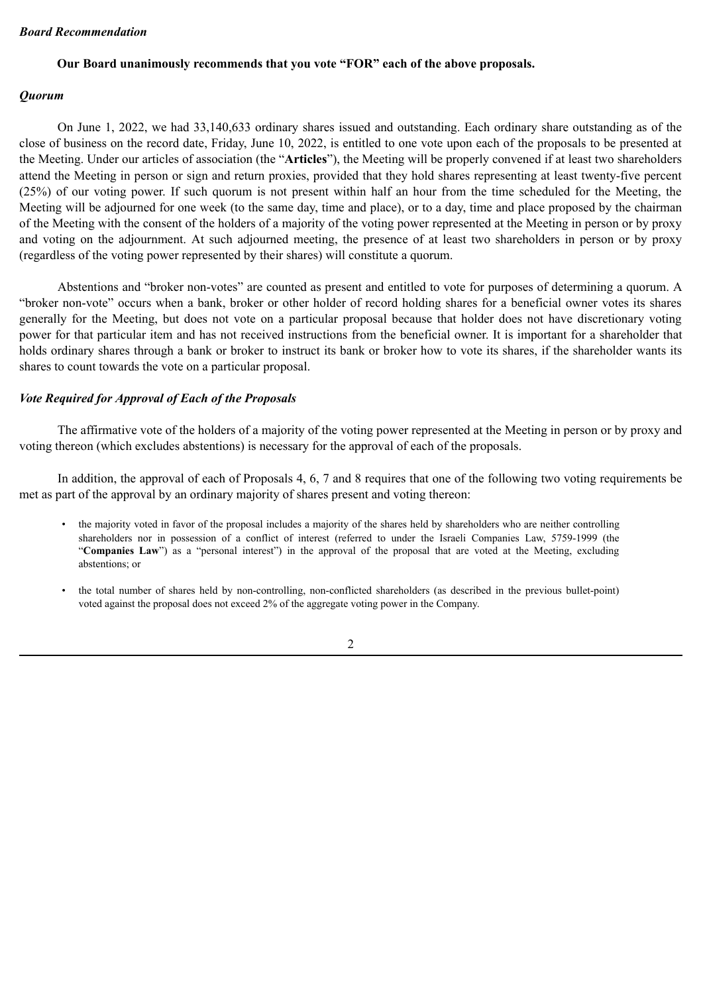# *Board Recommendation*

# **Our Board unanimously recommends that you vote "FOR" each of the above proposals.**

# *Quorum*

On June 1, 2022, we had 33,140,633 ordinary shares issued and outstanding. Each ordinary share outstanding as of the close of business on the record date, Friday, June 10, 2022, is entitled to one vote upon each of the proposals to be presented at the Meeting. Under our articles of association (the "**Articles**"), the Meeting will be properly convened if at least two shareholders attend the Meeting in person or sign and return proxies, provided that they hold shares representing at least twenty-five percent (25%) of our voting power. If such quorum is not present within half an hour from the time scheduled for the Meeting, the Meeting will be adjourned for one week (to the same day, time and place), or to a day, time and place proposed by the chairman of the Meeting with the consent of the holders of a majority of the voting power represented at the Meeting in person or by proxy and voting on the adjournment. At such adjourned meeting, the presence of at least two shareholders in person or by proxy (regardless of the voting power represented by their shares) will constitute a quorum.

Abstentions and "broker non-votes" are counted as present and entitled to vote for purposes of determining a quorum. A "broker non-vote" occurs when a bank, broker or other holder of record holding shares for a beneficial owner votes its shares generally for the Meeting, but does not vote on a particular proposal because that holder does not have discretionary voting power for that particular item and has not received instructions from the beneficial owner. It is important for a shareholder that holds ordinary shares through a bank or broker to instruct its bank or broker how to vote its shares, if the shareholder wants its shares to count towards the vote on a particular proposal.

# *Vote Required for Approval of Each of the Proposals*

The affirmative vote of the holders of a majority of the voting power represented at the Meeting in person or by proxy and voting thereon (which excludes abstentions) is necessary for the approval of each of the proposals.

In addition, the approval of each of Proposals 4, 6, 7 and 8 requires that one of the following two voting requirements be met as part of the approval by an ordinary majority of shares present and voting thereon:

- the majority voted in favor of the proposal includes a majority of the shares held by shareholders who are neither controlling shareholders nor in possession of a conflict of interest (referred to under the Israeli Companies Law, 5759-1999 (the "**Companies Law**") as a "personal interest") in the approval of the proposal that are voted at the Meeting, excluding abstentions; or
- the total number of shares held by non-controlling, non-conflicted shareholders (as described in the previous bullet-point) voted against the proposal does not exceed 2% of the aggregate voting power in the Company.

2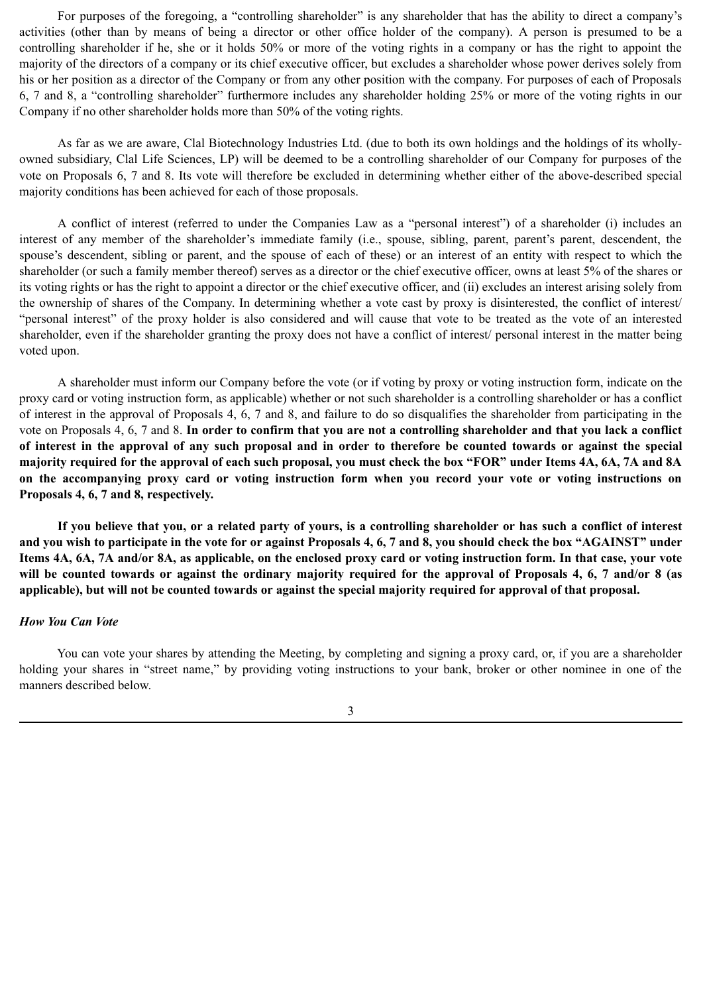For purposes of the foregoing, a "controlling shareholder" is any shareholder that has the ability to direct a company's activities (other than by means of being a director or other office holder of the company). A person is presumed to be a controlling shareholder if he, she or it holds 50% or more of the voting rights in a company or has the right to appoint the majority of the directors of a company or its chief executive officer, but excludes a shareholder whose power derives solely from his or her position as a director of the Company or from any other position with the company. For purposes of each of Proposals 6, 7 and 8, a "controlling shareholder" furthermore includes any shareholder holding 25% or more of the voting rights in our Company if no other shareholder holds more than 50% of the voting rights.

As far as we are aware, Clal Biotechnology Industries Ltd. (due to both its own holdings and the holdings of its whollyowned subsidiary, Clal Life Sciences, LP) will be deemed to be a controlling shareholder of our Company for purposes of the vote on Proposals 6, 7 and 8. Its vote will therefore be excluded in determining whether either of the above-described special majority conditions has been achieved for each of those proposals.

A conflict of interest (referred to under the Companies Law as a "personal interest") of a shareholder (i) includes an interest of any member of the shareholder's immediate family (i.e., spouse, sibling, parent, parent's parent, descendent, the spouse's descendent, sibling or parent, and the spouse of each of these) or an interest of an entity with respect to which the shareholder (or such a family member thereof) serves as a director or the chief executive officer, owns at least 5% of the shares or its voting rights or has the right to appoint a director or the chief executive officer, and (ii) excludes an interest arising solely from the ownership of shares of the Company. In determining whether a vote cast by proxy is disinterested, the conflict of interest/ "personal interest" of the proxy holder is also considered and will cause that vote to be treated as the vote of an interested shareholder, even if the shareholder granting the proxy does not have a conflict of interest/ personal interest in the matter being voted upon.

A shareholder must inform our Company before the vote (or if voting by proxy or voting instruction form, indicate on the proxy card or voting instruction form, as applicable) whether or not such shareholder is a controlling shareholder or has a conflict of interest in the approval of Proposals 4, 6, 7 and 8, and failure to do so disqualifies the shareholder from participating in the vote on Proposals 4, 6, 7 and 8. **In order to confirm that you are not a controlling shareholder and that you lack a conflict of interest in the approval of any such proposal and in order to therefore be counted towards or against the special majority required for the approval of each such proposal, you must check the box "FOR" under Items 4A, 6A, 7A and 8A on the accompanying proxy card or voting instruction form when you record your vote or voting instructions on Proposals 4, 6, 7 and 8, respectively.**

**If you believe that you, or a related party of yours, is a controlling shareholder or has such a conflict of interest and you wish to participate in the vote for or against Proposals 4, 6, 7 and 8, you should check the box "AGAINST" under Items 4A, 6A, 7A and/or 8A, as applicable, on the enclosed proxy card or voting instruction form. In that case, your vote will be counted towards or against the ordinary majority required for the approval of Proposals 4, 6, 7 and/or 8 (as applicable), but will not be counted towards or against the special majority required for approval of that proposal.**

#### *How You Can Vote*

You can vote your shares by attending the Meeting, by completing and signing a proxy card, or, if you are a shareholder holding your shares in "street name," by providing voting instructions to your bank, broker or other nominee in one of the manners described below.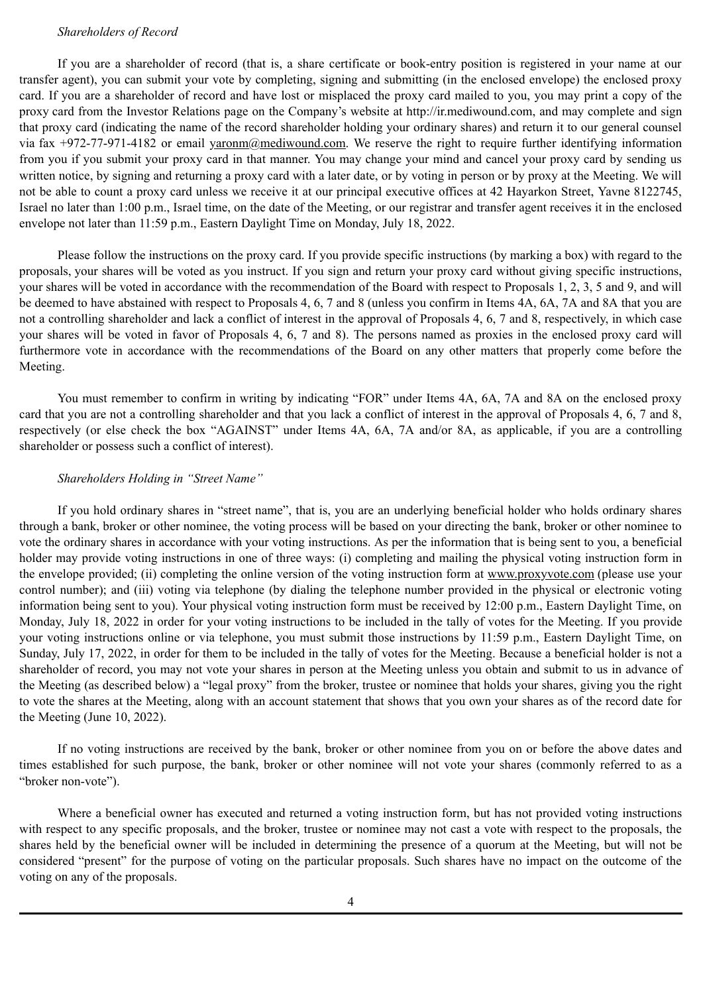#### *Shareholders of Record*

If you are a shareholder of record (that is, a share certificate or book-entry position is registered in your name at our transfer agent), you can submit your vote by completing, signing and submitting (in the enclosed envelope) the enclosed proxy card. If you are a shareholder of record and have lost or misplaced the proxy card mailed to you, you may print a copy of the proxy card from the Investor Relations page on the Company's website at http://ir.mediwound.com, and may complete and sign that proxy card (indicating the name of the record shareholder holding your ordinary shares) and return it to our general counsel via fax  $+972-77-971-4182$  or email yaronm@mediwound.com. We reserve the right to require further identifying information from you if you submit your proxy card in that manner. You may change your mind and cancel your proxy card by sending us written notice, by signing and returning a proxy card with a later date, or by voting in person or by proxy at the Meeting. We will not be able to count a proxy card unless we receive it at our principal executive offices at 42 Hayarkon Street, Yavne 8122745, Israel no later than 1:00 p.m., Israel time, on the date of the Meeting, or our registrar and transfer agent receives it in the enclosed envelope not later than 11:59 p.m., Eastern Daylight Time on Monday, July 18, 2022.

Please follow the instructions on the proxy card. If you provide specific instructions (by marking a box) with regard to the proposals, your shares will be voted as you instruct. If you sign and return your proxy card without giving specific instructions, your shares will be voted in accordance with the recommendation of the Board with respect to Proposals 1, 2, 3, 5 and 9, and will be deemed to have abstained with respect to Proposals 4, 6, 7 and 8 (unless you confirm in Items 4A, 6A, 7A and 8A that you are not a controlling shareholder and lack a conflict of interest in the approval of Proposals 4, 6, 7 and 8, respectively, in which case your shares will be voted in favor of Proposals 4, 6, 7 and 8). The persons named as proxies in the enclosed proxy card will furthermore vote in accordance with the recommendations of the Board on any other matters that properly come before the Meeting.

You must remember to confirm in writing by indicating "FOR" under Items 4A, 6A, 7A and 8A on the enclosed proxy card that you are not a controlling shareholder and that you lack a conflict of interest in the approval of Proposals 4, 6, 7 and 8, respectively (or else check the box "AGAINST" under Items 4A, 6A, 7A and/or 8A, as applicable, if you are a controlling shareholder or possess such a conflict of interest).

#### *Shareholders Holding in "Street Name"*

If you hold ordinary shares in "street name", that is, you are an underlying beneficial holder who holds ordinary shares through a bank, broker or other nominee, the voting process will be based on your directing the bank, broker or other nominee to vote the ordinary shares in accordance with your voting instructions. As per the information that is being sent to you, a beneficial holder may provide voting instructions in one of three ways: (i) completing and mailing the physical voting instruction form in the envelope provided; (ii) completing the online version of the voting instruction form at www.proxyvote.com (please use your control number); and (iii) voting via telephone (by dialing the telephone number provided in the physical or electronic voting information being sent to you). Your physical voting instruction form must be received by 12:00 p.m., Eastern Daylight Time, on Monday, July 18, 2022 in order for your voting instructions to be included in the tally of votes for the Meeting. If you provide your voting instructions online or via telephone, you must submit those instructions by 11:59 p.m., Eastern Daylight Time, on Sunday, July 17, 2022, in order for them to be included in the tally of votes for the Meeting. Because a beneficial holder is not a shareholder of record, you may not vote your shares in person at the Meeting unless you obtain and submit to us in advance of the Meeting (as described below) a "legal proxy" from the broker, trustee or nominee that holds your shares, giving you the right to vote the shares at the Meeting, along with an account statement that shows that you own your shares as of the record date for the Meeting (June 10, 2022).

If no voting instructions are received by the bank, broker or other nominee from you on or before the above dates and times established for such purpose, the bank, broker or other nominee will not vote your shares (commonly referred to as a "broker non-vote").

Where a beneficial owner has executed and returned a voting instruction form, but has not provided voting instructions with respect to any specific proposals, and the broker, trustee or nominee may not cast a vote with respect to the proposals, the shares held by the beneficial owner will be included in determining the presence of a quorum at the Meeting, but will not be considered "present" for the purpose of voting on the particular proposals. Such shares have no impact on the outcome of the voting on any of the proposals.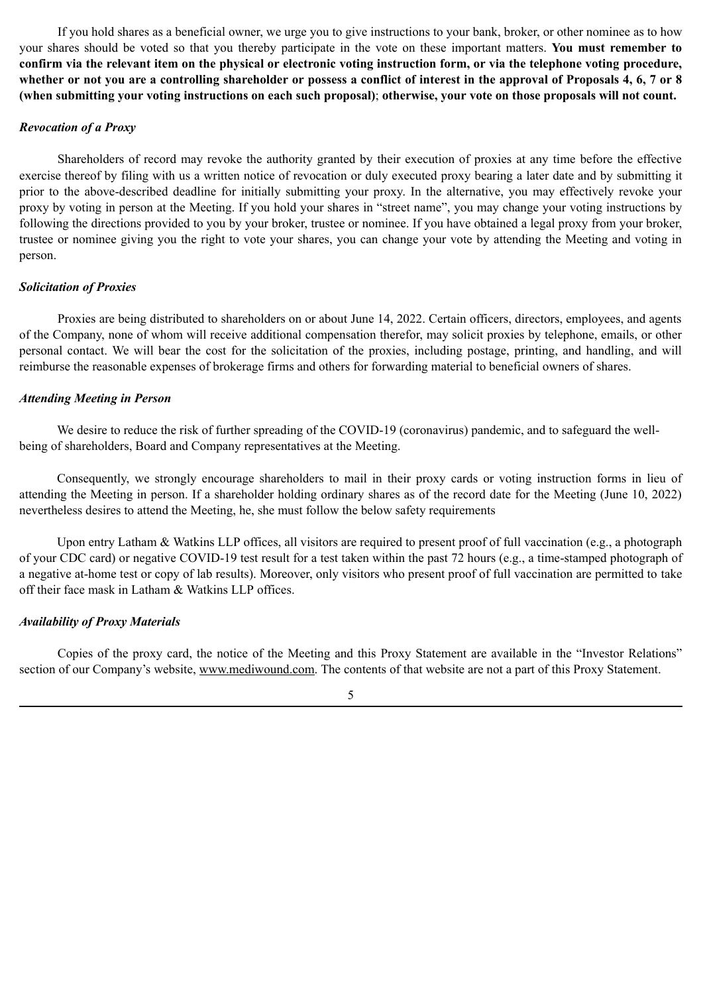If you hold shares as a beneficial owner, we urge you to give instructions to your bank, broker, or other nominee as to how your shares should be voted so that you thereby participate in the vote on these important matters. **You must remember to confirm via the relevant item on the physical or electronic voting instruction form, or via the telephone voting procedure, whether or not you are a controlling shareholder or possess a conflict of interest in the approval of Proposals 4, 6, 7 or 8 (when submitting your voting instructions on each such proposal)**; **otherwise, your vote on those proposals will not count.**

#### *Revocation of a Proxy*

Shareholders of record may revoke the authority granted by their execution of proxies at any time before the effective exercise thereof by filing with us a written notice of revocation or duly executed proxy bearing a later date and by submitting it prior to the above-described deadline for initially submitting your proxy. In the alternative, you may effectively revoke your proxy by voting in person at the Meeting. If you hold your shares in "street name", you may change your voting instructions by following the directions provided to you by your broker, trustee or nominee. If you have obtained a legal proxy from your broker, trustee or nominee giving you the right to vote your shares, you can change your vote by attending the Meeting and voting in person.

# *Solicitation of Proxies*

Proxies are being distributed to shareholders on or about June 14, 2022. Certain officers, directors, employees, and agents of the Company, none of whom will receive additional compensation therefor, may solicit proxies by telephone, emails, or other personal contact. We will bear the cost for the solicitation of the proxies, including postage, printing, and handling, and will reimburse the reasonable expenses of brokerage firms and others for forwarding material to beneficial owners of shares.

### *Attending Meeting in Person*

We desire to reduce the risk of further spreading of the COVID-19 (coronavirus) pandemic, and to safeguard the wellbeing of shareholders, Board and Company representatives at the Meeting.

Consequently, we strongly encourage shareholders to mail in their proxy cards or voting instruction forms in lieu of attending the Meeting in person. If a shareholder holding ordinary shares as of the record date for the Meeting (June 10, 2022) nevertheless desires to attend the Meeting, he, she must follow the below safety requirements

Upon entry Latham & Watkins LLP offices, all visitors are required to present proof of full vaccination (e.g., a photograph of your CDC card) or negative COVID-19 test result for a test taken within the past 72 hours (e.g., a time-stamped photograph of a negative at-home test or copy of lab results). Moreover, only visitors who present proof of full vaccination are permitted to take off their face mask in Latham & Watkins LLP offices.

# *Availability of Proxy Materials*

Copies of the proxy card, the notice of the Meeting and this Proxy Statement are available in the "Investor Relations" section of our Company's website, www.mediwound.com. The contents of that website are not a part of this Proxy Statement.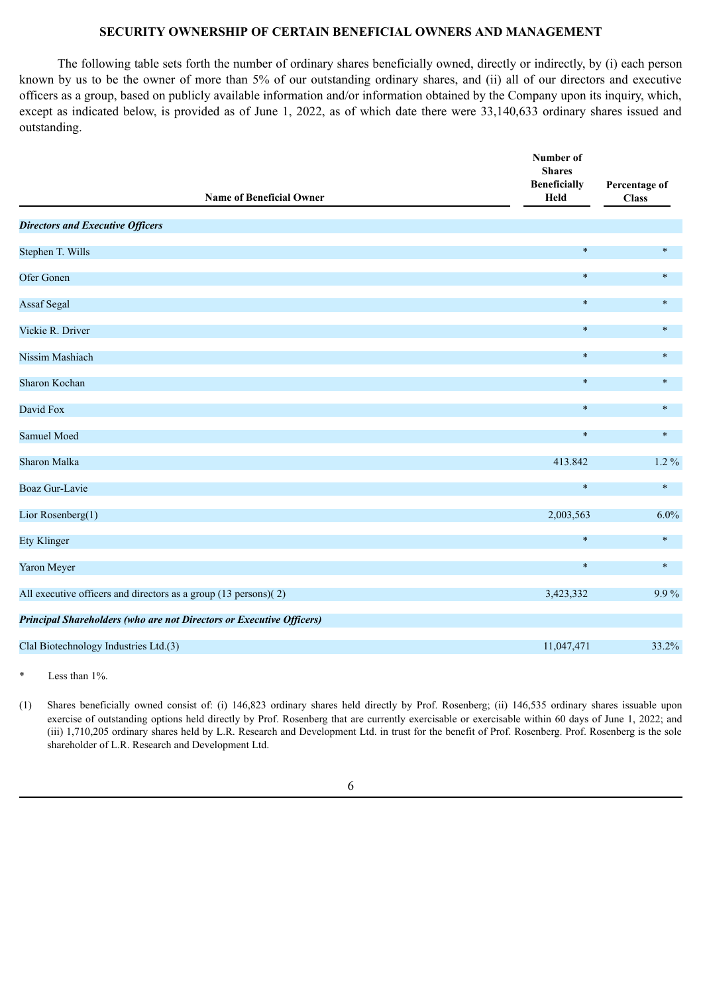# **SECURITY OWNERSHIP OF CERTAIN BENEFICIAL OWNERS AND MANAGEMENT**

The following table sets forth the number of ordinary shares beneficially owned, directly or indirectly, by (i) each person known by us to be the owner of more than 5% of our outstanding ordinary shares, and (ii) all of our directors and executive officers as a group, based on publicly available information and/or information obtained by the Company upon its inquiry, which, except as indicated below, is provided as of June 1, 2022, as of which date there were 33,140,633 ordinary shares issued and outstanding.

|                                                                             | Number of<br><b>Shares</b><br><b>Beneficially</b> | Percentage of |
|-----------------------------------------------------------------------------|---------------------------------------------------|---------------|
| <b>Name of Beneficial Owner</b>                                             | Held                                              | <b>Class</b>  |
| <b>Directors and Executive Officers</b>                                     |                                                   |               |
| Stephen T. Wills                                                            | $\ast$                                            | $\ast$        |
| Ofer Gonen                                                                  | $\ast$                                            | $\ast$        |
| <b>Assaf Segal</b>                                                          | $\ast$                                            | $\ast$        |
| Vickie R. Driver                                                            | $\ast$                                            | $\ast$        |
| Nissim Mashiach                                                             | $\ast$                                            | $\ast$        |
| Sharon Kochan                                                               | $\ast$                                            | $\ast$        |
| David Fox                                                                   | $\ast$                                            | $\ast$        |
| Samuel Moed                                                                 | $\ast$                                            | $\ast$        |
| Sharon Malka                                                                | 413.842                                           | $1.2\%$       |
| <b>Boaz Gur-Lavie</b>                                                       | $\ast$                                            | $\ast$        |
| Lior Rosenberg(1)                                                           | 2,003,563                                         | 6.0%          |
| <b>Ety Klinger</b>                                                          | $\ast$                                            | $\ast$        |
| Yaron Meyer                                                                 | $\ast$                                            | $\ast$        |
| All executive officers and directors as a group (13 persons)(2)             | 3,423,332                                         | 9.9%          |
| <b>Principal Shareholders (who are not Directors or Executive Officers)</b> |                                                   |               |
| Clal Biotechnology Industries Ltd.(3)                                       | 11,047,471                                        | 33.2%         |
|                                                                             |                                                   |               |

Less than  $1\%$ .

(1) Shares beneficially owned consist of: (i) 146,823 ordinary shares held directly by Prof. Rosenberg; (ii) 146,535 ordinary shares issuable upon exercise of outstanding options held directly by Prof. Rosenberg that are currently exercisable or exercisable within 60 days of June 1, 2022; and (iii) 1,710,205 ordinary shares held by L.R. Research and Development Ltd. in trust for the benefit of Prof. Rosenberg. Prof. Rosenberg is the sole shareholder of L.R. Research and Development Ltd.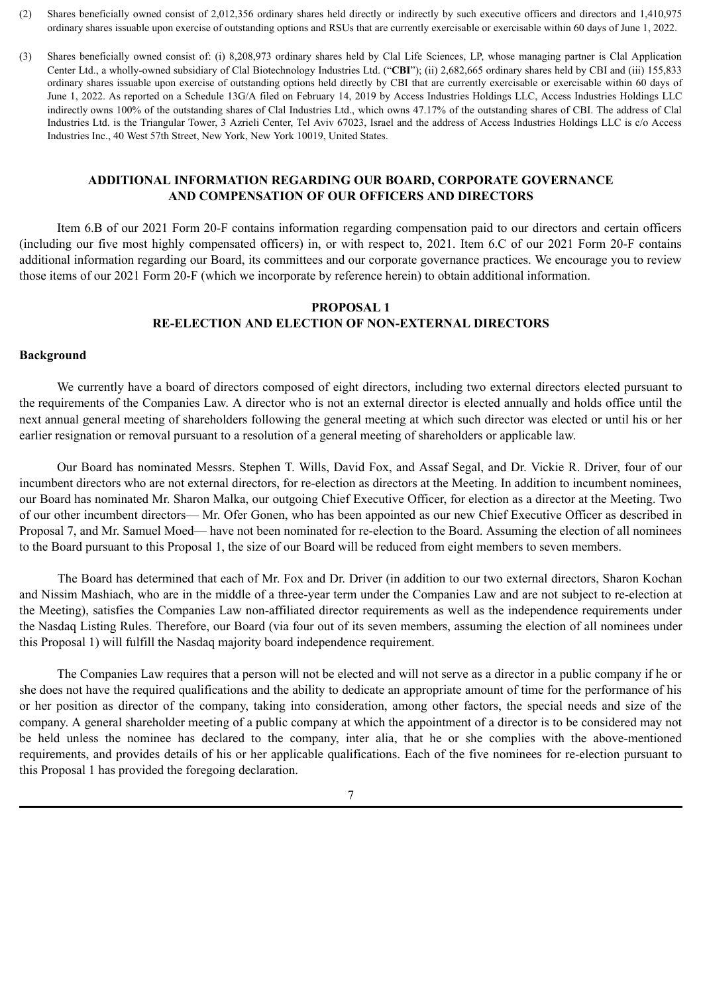- (2) Shares beneficially owned consist of 2,012,356 ordinary shares held directly or indirectly by such executive officers and directors and 1,410,975 ordinary shares issuable upon exercise of outstanding options and RSUs that are currently exercisable or exercisable within 60 days of June 1, 2022.
- (3) Shares beneficially owned consist of: (i) 8,208,973 ordinary shares held by Clal Life Sciences, LP, whose managing partner is Clal Application Center Ltd., a wholly-owned subsidiary of Clal Biotechnology Industries Ltd. ("**CBI**"); (ii) 2,682,665 ordinary shares held by CBI and (iii) 155,833 ordinary shares issuable upon exercise of outstanding options held directly by CBI that are currently exercisable or exercisable within 60 days of June 1, 2022. As reported on a Schedule 13G/A filed on February 14, 2019 by Access Industries Holdings LLC, Access Industries Holdings LLC indirectly owns 100% of the outstanding shares of Clal Industries Ltd., which owns 47.17% of the outstanding shares of CBI. The address of Clal Industries Ltd. is the Triangular Tower, 3 Azrieli Center, Tel Aviv 67023, Israel and the address of Access Industries Holdings LLC is c/o Access Industries Inc., 40 West 57th Street, New York, New York 10019, United States.

# **ADDITIONAL INFORMATION REGARDING OUR BOARD, CORPORATE GOVERNANCE AND COMPENSATION OF OUR OFFICERS AND DIRECTORS**

Item 6.B of our 2021 Form 20-F contains information regarding compensation paid to our directors and certain officers (including our five most highly compensated officers) in, or with respect to, 2021. Item 6.C of our 2021 Form 20-F contains additional information regarding our Board, its committees and our corporate governance practices. We encourage you to review those items of our 2021 Form 20-F (which we incorporate by reference herein) to obtain additional information.

# **PROPOSAL 1 RE-ELECTION AND ELECTION OF NON-EXTERNAL DIRECTORS**

# **Background**

We currently have a board of directors composed of eight directors, including two external directors elected pursuant to the requirements of the Companies Law. A director who is not an external director is elected annually and holds office until the next annual general meeting of shareholders following the general meeting at which such director was elected or until his or her earlier resignation or removal pursuant to a resolution of a general meeting of shareholders or applicable law.

Our Board has nominated Messrs. Stephen T. Wills, David Fox, and Assaf Segal, and Dr. Vickie R. Driver, four of our incumbent directors who are not external directors, for re-election as directors at the Meeting. In addition to incumbent nominees, our Board has nominated Mr. Sharon Malka, our outgoing Chief Executive Officer, for election as a director at the Meeting. Two of our other incumbent directors— Mr. Ofer Gonen, who has been appointed as our new Chief Executive Officer as described in Proposal 7, and Mr. Samuel Moed— have not been nominated for re-election to the Board. Assuming the election of all nominees to the Board pursuant to this Proposal 1, the size of our Board will be reduced from eight members to seven members.

The Board has determined that each of Mr. Fox and Dr. Driver (in addition to our two external directors, Sharon Kochan and Nissim Mashiach, who are in the middle of a three-year term under the Companies Law and are not subject to re-election at the Meeting), satisfies the Companies Law non-affiliated director requirements as well as the independence requirements under the Nasdaq Listing Rules. Therefore, our Board (via four out of its seven members, assuming the election of all nominees under this Proposal 1) will fulfill the Nasdaq majority board independence requirement.

The Companies Law requires that a person will not be elected and will not serve as a director in a public company if he or she does not have the required qualifications and the ability to dedicate an appropriate amount of time for the performance of his or her position as director of the company, taking into consideration, among other factors, the special needs and size of the company. A general shareholder meeting of a public company at which the appointment of a director is to be considered may not be held unless the nominee has declared to the company, inter alia, that he or she complies with the above-mentioned requirements, and provides details of his or her applicable qualifications. Each of the five nominees for re-election pursuant to this Proposal 1 has provided the foregoing declaration.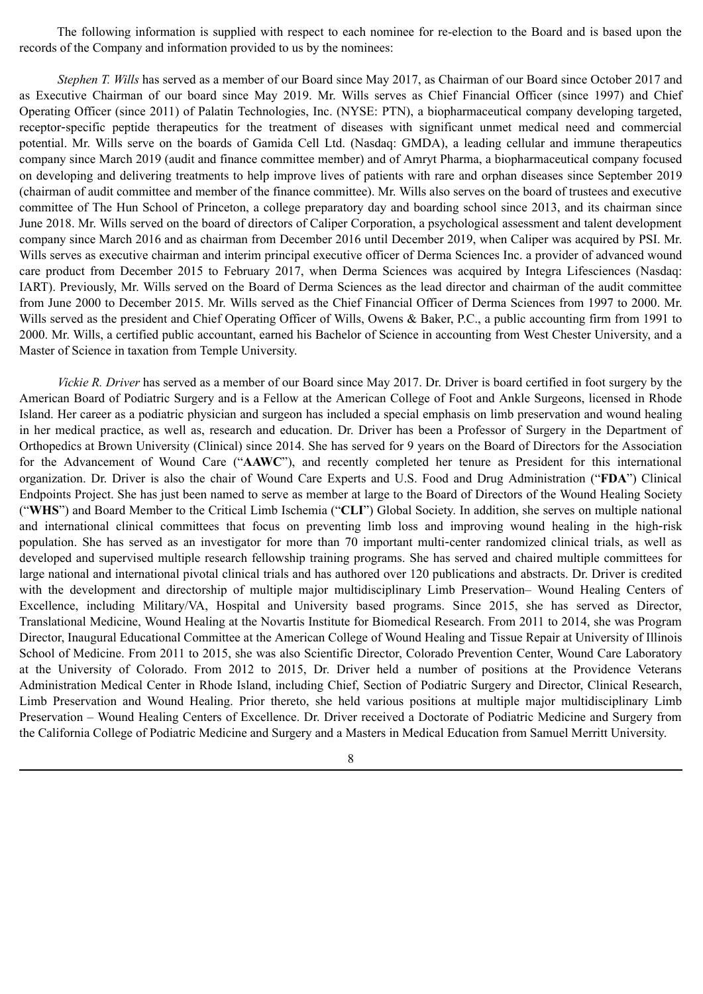The following information is supplied with respect to each nominee for re-election to the Board and is based upon the records of the Company and information provided to us by the nominees:

*Stephen T. Wills* has served as a member of our Board since May 2017, as Chairman of our Board since October 2017 and as Executive Chairman of our board since May 2019. Mr. Wills serves as Chief Financial Officer (since 1997) and Chief Operating Officer (since 2011) of Palatin Technologies, Inc. (NYSE: PTN), a biopharmaceutical company developing targeted, receptor‑specific peptide therapeutics for the treatment of diseases with significant unmet medical need and commercial potential. Mr. Wills serve on the boards of Gamida Cell Ltd. (Nasdaq: GMDA), a leading cellular and immune therapeutics company since March 2019 (audit and finance committee member) and of Amryt Pharma, a biopharmaceutical company focused on developing and delivering treatments to help improve lives of patients with rare and orphan diseases since September 2019 (chairman of audit committee and member of the finance committee). Mr. Wills also serves on the board of trustees and executive committee of The Hun School of Princeton, a college preparatory day and boarding school since 2013, and its chairman since June 2018. Mr. Wills served on the board of directors of Caliper Corporation, a psychological assessment and talent development company since March 2016 and as chairman from December 2016 until December 2019, when Caliper was acquired by PSI. Mr. Wills serves as executive chairman and interim principal executive officer of Derma Sciences Inc. a provider of advanced wound care product from December 2015 to February 2017, when Derma Sciences was acquired by Integra Lifesciences (Nasdaq: IART). Previously, Mr. Wills served on the Board of Derma Sciences as the lead director and chairman of the audit committee from June 2000 to December 2015. Mr. Wills served as the Chief Financial Officer of Derma Sciences from 1997 to 2000. Mr. Wills served as the president and Chief Operating Officer of Wills, Owens & Baker, P.C., a public accounting firm from 1991 to 2000. Mr. Wills, a certified public accountant, earned his Bachelor of Science in accounting from West Chester University, and a Master of Science in taxation from Temple University.

*Vickie R. Driver* has served as a member of our Board since May 2017. Dr. Driver is board certified in foot surgery by the American Board of Podiatric Surgery and is a Fellow at the American College of Foot and Ankle Surgeons, licensed in Rhode Island. Her career as a podiatric physician and surgeon has included a special emphasis on limb preservation and wound healing in her medical practice, as well as, research and education. Dr. Driver has been a Professor of Surgery in the Department of Orthopedics at Brown University (Clinical) since 2014. She has served for 9 years on the Board of Directors for the Association for the Advancement of Wound Care ("**AAWC**"), and recently completed her tenure as President for this international organization. Dr. Driver is also the chair of Wound Care Experts and U.S. Food and Drug Administration ("**FDA**") Clinical Endpoints Project. She has just been named to serve as member at large to the Board of Directors of the Wound Healing Society ("**WHS**") and Board Member to the Critical Limb Ischemia ("**CLI**") Global Society. In addition, she serves on multiple national and international clinical committees that focus on preventing limb loss and improving wound healing in the high-risk population. She has served as an investigator for more than 70 important multi‑center randomized clinical trials, as well as developed and supervised multiple research fellowship training programs. She has served and chaired multiple committees for large national and international pivotal clinical trials and has authored over 120 publications and abstracts. Dr. Driver is credited with the development and directorship of multiple major multidisciplinary Limb Preservation– Wound Healing Centers of Excellence, including Military/VA, Hospital and University based programs. Since 2015, she has served as Director, Translational Medicine, Wound Healing at the Novartis Institute for Biomedical Research. From 2011 to 2014, she was Program Director, Inaugural Educational Committee at the American College of Wound Healing and Tissue Repair at University of Illinois School of Medicine. From 2011 to 2015, she was also Scientific Director, Colorado Prevention Center, Wound Care Laboratory at the University of Colorado. From 2012 to 2015, Dr. Driver held a number of positions at the Providence Veterans Administration Medical Center in Rhode Island, including Chief, Section of Podiatric Surgery and Director, Clinical Research, Limb Preservation and Wound Healing. Prior thereto, she held various positions at multiple major multidisciplinary Limb Preservation – Wound Healing Centers of Excellence. Dr. Driver received a Doctorate of Podiatric Medicine and Surgery from the California College of Podiatric Medicine and Surgery and a Masters in Medical Education from Samuel Merritt University.

8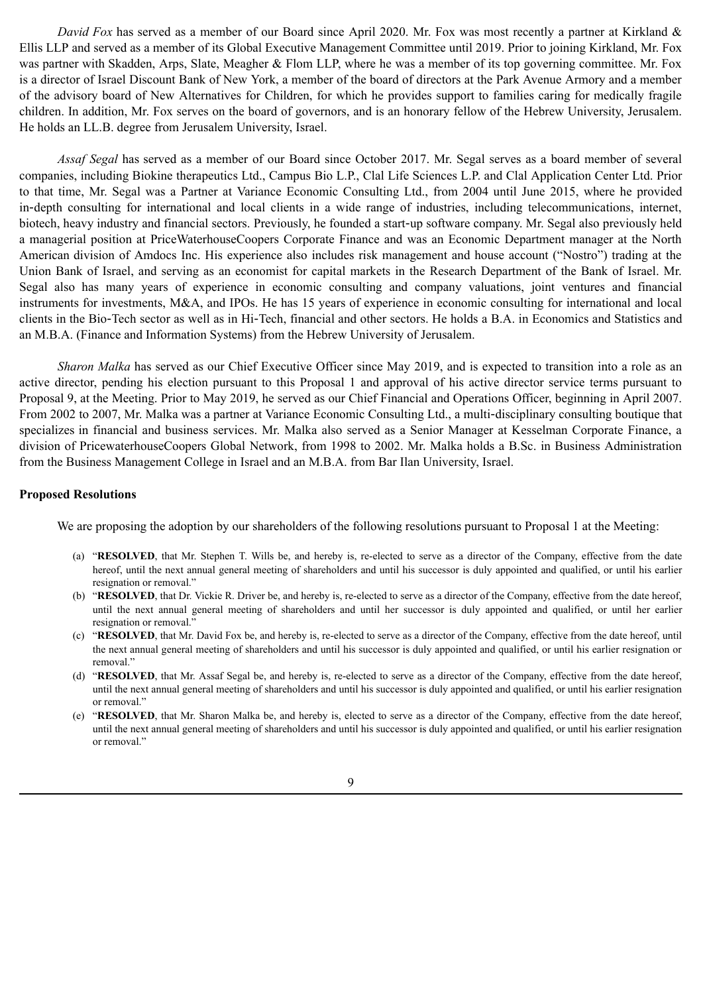*David Fox* has served as a member of our Board since April 2020. Mr. Fox was most recently a partner at Kirkland & Ellis LLP and served as a member of its Global Executive Management Committee until 2019. Prior to joining Kirkland, Mr. Fox was partner with Skadden, Arps, Slate, Meagher & Flom LLP, where he was a member of its top governing committee. Mr. Fox is a director of Israel Discount Bank of New York, a member of the board of directors at the Park Avenue Armory and a member of the advisory board of New Alternatives for Children, for which he provides support to families caring for medically fragile children. In addition, Mr. Fox serves on the board of governors, and is an honorary fellow of the Hebrew University, Jerusalem. He holds an LL.B. degree from Jerusalem University, Israel.

*Assaf Segal* has served as a member of our Board since October 2017. Mr. Segal serves as a board member of several companies, including Biokine therapeutics Ltd., Campus Bio L.P., Clal Life Sciences L.P. and Clal Application Center Ltd. Prior to that time, Mr. Segal was a Partner at Variance Economic Consulting Ltd., from 2004 until June 2015, where he provided in-depth consulting for international and local clients in a wide range of industries, including telecommunications, internet, biotech, heavy industry and financial sectors. Previously, he founded a start-up software company. Mr. Segal also previously held a managerial position at PriceWaterhouseCoopers Corporate Finance and was an Economic Department manager at the North American division of Amdocs Inc. His experience also includes risk management and house account ("Nostro") trading at the Union Bank of Israel, and serving as an economist for capital markets in the Research Department of the Bank of Israel. Mr. Segal also has many years of experience in economic consulting and company valuations, joint ventures and financial instruments for investments, M&A, and IPOs. He has 15 years of experience in economic consulting for international and local clients in the Bio‑Tech sector as well as in Hi‑Tech, financial and other sectors. He holds a B.A. in Economics and Statistics and an M.B.A. (Finance and Information Systems) from the Hebrew University of Jerusalem.

*Sharon Malka* has served as our Chief Executive Officer since May 2019, and is expected to transition into a role as an active director, pending his election pursuant to this Proposal 1 and approval of his active director service terms pursuant to Proposal 9, at the Meeting. Prior to May 2019, he served as our Chief Financial and Operations Officer, beginning in April 2007. From 2002 to 2007, Mr. Malka was a partner at Variance Economic Consulting Ltd., a multi‑disciplinary consulting boutique that specializes in financial and business services. Mr. Malka also served as a Senior Manager at Kesselman Corporate Finance, a division of PricewaterhouseCoopers Global Network, from 1998 to 2002. Mr. Malka holds a B.Sc. in Business Administration from the Business Management College in Israel and an M.B.A. from Bar Ilan University, Israel.

#### **Proposed Resolutions**

We are proposing the adoption by our shareholders of the following resolutions pursuant to Proposal 1 at the Meeting:

- (a) "**RESOLVED**, that Mr. Stephen T. Wills be, and hereby is, re-elected to serve as a director of the Company, effective from the date hereof, until the next annual general meeting of shareholders and until his successor is duly appointed and qualified, or until his earlier resignation or removal."
- (b) "**RESOLVED**, that Dr. Vickie R. Driver be, and hereby is, re-elected to serve as a director of the Company, effective from the date hereof, until the next annual general meeting of shareholders and until her successor is duly appointed and qualified, or until her earlier resignation or removal."
- (c) "**RESOLVED**, that Mr. David Fox be, and hereby is, re-elected to serve as a director of the Company, effective from the date hereof, until the next annual general meeting of shareholders and until his successor is duly appointed and qualified, or until his earlier resignation or removal."
- (d) "**RESOLVED**, that Mr. Assaf Segal be, and hereby is, re-elected to serve as a director of the Company, effective from the date hereof, until the next annual general meeting of shareholders and until his successor is duly appointed and qualified, or until his earlier resignation or removal."
- (e) "**RESOLVED**, that Mr. Sharon Malka be, and hereby is, elected to serve as a director of the Company, effective from the date hereof, until the next annual general meeting of shareholders and until his successor is duly appointed and qualified, or until his earlier resignation or removal."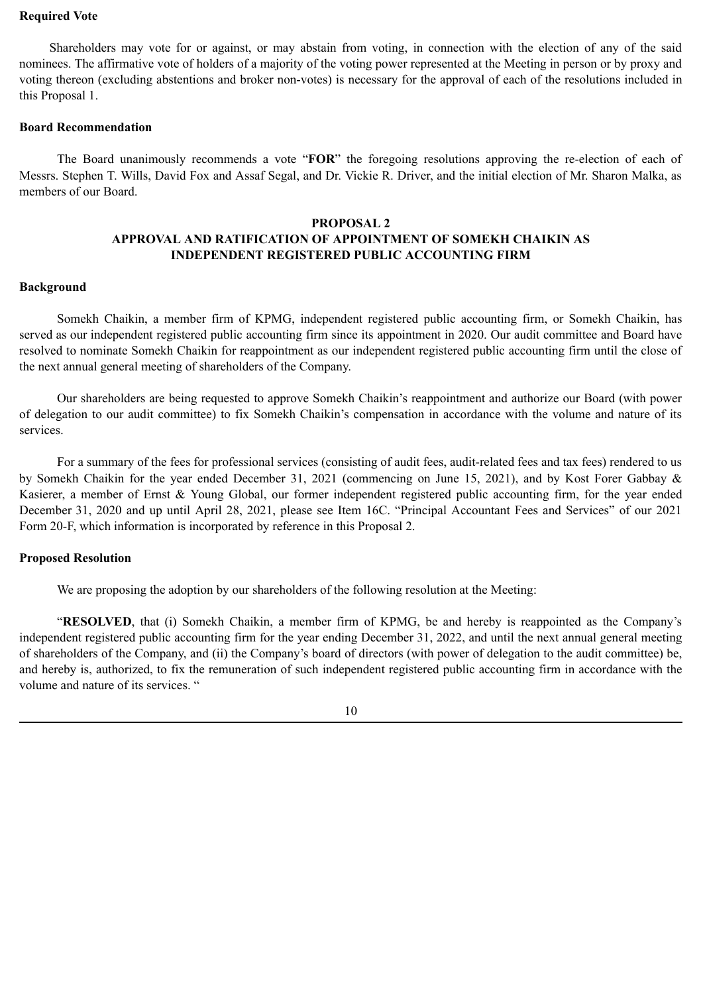#### **Required Vote**

Shareholders may vote for or against, or may abstain from voting, in connection with the election of any of the said nominees. The affirmative vote of holders of a majority of the voting power represented at the Meeting in person or by proxy and voting thereon (excluding abstentions and broker non-votes) is necessary for the approval of each of the resolutions included in this Proposal 1.

## **Board Recommendation**

The Board unanimously recommends a vote "**FOR**" the foregoing resolutions approving the re-election of each of Messrs. Stephen T. Wills, David Fox and Assaf Segal, and Dr. Vickie R. Driver, and the initial election of Mr. Sharon Malka, as members of our Board.

# **PROPOSAL 2 APPROVAL AND RATIFICATION OF APPOINTMENT OF SOMEKH CHAIKIN AS INDEPENDENT REGISTERED PUBLIC ACCOUNTING FIRM**

### **Background**

Somekh Chaikin, a member firm of KPMG, independent registered public accounting firm, or Somekh Chaikin, has served as our independent registered public accounting firm since its appointment in 2020. Our audit committee and Board have resolved to nominate Somekh Chaikin for reappointment as our independent registered public accounting firm until the close of the next annual general meeting of shareholders of the Company.

Our shareholders are being requested to approve Somekh Chaikin's reappointment and authorize our Board (with power of delegation to our audit committee) to fix Somekh Chaikin's compensation in accordance with the volume and nature of its services.

For a summary of the fees for professional services (consisting of audit fees, audit-related fees and tax fees) rendered to us by Somekh Chaikin for the year ended December 31, 2021 (commencing on June 15, 2021), and by Kost Forer Gabbay & Kasierer, a member of Ernst & Young Global, our former independent registered public accounting firm, for the year ended December 31, 2020 and up until April 28, 2021, please see Item 16C. "Principal Accountant Fees and Services" of our 2021 Form 20-F, which information is incorporated by reference in this Proposal 2.

# **Proposed Resolution**

We are proposing the adoption by our shareholders of the following resolution at the Meeting:

"**RESOLVED**, that (i) Somekh Chaikin, a member firm of KPMG, be and hereby is reappointed as the Company's independent registered public accounting firm for the year ending December 31, 2022, and until the next annual general meeting of shareholders of the Company, and (ii) the Company's board of directors (with power of delegation to the audit committee) be, and hereby is, authorized, to fix the remuneration of such independent registered public accounting firm in accordance with the volume and nature of its services. "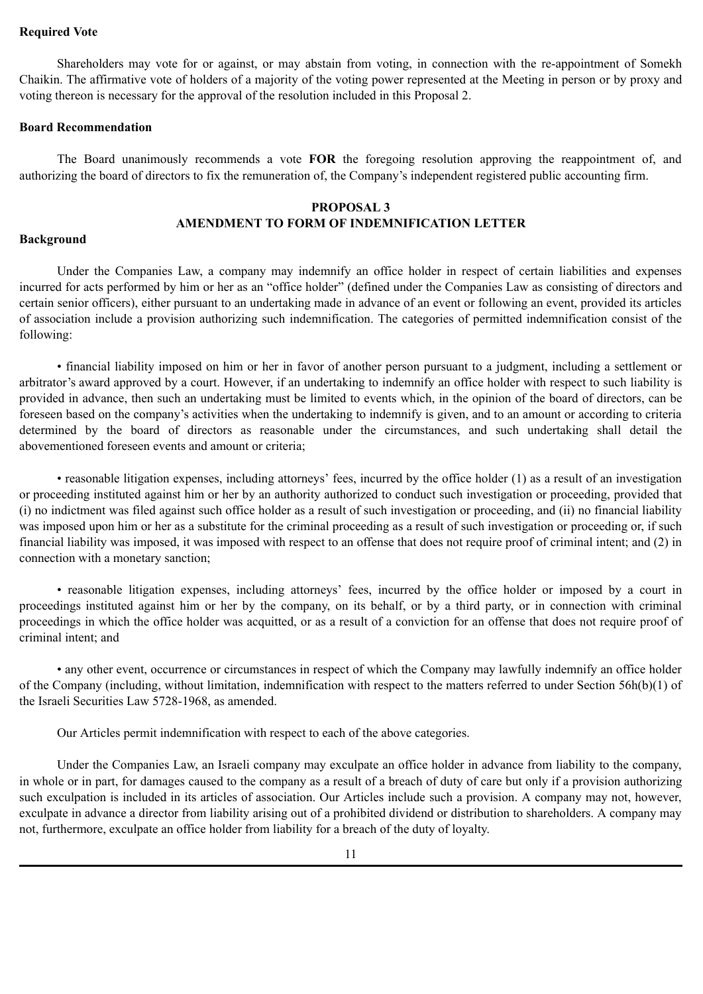### **Required Vote**

Shareholders may vote for or against, or may abstain from voting, in connection with the re-appointment of Somekh Chaikin. The affirmative vote of holders of a majority of the voting power represented at the Meeting in person or by proxy and voting thereon is necessary for the approval of the resolution included in this Proposal 2.

## **Board Recommendation**

The Board unanimously recommends a vote **FOR** the foregoing resolution approving the reappointment of, and authorizing the board of directors to fix the remuneration of, the Company's independent registered public accounting firm.

# **PROPOSAL 3 AMENDMENT TO FORM OF INDEMNIFICATION LETTER**

### **Background**

Under the Companies Law, a company may indemnify an office holder in respect of certain liabilities and expenses incurred for acts performed by him or her as an "office holder" (defined under the Companies Law as consisting of directors and certain senior officers), either pursuant to an undertaking made in advance of an event or following an event, provided its articles of association include a provision authorizing such indemnification. The categories of permitted indemnification consist of the following:

• financial liability imposed on him or her in favor of another person pursuant to a judgment, including a settlement or arbitrator's award approved by a court. However, if an undertaking to indemnify an office holder with respect to such liability is provided in advance, then such an undertaking must be limited to events which, in the opinion of the board of directors, can be foreseen based on the company's activities when the undertaking to indemnify is given, and to an amount or according to criteria determined by the board of directors as reasonable under the circumstances, and such undertaking shall detail the abovementioned foreseen events and amount or criteria;

• reasonable litigation expenses, including attorneys' fees, incurred by the office holder (1) as a result of an investigation or proceeding instituted against him or her by an authority authorized to conduct such investigation or proceeding, provided that (i) no indictment was filed against such office holder as a result of such investigation or proceeding, and (ii) no financial liability was imposed upon him or her as a substitute for the criminal proceeding as a result of such investigation or proceeding or, if such financial liability was imposed, it was imposed with respect to an offense that does not require proof of criminal intent; and (2) in connection with a monetary sanction;

• reasonable litigation expenses, including attorneys' fees, incurred by the office holder or imposed by a court in proceedings instituted against him or her by the company, on its behalf, or by a third party, or in connection with criminal proceedings in which the office holder was acquitted, or as a result of a conviction for an offense that does not require proof of criminal intent; and

• any other event, occurrence or circumstances in respect of which the Company may lawfully indemnify an office holder of the Company (including, without limitation, indemnification with respect to the matters referred to under Section 56h(b)(1) of the Israeli Securities Law 5728-1968, as amended.

Our Articles permit indemnification with respect to each of the above categories.

Under the Companies Law, an Israeli company may exculpate an office holder in advance from liability to the company, in whole or in part, for damages caused to the company as a result of a breach of duty of care but only if a provision authorizing such exculpation is included in its articles of association. Our Articles include such a provision. A company may not, however, exculpate in advance a director from liability arising out of a prohibited dividend or distribution to shareholders. A company may not, furthermore, exculpate an office holder from liability for a breach of the duty of loyalty.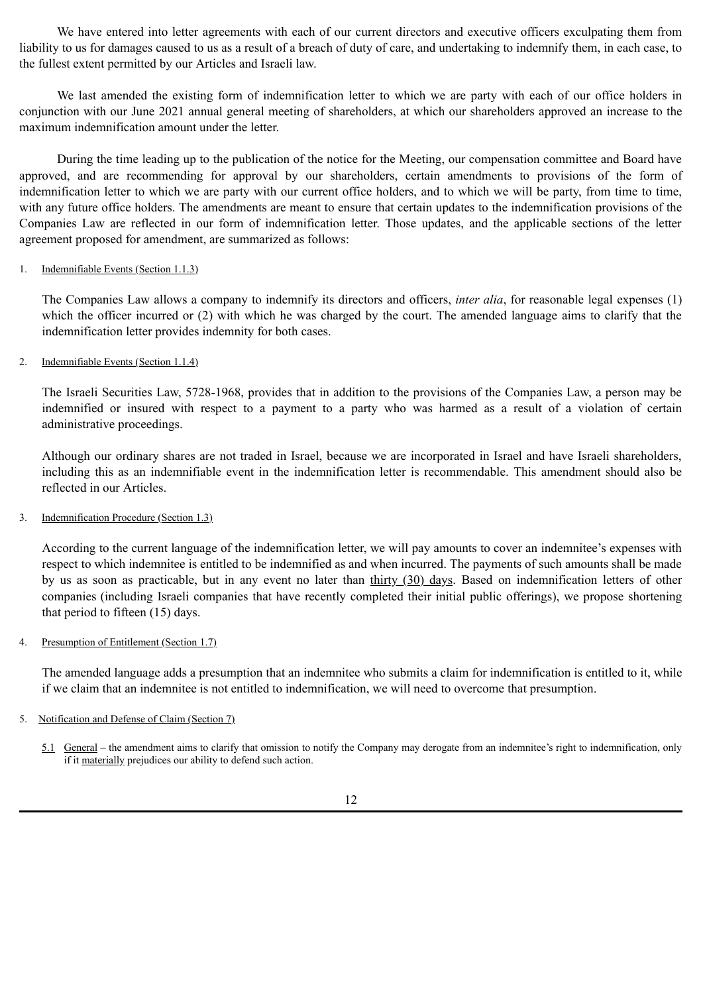We have entered into letter agreements with each of our current directors and executive officers exculpating them from liability to us for damages caused to us as a result of a breach of duty of care, and undertaking to indemnify them, in each case, to the fullest extent permitted by our Articles and Israeli law.

We last amended the existing form of indemnification letter to which we are party with each of our office holders in conjunction with our June 2021 annual general meeting of shareholders, at which our shareholders approved an increase to the maximum indemnification amount under the letter.

During the time leading up to the publication of the notice for the Meeting, our compensation committee and Board have approved, and are recommending for approval by our shareholders, certain amendments to provisions of the form of indemnification letter to which we are party with our current office holders, and to which we will be party, from time to time, with any future office holders. The amendments are meant to ensure that certain updates to the indemnification provisions of the Companies Law are reflected in our form of indemnification letter. Those updates, and the applicable sections of the letter agreement proposed for amendment, are summarized as follows:

### 1. Indemnifiable Events (Section 1.1.3)

The Companies Law allows a company to indemnify its directors and officers, *inter alia*, for reasonable legal expenses (1) which the officer incurred or (2) with which he was charged by the court. The amended language aims to clarify that the indemnification letter provides indemnity for both cases.

# 2. Indemnifiable Events (Section 1.1.4)

The Israeli Securities Law, 5728-1968, provides that in addition to the provisions of the Companies Law, a person may be indemnified or insured with respect to a payment to a party who was harmed as a result of a violation of certain administrative proceedings.

Although our ordinary shares are not traded in Israel, because we are incorporated in Israel and have Israeli shareholders, including this as an indemnifiable event in the indemnification letter is recommendable. This amendment should also be reflected in our Articles.

# 3. Indemnification Procedure (Section 1.3)

According to the current language of the indemnification letter, we will pay amounts to cover an indemnitee's expenses with respect to which indemnitee is entitled to be indemnified as and when incurred. The payments of such amounts shall be made by us as soon as practicable, but in any event no later than thirty (30) days. Based on indemnification letters of other companies (including Israeli companies that have recently completed their initial public offerings), we propose shortening that period to fifteen (15) days.

#### 4. Presumption of Entitlement (Section 1.7)

The amended language adds a presumption that an indemnitee who submits a claim for indemnification is entitled to it, while if we claim that an indemnitee is not entitled to indemnification, we will need to overcome that presumption.

# 5. Notification and Defense of Claim (Section 7)

5.1 General – the amendment aims to clarify that omission to notify the Company may derogate from an indemnitee's right to indemnification, only if it materially prejudices our ability to defend such action.

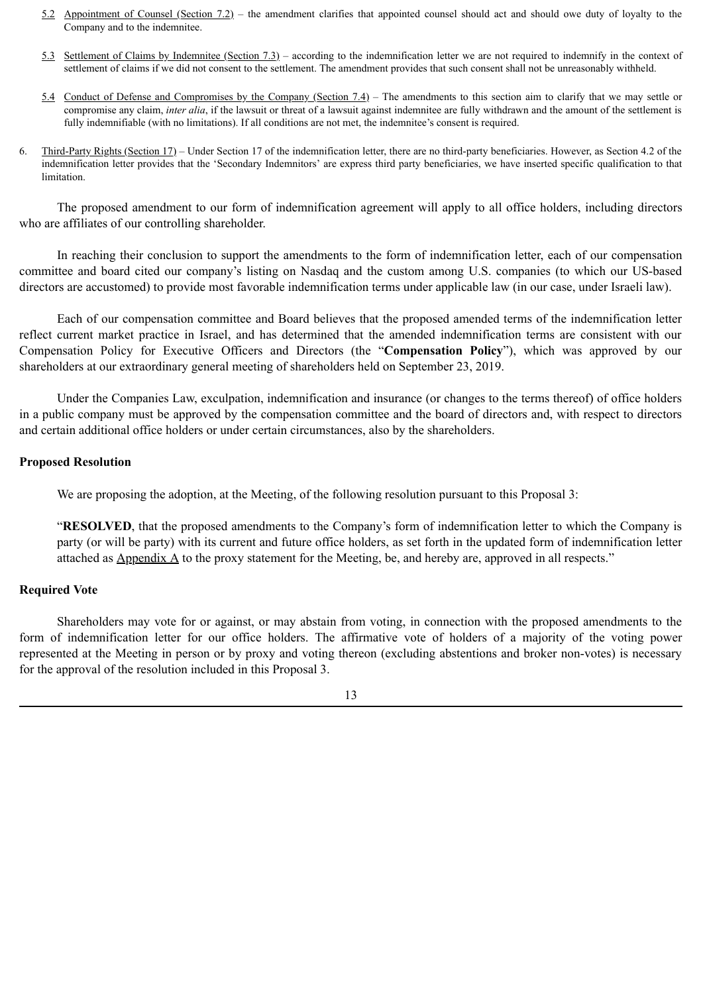- 5.2 Appointment of Counsel (Section 7.2) the amendment clarifies that appointed counsel should act and should owe duty of loyalty to the Company and to the indemnitee.
- 5.3 Settlement of Claims by Indemnitee (Section 7.3) according to the indemnification letter we are not required to indemnify in the context of settlement of claims if we did not consent to the settlement. The amendment provides that such consent shall not be unreasonably withheld.
- 5.4 Conduct of Defense and Compromises by the Company (Section 7.4) The amendments to this section aim to clarify that we may settle or compromise any claim, *inter alia*, if the lawsuit or threat of a lawsuit against indemnitee are fully withdrawn and the amount of the settlement is fully indemnifiable (with no limitations). If all conditions are not met, the indemnitee's consent is required.
- 6. Third-Party Rights (Section 17) Under Section 17 of the indemnification letter, there are no third-party beneficiaries. However, as Section 4.2 of the indemnification letter provides that the 'Secondary Indemnitors' are express third party beneficiaries, we have inserted specific qualification to that limitation.

The proposed amendment to our form of indemnification agreement will apply to all office holders, including directors who are affiliates of our controlling shareholder.

In reaching their conclusion to support the amendments to the form of indemnification letter, each of our compensation committee and board cited our company's listing on Nasdaq and the custom among U.S. companies (to which our US-based directors are accustomed) to provide most favorable indemnification terms under applicable law (in our case, under Israeli law).

Each of our compensation committee and Board believes that the proposed amended terms of the indemnification letter reflect current market practice in Israel, and has determined that the amended indemnification terms are consistent with our Compensation Policy for Executive Officers and Directors (the "**Compensation Policy**"), which was approved by our shareholders at our extraordinary general meeting of shareholders held on September 23, 2019.

Under the Companies Law, exculpation, indemnification and insurance (or changes to the terms thereof) of office holders in a public company must be approved by the compensation committee and the board of directors and, with respect to directors and certain additional office holders or under certain circumstances, also by the shareholders.

### **Proposed Resolution**

We are proposing the adoption, at the Meeting, of the following resolution pursuant to this Proposal 3:

"**RESOLVED**, that the proposed amendments to the Company's form of indemnification letter to which the Company is party (or will be party) with its current and future office holders, as set forth in the updated form of indemnification letter attached as  $\Delta$ ppendix  $\Delta$  to the proxy statement for the Meeting, be, and hereby are, approved in all respects."

# **Required Vote**

Shareholders may vote for or against, or may abstain from voting, in connection with the proposed amendments to the form of indemnification letter for our office holders. The affirmative vote of holders of a majority of the voting power represented at the Meeting in person or by proxy and voting thereon (excluding abstentions and broker non-votes) is necessary for the approval of the resolution included in this Proposal 3.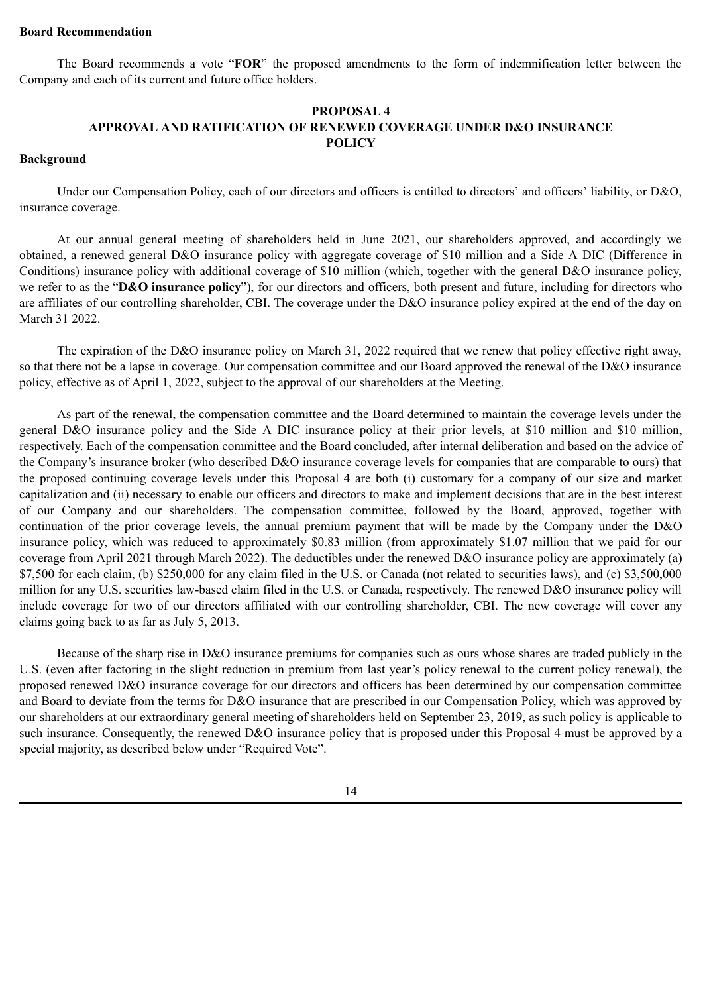#### **Board Recommendation**

The Board recommends a vote "**FOR**" the proposed amendments to the form of indemnification letter between the Company and each of its current and future office holders.

# **PROPOSAL 4 APPROVAL AND RATIFICATION OF RENEWED COVERAGE UNDER D&O INSURANCE POLICY**

# **Background**

Under our Compensation Policy, each of our directors and officers is entitled to directors' and officers' liability, or D&O, insurance coverage.

At our annual general meeting of shareholders held in June 2021, our shareholders approved, and accordingly we obtained, a renewed general D&O insurance policy with aggregate coverage of \$10 million and a Side A DIC (Difference in Conditions) insurance policy with additional coverage of \$10 million (which, together with the general D&O insurance policy, we refer to as the "**D&O insurance policy**"), for our directors and officers, both present and future, including for directors who are affiliates of our controlling shareholder, CBI. The coverage under the D&O insurance policy expired at the end of the day on March 31 2022.

The expiration of the D&O insurance policy on March 31, 2022 required that we renew that policy effective right away, so that there not be a lapse in coverage. Our compensation committee and our Board approved the renewal of the D&O insurance policy, effective as of April 1, 2022, subject to the approval of our shareholders at the Meeting.

As part of the renewal, the compensation committee and the Board determined to maintain the coverage levels under the general D&O insurance policy and the Side A DIC insurance policy at their prior levels, at \$10 million and \$10 million, respectively. Each of the compensation committee and the Board concluded, after internal deliberation and based on the advice of the Company's insurance broker (who described D&O insurance coverage levels for companies that are comparable to ours) that the proposed continuing coverage levels under this Proposal 4 are both (i) customary for a company of our size and market capitalization and (ii) necessary to enable our officers and directors to make and implement decisions that are in the best interest of our Company and our shareholders. The compensation committee, followed by the Board, approved, together with continuation of the prior coverage levels, the annual premium payment that will be made by the Company under the D&O insurance policy, which was reduced to approximately \$0.83 million (from approximately \$1.07 million that we paid for our coverage from April 2021 through March 2022). The deductibles under the renewed D&O insurance policy are approximately (a) \$7,500 for each claim, (b) \$250,000 for any claim filed in the U.S. or Canada (not related to securities laws), and (c) \$3,500,000 million for any U.S. securities law-based claim filed in the U.S. or Canada, respectively. The renewed D&O insurance policy will include coverage for two of our directors affiliated with our controlling shareholder, CBI. The new coverage will cover any claims going back to as far as July 5, 2013.

Because of the sharp rise in D&O insurance premiums for companies such as ours whose shares are traded publicly in the U.S. (even after factoring in the slight reduction in premium from last year's policy renewal to the current policy renewal), the proposed renewed D&O insurance coverage for our directors and officers has been determined by our compensation committee and Board to deviate from the terms for D&O insurance that are prescribed in our Compensation Policy, which was approved by our shareholders at our extraordinary general meeting of shareholders held on September 23, 2019, as such policy is applicable to such insurance. Consequently, the renewed D&O insurance policy that is proposed under this Proposal 4 must be approved by a special majority, as described below under "Required Vote".

14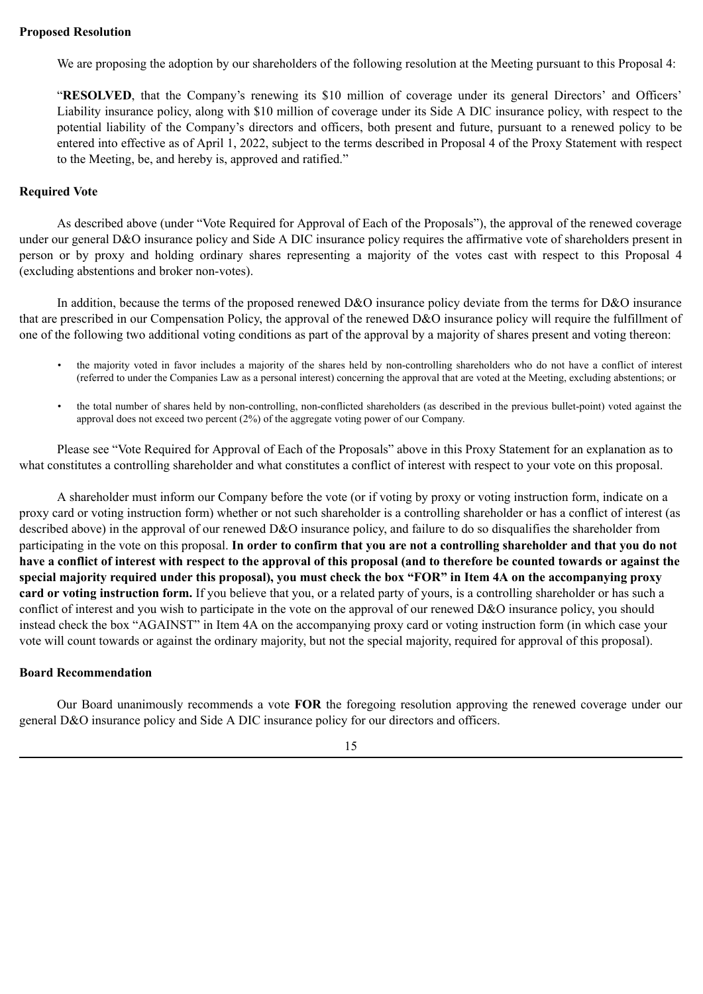### **Proposed Resolution**

We are proposing the adoption by our shareholders of the following resolution at the Meeting pursuant to this Proposal 4:

"**RESOLVED**, that the Company's renewing its \$10 million of coverage under its general Directors' and Officers' Liability insurance policy, along with \$10 million of coverage under its Side A DIC insurance policy, with respect to the potential liability of the Company's directors and officers, both present and future, pursuant to a renewed policy to be entered into effective as of April 1, 2022, subject to the terms described in Proposal 4 of the Proxy Statement with respect to the Meeting, be, and hereby is, approved and ratified."

#### **Required Vote**

As described above (under "Vote Required for Approval of Each of the Proposals"), the approval of the renewed coverage under our general D&O insurance policy and Side A DIC insurance policy requires the affirmative vote of shareholders present in person or by proxy and holding ordinary shares representing a majority of the votes cast with respect to this Proposal 4 (excluding abstentions and broker non-votes).

In addition, because the terms of the proposed renewed D&O insurance policy deviate from the terms for D&O insurance that are prescribed in our Compensation Policy, the approval of the renewed D&O insurance policy will require the fulfillment of one of the following two additional voting conditions as part of the approval by a majority of shares present and voting thereon:

- the majority voted in favor includes a majority of the shares held by non-controlling shareholders who do not have a conflict of interest (referred to under the Companies Law as a personal interest) concerning the approval that are voted at the Meeting, excluding abstentions; or
- the total number of shares held by non-controlling, non-conflicted shareholders (as described in the previous bullet-point) voted against the approval does not exceed two percent (2%) of the aggregate voting power of our Company.

Please see "Vote Required for Approval of Each of the Proposals" above in this Proxy Statement for an explanation as to what constitutes a controlling shareholder and what constitutes a conflict of interest with respect to your vote on this proposal.

A shareholder must inform our Company before the vote (or if voting by proxy or voting instruction form, indicate on a proxy card or voting instruction form) whether or not such shareholder is a controlling shareholder or has a conflict of interest (as described above) in the approval of our renewed D&O insurance policy, and failure to do so disqualifies the shareholder from participating in the vote on this proposal. **In order to confirm that you are not a controlling shareholder and that you do not have a conflict of interest with respect to the approval of this proposal (and to therefore be counted towards or against the special majority required under this proposal), you must check the box "FOR" in Item 4A on the accompanying proxy card or voting instruction form.** If you believe that you, or a related party of yours, is a controlling shareholder or has such a conflict of interest and you wish to participate in the vote on the approval of our renewed D&O insurance policy, you should instead check the box "AGAINST" in Item 4A on the accompanying proxy card or voting instruction form (in which case your vote will count towards or against the ordinary majority, but not the special majority, required for approval of this proposal).

#### **Board Recommendation**

Our Board unanimously recommends a vote **FOR** the foregoing resolution approving the renewed coverage under our general D&O insurance policy and Side A DIC insurance policy for our directors and officers.

15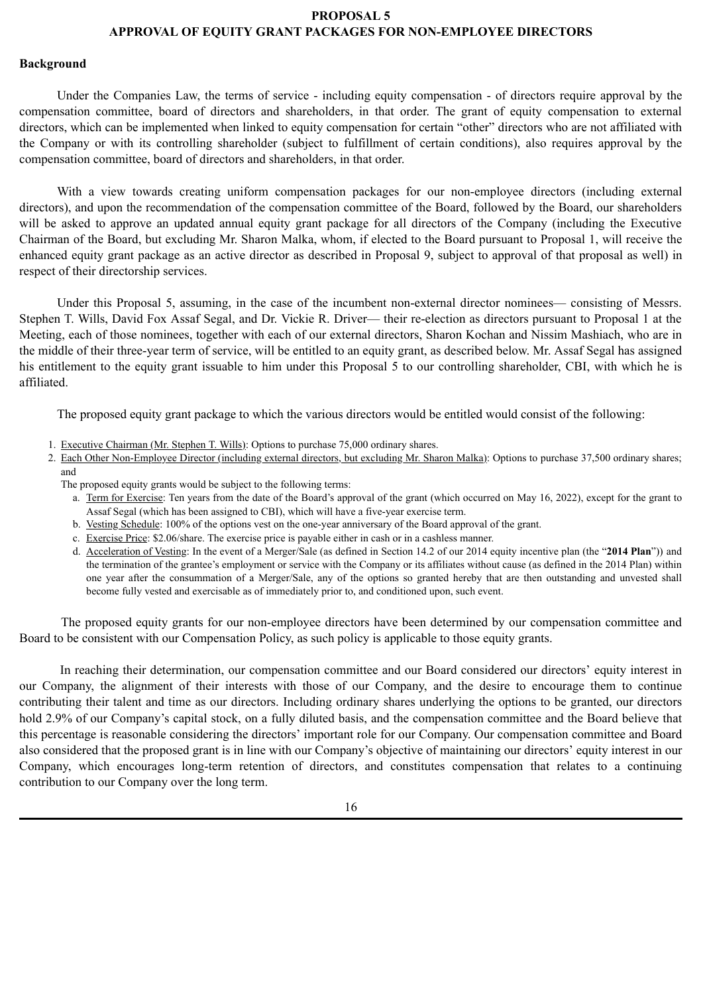#### **PROPOSAL 5 APPROVAL OF EQUITY GRANT PACKAGES FOR NON-EMPLOYEE DIRECTORS**

#### **Background**

Under the Companies Law, the terms of service - including equity compensation - of directors require approval by the compensation committee, board of directors and shareholders, in that order. The grant of equity compensation to external directors, which can be implemented when linked to equity compensation for certain "other" directors who are not affiliated with the Company or with its controlling shareholder (subject to fulfillment of certain conditions), also requires approval by the compensation committee, board of directors and shareholders, in that order.

With a view towards creating uniform compensation packages for our non-employee directors (including external directors), and upon the recommendation of the compensation committee of the Board, followed by the Board, our shareholders will be asked to approve an updated annual equity grant package for all directors of the Company (including the Executive Chairman of the Board, but excluding Mr. Sharon Malka, whom, if elected to the Board pursuant to Proposal 1, will receive the enhanced equity grant package as an active director as described in Proposal 9, subject to approval of that proposal as well) in respect of their directorship services.

Under this Proposal 5, assuming, in the case of the incumbent non-external director nominees— consisting of Messrs. Stephen T. Wills, David Fox Assaf Segal, and Dr. Vickie R. Driver— their re-election as directors pursuant to Proposal 1 at the Meeting, each of those nominees, together with each of our external directors, Sharon Kochan and Nissim Mashiach, who are in the middle of their three-year term of service, will be entitled to an equity grant, as described below. Mr. Assaf Segal has assigned his entitlement to the equity grant issuable to him under this Proposal 5 to our controlling shareholder, CBI, with which he is affiliated.

The proposed equity grant package to which the various directors would be entitled would consist of the following:

- 1. Executive Chairman (Mr. Stephen T. Wills): Options to purchase 75,000 ordinary shares.
- 2. Each Other Non-Employee Director (including external directors, but excluding Mr. Sharon Malka): Options to purchase 37,500 ordinary shares; and

The proposed equity grants would be subject to the following terms:

- a. Term for Exercise: Ten years from the date of the Board's approval of the grant (which occurred on May 16, 2022), except for the grant to Assaf Segal (which has been assigned to CBI), which will have a five-year exercise term.
- b. Vesting Schedule: 100% of the options vest on the one-year anniversary of the Board approval of the grant.
- c. Exercise Price: \$2.06/share. The exercise price is payable either in cash or in a cashless manner.
- d. Acceleration of Vesting: In the event of a Merger/Sale (as defined in Section 14.2 of our 2014 equity incentive plan (the "**2014 Plan**")) and the termination of the grantee's employment or service with the Company or its affiliates without cause (as defined in the 2014 Plan) within one year after the consummation of a Merger/Sale, any of the options so granted hereby that are then outstanding and unvested shall become fully vested and exercisable as of immediately prior to, and conditioned upon, such event.

The proposed equity grants for our non-employee directors have been determined by our compensation committee and Board to be consistent with our Compensation Policy, as such policy is applicable to those equity grants.

In reaching their determination, our compensation committee and our Board considered our directors' equity interest in our Company, the alignment of their interests with those of our Company, and the desire to encourage them to continue contributing their talent and time as our directors. Including ordinary shares underlying the options to be granted, our directors hold 2.9% of our Company's capital stock, on a fully diluted basis, and the compensation committee and the Board believe that this percentage is reasonable considering the directors' important role for our Company. Our compensation committee and Board also considered that the proposed grant is in line with our Company's objective of maintaining our directors' equity interest in our Company, which encourages long-term retention of directors, and constitutes compensation that relates to a continuing contribution to our Company over the long term.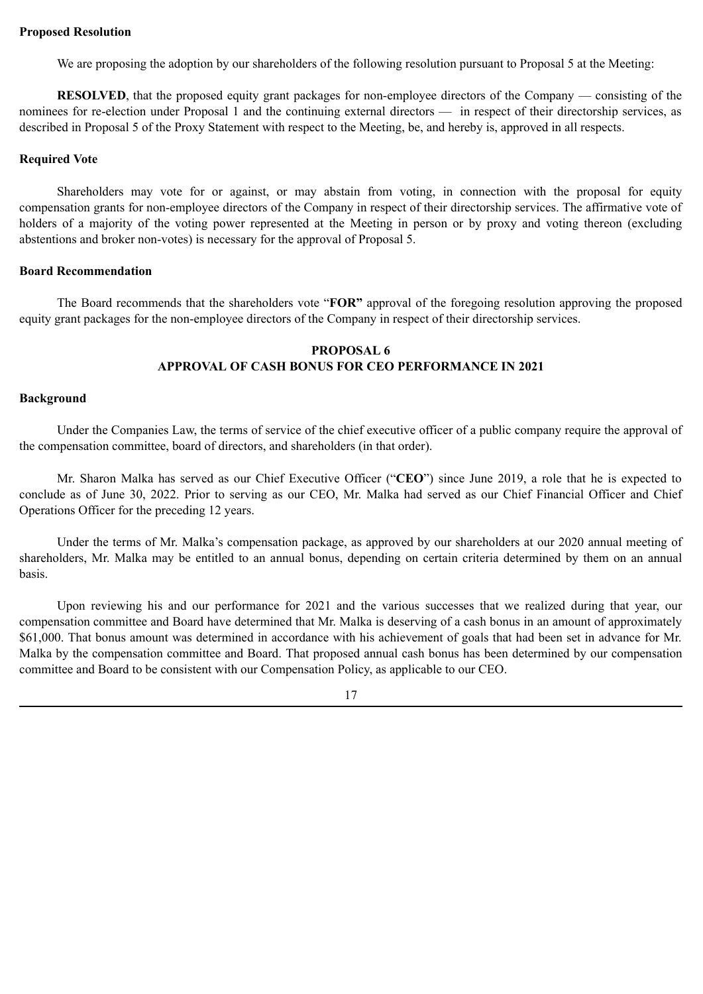We are proposing the adoption by our shareholders of the following resolution pursuant to Proposal 5 at the Meeting:

**RESOLVED**, that the proposed equity grant packages for non-employee directors of the Company — consisting of the nominees for re-election under Proposal 1 and the continuing external directors — in respect of their directorship services, as described in Proposal 5 of the Proxy Statement with respect to the Meeting, be, and hereby is, approved in all respects.

# **Required Vote**

Shareholders may vote for or against, or may abstain from voting, in connection with the proposal for equity compensation grants for non-employee directors of the Company in respect of their directorship services. The affirmative vote of holders of a majority of the voting power represented at the Meeting in person or by proxy and voting thereon (excluding abstentions and broker non-votes) is necessary for the approval of Proposal 5.

# **Board Recommendation**

The Board recommends that the shareholders vote "**FOR"** approval of the foregoing resolution approving the proposed equity grant packages for the non-employee directors of the Company in respect of their directorship services.

# **PROPOSAL 6 APPROVAL OF CASH BONUS FOR CEO PERFORMANCE IN 2021**

# **Background**

Under the Companies Law, the terms of service of the chief executive officer of a public company require the approval of the compensation committee, board of directors, and shareholders (in that order).

Mr. Sharon Malka has served as our Chief Executive Officer ("**CEO**") since June 2019, a role that he is expected to conclude as of June 30, 2022. Prior to serving as our CEO, Mr. Malka had served as our Chief Financial Officer and Chief Operations Officer for the preceding 12 years.

Under the terms of Mr. Malka's compensation package, as approved by our shareholders at our 2020 annual meeting of shareholders, Mr. Malka may be entitled to an annual bonus, depending on certain criteria determined by them on an annual basis.

Upon reviewing his and our performance for 2021 and the various successes that we realized during that year, our compensation committee and Board have determined that Mr. Malka is deserving of a cash bonus in an amount of approximately \$61,000. That bonus amount was determined in accordance with his achievement of goals that had been set in advance for Mr. Malka by the compensation committee and Board. That proposed annual cash bonus has been determined by our compensation committee and Board to be consistent with our Compensation Policy, as applicable to our CEO.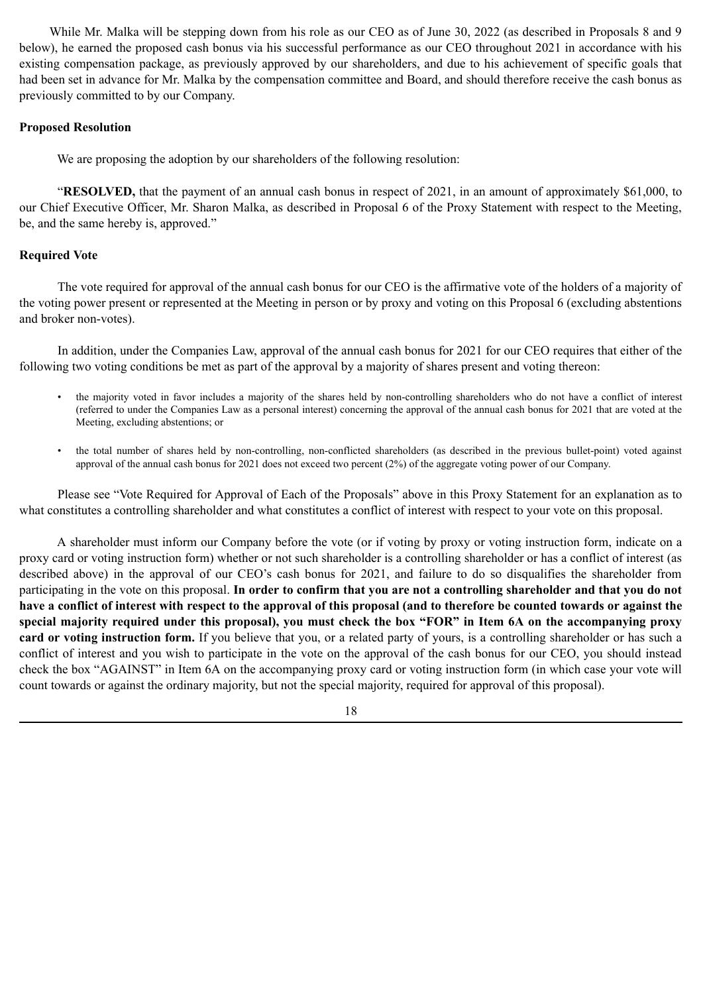While Mr. Malka will be stepping down from his role as our CEO as of June 30, 2022 (as described in Proposals 8 and 9 below), he earned the proposed cash bonus via his successful performance as our CEO throughout 2021 in accordance with his existing compensation package, as previously approved by our shareholders, and due to his achievement of specific goals that had been set in advance for Mr. Malka by the compensation committee and Board, and should therefore receive the cash bonus as previously committed to by our Company.

# **Proposed Resolution**

We are proposing the adoption by our shareholders of the following resolution:

"**RESOLVED,** that the payment of an annual cash bonus in respect of 2021, in an amount of approximately \$61,000, to our Chief Executive Officer, Mr. Sharon Malka, as described in Proposal 6 of the Proxy Statement with respect to the Meeting, be, and the same hereby is, approved."

# **Required Vote**

The vote required for approval of the annual cash bonus for our CEO is the affirmative vote of the holders of a majority of the voting power present or represented at the Meeting in person or by proxy and voting on this Proposal 6 (excluding abstentions and broker non-votes).

In addition, under the Companies Law, approval of the annual cash bonus for 2021 for our CEO requires that either of the following two voting conditions be met as part of the approval by a majority of shares present and voting thereon:

- the majority voted in favor includes a majority of the shares held by non-controlling shareholders who do not have a conflict of interest (referred to under the Companies Law as a personal interest) concerning the approval of the annual cash bonus for 2021 that are voted at the Meeting, excluding abstentions; or
- the total number of shares held by non-controlling, non-conflicted shareholders (as described in the previous bullet-point) voted against approval of the annual cash bonus for 2021 does not exceed two percent (2%) of the aggregate voting power of our Company.

Please see "Vote Required for Approval of Each of the Proposals" above in this Proxy Statement for an explanation as to what constitutes a controlling shareholder and what constitutes a conflict of interest with respect to your vote on this proposal.

A shareholder must inform our Company before the vote (or if voting by proxy or voting instruction form, indicate on a proxy card or voting instruction form) whether or not such shareholder is a controlling shareholder or has a conflict of interest (as described above) in the approval of our CEO's cash bonus for 2021, and failure to do so disqualifies the shareholder from participating in the vote on this proposal. **In order to confirm that you are not a controlling shareholder and that you do not have a conflict of interest with respect to the approval of this proposal (and to therefore be counted towards or against the special majority required under this proposal), you must check the box "FOR" in Item 6A on the accompanying proxy card or voting instruction form.** If you believe that you, or a related party of yours, is a controlling shareholder or has such a conflict of interest and you wish to participate in the vote on the approval of the cash bonus for our CEO, you should instead check the box "AGAINST" in Item 6A on the accompanying proxy card or voting instruction form (in which case your vote will count towards or against the ordinary majority, but not the special majority, required for approval of this proposal).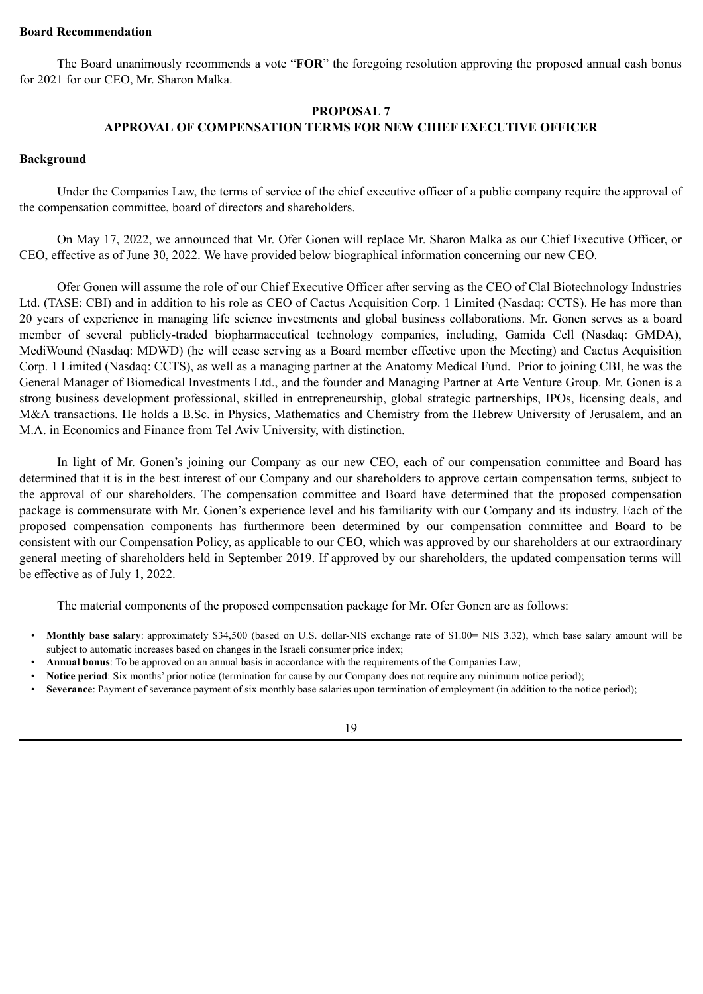#### **Board Recommendation**

The Board unanimously recommends a vote "**FOR**" the foregoing resolution approving the proposed annual cash bonus for 2021 for our CEO, Mr. Sharon Malka.

# **PROPOSAL 7 APPROVAL OF COMPENSATION TERMS FOR NEW CHIEF EXECUTIVE OFFICER**

#### **Background**

Under the Companies Law, the terms of service of the chief executive officer of a public company require the approval of the compensation committee, board of directors and shareholders.

On May 17, 2022, we announced that Mr. Ofer Gonen will replace Mr. Sharon Malka as our Chief Executive Officer, or CEO, effective as of June 30, 2022. We have provided below biographical information concerning our new CEO.

Ofer Gonen will assume the role of our Chief Executive Officer after serving as the CEO of Clal Biotechnology Industries Ltd. (TASE: CBI) and in addition to his role as CEO of Cactus Acquisition Corp. 1 Limited (Nasdaq: CCTS). He has more than 20 years of experience in managing life science investments and global business collaborations. Mr. Gonen serves as a board member of several publicly-traded biopharmaceutical technology companies, including, Gamida Cell (Nasdaq: GMDA), MediWound (Nasdaq: MDWD) (he will cease serving as a Board member effective upon the Meeting) and Cactus Acquisition Corp. 1 Limited (Nasdaq: CCTS), as well as a managing partner at the Anatomy Medical Fund. Prior to joining CBI, he was the General Manager of Biomedical Investments Ltd., and the founder and Managing Partner at Arte Venture Group. Mr. Gonen is a strong business development professional, skilled in entrepreneurship, global strategic partnerships, IPOs, licensing deals, and M&A transactions. He holds a B.Sc. in Physics, Mathematics and Chemistry from the Hebrew University of Jerusalem, and an M.A. in Economics and Finance from Tel Aviv University, with distinction.

In light of Mr. Gonen's joining our Company as our new CEO, each of our compensation committee and Board has determined that it is in the best interest of our Company and our shareholders to approve certain compensation terms, subject to the approval of our shareholders. The compensation committee and Board have determined that the proposed compensation package is commensurate with Mr. Gonen's experience level and his familiarity with our Company and its industry. Each of the proposed compensation components has furthermore been determined by our compensation committee and Board to be consistent with our Compensation Policy, as applicable to our CEO, which was approved by our shareholders at our extraordinary general meeting of shareholders held in September 2019. If approved by our shareholders, the updated compensation terms will be effective as of July 1, 2022.

The material components of the proposed compensation package for Mr. Ofer Gonen are as follows:

- **Monthly base salary**: approximately \$34,500 (based on U.S. dollar-NIS exchange rate of \$1.00= NIS 3.32), which base salary amount will be subject to automatic increases based on changes in the Israeli consumer price index;
- **Annual bonus**: To be approved on an annual basis in accordance with the requirements of the Companies Law;
- **Notice period**: Six months' prior notice (termination for cause by our Company does not require any minimum notice period);
- **Severance**: Payment of severance payment of six monthly base salaries upon termination of employment (in addition to the notice period);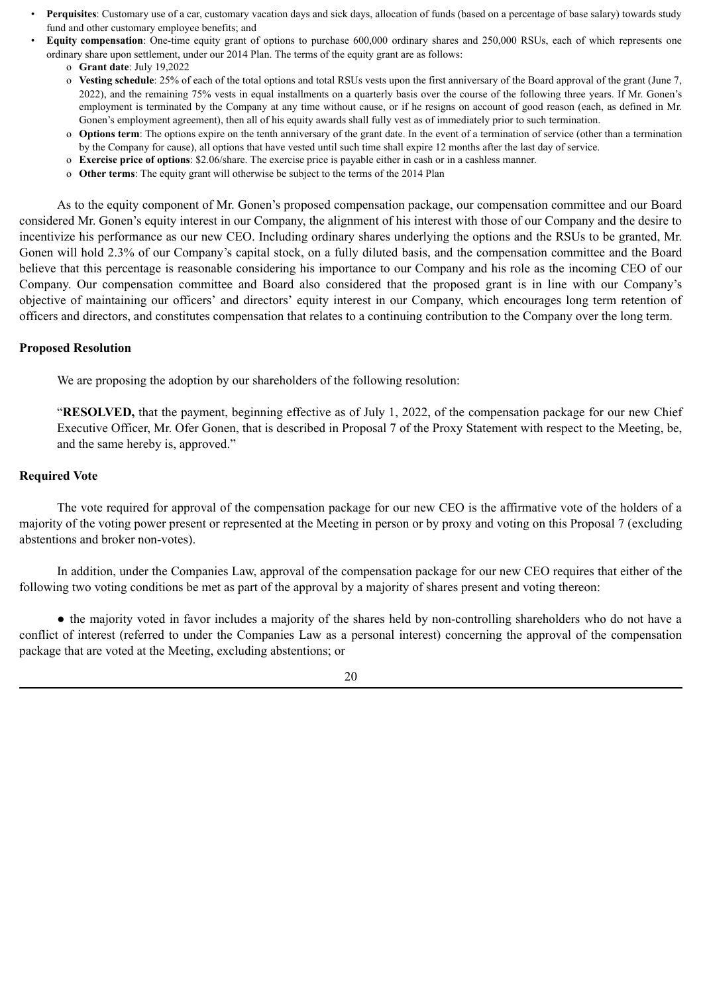- **Perquisites**: Customary use of a car, customary vacation days and sick days, allocation of funds (based on a percentage of base salary) towards study fund and other customary employee benefits; and
- **Equity compensation**: One-time equity grant of options to purchase 600,000 ordinary shares and 250,000 RSUs, each of which represents one ordinary share upon settlement, under our 2014 Plan. The terms of the equity grant are as follows:
	- o **Grant date**: July 19,2022
	- o **Vesting schedule**: 25% of each of the total options and total RSUs vests upon the first anniversary of the Board approval of the grant (June 7, 2022), and the remaining 75% vests in equal installments on a quarterly basis over the course of the following three years. If Mr. Gonen's employment is terminated by the Company at any time without cause, or if he resigns on account of good reason (each, as defined in Mr. Gonen's employment agreement), then all of his equity awards shall fully vest as of immediately prior to such termination.
	- o **Options term**: The options expire on the tenth anniversary of the grant date. In the event of a termination of service (other than a termination by the Company for cause), all options that have vested until such time shall expire 12 months after the last day of service.
	- o **Exercise price of options**: \$2.06/share. The exercise price is payable either in cash or in a cashless manner.
	- o **Other terms**: The equity grant will otherwise be subject to the terms of the 2014 Plan

As to the equity component of Mr. Gonen's proposed compensation package, our compensation committee and our Board considered Mr. Gonen's equity interest in our Company, the alignment of his interest with those of our Company and the desire to incentivize his performance as our new CEO. Including ordinary shares underlying the options and the RSUs to be granted, Mr. Gonen will hold 2.3% of our Company's capital stock, on a fully diluted basis, and the compensation committee and the Board believe that this percentage is reasonable considering his importance to our Company and his role as the incoming CEO of our Company. Our compensation committee and Board also considered that the proposed grant is in line with our Company's objective of maintaining our officers' and directors' equity interest in our Company, which encourages long term retention of officers and directors, and constitutes compensation that relates to a continuing contribution to the Company over the long term.

#### **Proposed Resolution**

We are proposing the adoption by our shareholders of the following resolution:

"**RESOLVED,** that the payment, beginning effective as of July 1, 2022, of the compensation package for our new Chief Executive Officer, Mr. Ofer Gonen, that is described in Proposal 7 of the Proxy Statement with respect to the Meeting, be, and the same hereby is, approved."

### **Required Vote**

The vote required for approval of the compensation package for our new CEO is the affirmative vote of the holders of a majority of the voting power present or represented at the Meeting in person or by proxy and voting on this Proposal 7 (excluding abstentions and broker non-votes).

In addition, under the Companies Law, approval of the compensation package for our new CEO requires that either of the following two voting conditions be met as part of the approval by a majority of shares present and voting thereon:

● the majority voted in favor includes a majority of the shares held by non-controlling shareholders who do not have a conflict of interest (referred to under the Companies Law as a personal interest) concerning the approval of the compensation package that are voted at the Meeting, excluding abstentions; or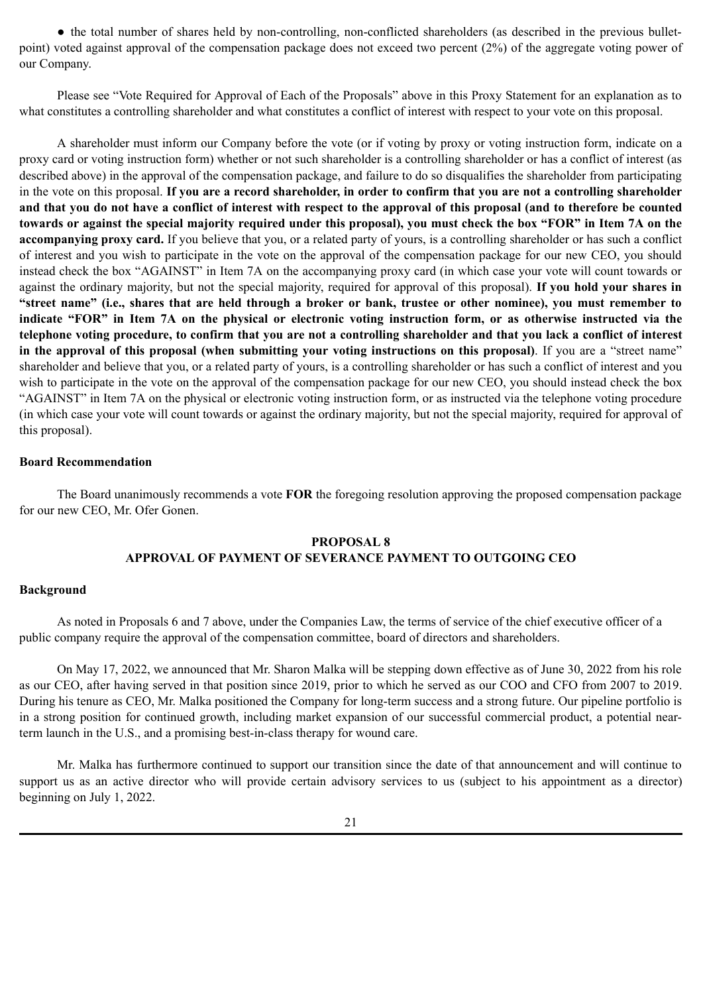● the total number of shares held by non-controlling, non-conflicted shareholders (as described in the previous bulletpoint) voted against approval of the compensation package does not exceed two percent (2%) of the aggregate voting power of our Company.

Please see "Vote Required for Approval of Each of the Proposals" above in this Proxy Statement for an explanation as to what constitutes a controlling shareholder and what constitutes a conflict of interest with respect to your vote on this proposal.

A shareholder must inform our Company before the vote (or if voting by proxy or voting instruction form, indicate on a proxy card or voting instruction form) whether or not such shareholder is a controlling shareholder or has a conflict of interest (as described above) in the approval of the compensation package, and failure to do so disqualifies the shareholder from participating in the vote on this proposal. **If you are a record shareholder, in order to confirm that you are not a controlling shareholder and that you do not have a conflict of interest with respect to the approval of this proposal (and to therefore be counted towards or against the special majority required under this proposal), you must check the box "FOR" in Item 7A on the accompanying proxy card.** If you believe that you, or a related party of yours, is a controlling shareholder or has such a conflict of interest and you wish to participate in the vote on the approval of the compensation package for our new CEO, you should instead check the box "AGAINST" in Item 7A on the accompanying proxy card (in which case your vote will count towards or against the ordinary majority, but not the special majority, required for approval of this proposal). **If you hold your shares in "street name" (i.e., shares that are held through a broker or bank, trustee or other nominee), you must remember to indicate "FOR" in Item 7A on the physical or electronic voting instruction form, or as otherwise instructed via the telephone voting procedure, to confirm that you are not a controlling shareholder and that you lack a conflict of interest in the approval of this proposal (when submitting your voting instructions on this proposal)**. If you are a "street name" shareholder and believe that you, or a related party of yours, is a controlling shareholder or has such a conflict of interest and you wish to participate in the vote on the approval of the compensation package for our new CEO, you should instead check the box "AGAINST" in Item 7A on the physical or electronic voting instruction form, or as instructed via the telephone voting procedure (in which case your vote will count towards or against the ordinary majority, but not the special majority, required for approval of this proposal).

# **Board Recommendation**

The Board unanimously recommends a vote **FOR** the foregoing resolution approving the proposed compensation package for our new CEO, Mr. Ofer Gonen.

# **PROPOSAL 8 APPROVAL OF PAYMENT OF SEVERANCE PAYMENT TO OUTGOING CEO**

#### **Background**

As noted in Proposals 6 and 7 above, under the Companies Law, the terms of service of the chief executive officer of a public company require the approval of the compensation committee, board of directors and shareholders.

On May 17, 2022, we announced that Mr. Sharon Malka will be stepping down effective as of June 30, 2022 from his role as our CEO, after having served in that position since 2019, prior to which he served as our COO and CFO from 2007 to 2019. During his tenure as CEO, Mr. Malka positioned the Company for long-term success and a strong future. Our pipeline portfolio is in a strong position for continued growth, including market expansion of our successful commercial product, a potential nearterm launch in the U.S., and a promising best-in-class therapy for wound care.

Mr. Malka has furthermore continued to support our transition since the date of that announcement and will continue to support us as an active director who will provide certain advisory services to us (subject to his appointment as a director) beginning on July 1, 2022.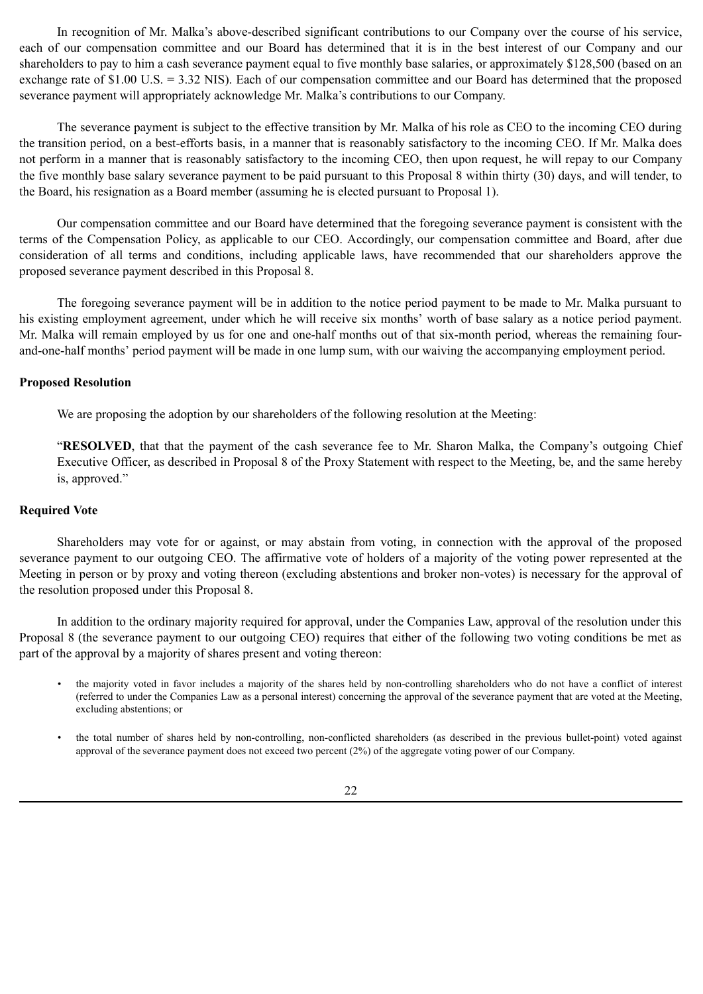In recognition of Mr. Malka's above-described significant contributions to our Company over the course of his service, each of our compensation committee and our Board has determined that it is in the best interest of our Company and our shareholders to pay to him a cash severance payment equal to five monthly base salaries, or approximately \$128,500 (based on an exchange rate of \$1.00 U.S. = 3.32 NIS). Each of our compensation committee and our Board has determined that the proposed severance payment will appropriately acknowledge Mr. Malka's contributions to our Company.

The severance payment is subject to the effective transition by Mr. Malka of his role as CEO to the incoming CEO during the transition period, on a best-efforts basis, in a manner that is reasonably satisfactory to the incoming CEO. If Mr. Malka does not perform in a manner that is reasonably satisfactory to the incoming CEO, then upon request, he will repay to our Company the five monthly base salary severance payment to be paid pursuant to this Proposal 8 within thirty (30) days, and will tender, to the Board, his resignation as a Board member (assuming he is elected pursuant to Proposal 1).

Our compensation committee and our Board have determined that the foregoing severance payment is consistent with the terms of the Compensation Policy, as applicable to our CEO. Accordingly, our compensation committee and Board, after due consideration of all terms and conditions, including applicable laws, have recommended that our shareholders approve the proposed severance payment described in this Proposal 8.

The foregoing severance payment will be in addition to the notice period payment to be made to Mr. Malka pursuant to his existing employment agreement, under which he will receive six months' worth of base salary as a notice period payment. Mr. Malka will remain employed by us for one and one-half months out of that six-month period, whereas the remaining fourand-one-half months' period payment will be made in one lump sum, with our waiving the accompanying employment period.

#### **Proposed Resolution**

We are proposing the adoption by our shareholders of the following resolution at the Meeting:

"**RESOLVED**, that that the payment of the cash severance fee to Mr. Sharon Malka, the Company's outgoing Chief Executive Officer, as described in Proposal 8 of the Proxy Statement with respect to the Meeting, be, and the same hereby is, approved."

#### **Required Vote**

Shareholders may vote for or against, or may abstain from voting, in connection with the approval of the proposed severance payment to our outgoing CEO. The affirmative vote of holders of a majority of the voting power represented at the Meeting in person or by proxy and voting thereon (excluding abstentions and broker non-votes) is necessary for the approval of the resolution proposed under this Proposal 8.

In addition to the ordinary majority required for approval, under the Companies Law, approval of the resolution under this Proposal 8 (the severance payment to our outgoing CEO) requires that either of the following two voting conditions be met as part of the approval by a majority of shares present and voting thereon:

- the majority voted in favor includes a majority of the shares held by non-controlling shareholders who do not have a conflict of interest (referred to under the Companies Law as a personal interest) concerning the approval of the severance payment that are voted at the Meeting, excluding abstentions; or
- the total number of shares held by non-controlling, non-conflicted shareholders (as described in the previous bullet-point) voted against approval of the severance payment does not exceed two percent (2%) of the aggregate voting power of our Company.

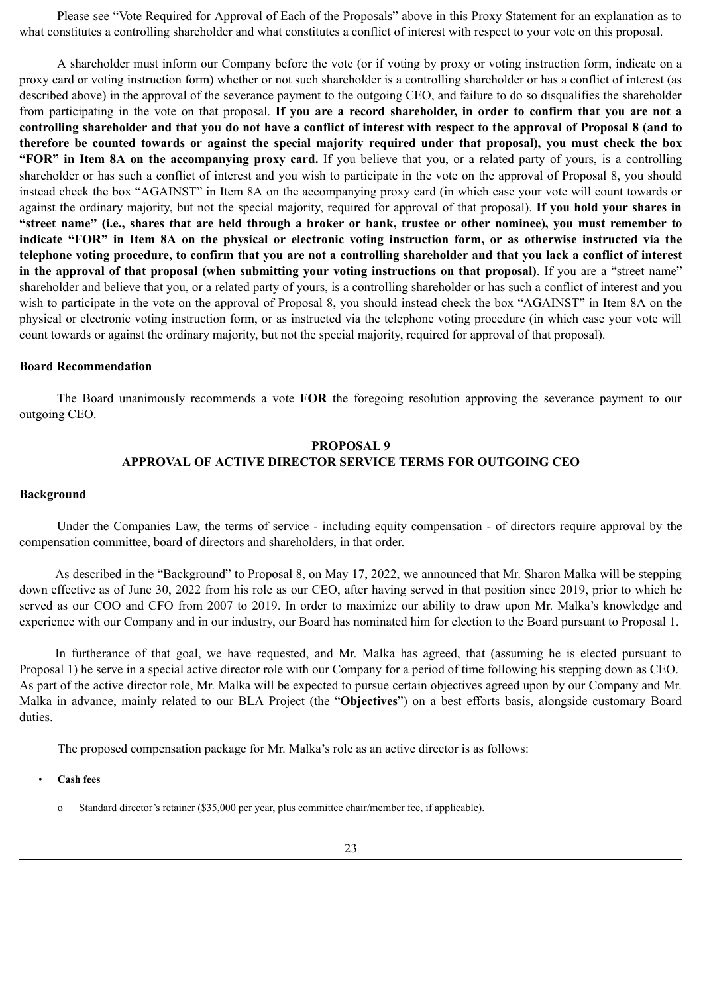Please see "Vote Required for Approval of Each of the Proposals" above in this Proxy Statement for an explanation as to what constitutes a controlling shareholder and what constitutes a conflict of interest with respect to your vote on this proposal.

A shareholder must inform our Company before the vote (or if voting by proxy or voting instruction form, indicate on a proxy card or voting instruction form) whether or not such shareholder is a controlling shareholder or has a conflict of interest (as described above) in the approval of the severance payment to the outgoing CEO, and failure to do so disqualifies the shareholder from participating in the vote on that proposal. **If you are a record shareholder, in order to confirm that you are not a controlling shareholder and that you do not have a conflict of interest with respect to the approval of Proposal 8 (and to therefore be counted towards or against the special majority required under that proposal), you must check the box "FOR" in Item 8A on the accompanying proxy card.** If you believe that you, or a related party of yours, is a controlling shareholder or has such a conflict of interest and you wish to participate in the vote on the approval of Proposal 8, you should instead check the box "AGAINST" in Item 8A on the accompanying proxy card (in which case your vote will count towards or against the ordinary majority, but not the special majority, required for approval of that proposal). **If you hold your shares in "street name" (i.e., shares that are held through a broker or bank, trustee or other nominee), you must remember to indicate "FOR" in Item 8A on the physical or electronic voting instruction form, or as otherwise instructed via the telephone voting procedure, to confirm that you are not a controlling shareholder and that you lack a conflict of interest in the approval of that proposal (when submitting your voting instructions on that proposal)**. If you are a "street name" shareholder and believe that you, or a related party of yours, is a controlling shareholder or has such a conflict of interest and you wish to participate in the vote on the approval of Proposal 8, you should instead check the box "AGAINST" in Item 8A on the physical or electronic voting instruction form, or as instructed via the telephone voting procedure (in which case your vote will count towards or against the ordinary majority, but not the special majority, required for approval of that proposal).

#### **Board Recommendation**

The Board unanimously recommends a vote **FOR** the foregoing resolution approving the severance payment to our outgoing CEO.

# **PROPOSAL 9 APPROVAL OF ACTIVE DIRECTOR SERVICE TERMS FOR OUTGOING CEO**

#### **Background**

Under the Companies Law, the terms of service - including equity compensation - of directors require approval by the compensation committee, board of directors and shareholders, in that order.

As described in the "Background" to Proposal 8, on May 17, 2022, we announced that Mr. Sharon Malka will be stepping down effective as of June 30, 2022 from his role as our CEO, after having served in that position since 2019, prior to which he served as our COO and CFO from 2007 to 2019. In order to maximize our ability to draw upon Mr. Malka's knowledge and experience with our Company and in our industry, our Board has nominated him for election to the Board pursuant to Proposal 1.

In furtherance of that goal, we have requested, and Mr. Malka has agreed, that (assuming he is elected pursuant to Proposal 1) he serve in a special active director role with our Company for a period of time following his stepping down as CEO. As part of the active director role, Mr. Malka will be expected to pursue certain objectives agreed upon by our Company and Mr. Malka in advance, mainly related to our BLA Project (the "**Objectives**") on a best efforts basis, alongside customary Board duties.

The proposed compensation package for Mr. Malka's role as an active director is as follows:

• **Cash fees**

o Standard director's retainer (\$35,000 per year, plus committee chair/member fee, if applicable).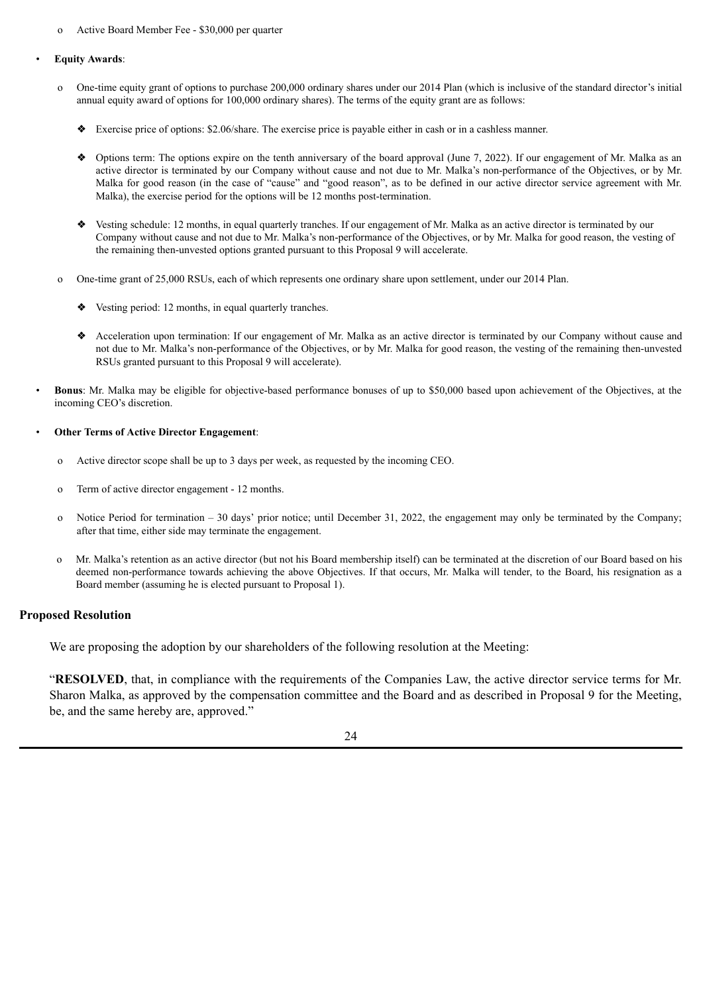o Active Board Member Fee - \$30,000 per quarter

#### • **Equity Awards**:

- o One-time equity grant of options to purchase 200,000 ordinary shares under our 2014 Plan (which is inclusive of the standard director's initial annual equity award of options for 100,000 ordinary shares). The terms of the equity grant are as follows:
	- ❖ Exercise price of options: \$2.06/share. The exercise price is payable either in cash or in a cashless manner.
	- ◆ Options term: The options expire on the tenth anniversary of the board approval (June 7, 2022). If our engagement of Mr. Malka as an active director is terminated by our Company without cause and not due to Mr. Malka's non-performance of the Objectives, or by Mr. Malka for good reason (in the case of "cause" and "good reason", as to be defined in our active director service agreement with Mr. Malka), the exercise period for the options will be 12 months post-termination.
	- ❖ Vesting schedule: 12 months, in equal quarterly tranches. If our engagement of Mr. Malka as an active director is terminated by our Company without cause and not due to Mr. Malka's non-performance of the Objectives, or by Mr. Malka for good reason, the vesting of the remaining then-unvested options granted pursuant to this Proposal 9 will accelerate.
- o One-time grant of 25,000 RSUs, each of which represents one ordinary share upon settlement, under our 2014 Plan.
	- ❖ Vesting period: 12 months, in equal quarterly tranches.
	- ❖ Acceleration upon termination: If our engagement of Mr. Malka as an active director is terminated by our Company without cause and not due to Mr. Malka's non-performance of the Objectives, or by Mr. Malka for good reason, the vesting of the remaining then-unvested RSUs granted pursuant to this Proposal 9 will accelerate).
- **Bonus**: Mr. Malka may be eligible for objective-based performance bonuses of up to \$50,000 based upon achievement of the Objectives, at the incoming CEO's discretion.
- **Other Terms of Active Director Engagement**:
	- o Active director scope shall be up to 3 days per week, as requested by the incoming CEO.
	- o Term of active director engagement 12 months.
	- o Notice Period for termination 30 days' prior notice; until December 31, 2022, the engagement may only be terminated by the Company; after that time, either side may terminate the engagement.
	- o Mr. Malka's retention as an active director (but not his Board membership itself) can be terminated at the discretion of our Board based on his deemed non-performance towards achieving the above Objectives. If that occurs, Mr. Malka will tender, to the Board, his resignation as a Board member (assuming he is elected pursuant to Proposal 1).

#### **Proposed Resolution**

We are proposing the adoption by our shareholders of the following resolution at the Meeting:

"**RESOLVED**, that, in compliance with the requirements of the Companies Law, the active director service terms for Mr. Sharon Malka, as approved by the compensation committee and the Board and as described in Proposal 9 for the Meeting, be, and the same hereby are, approved."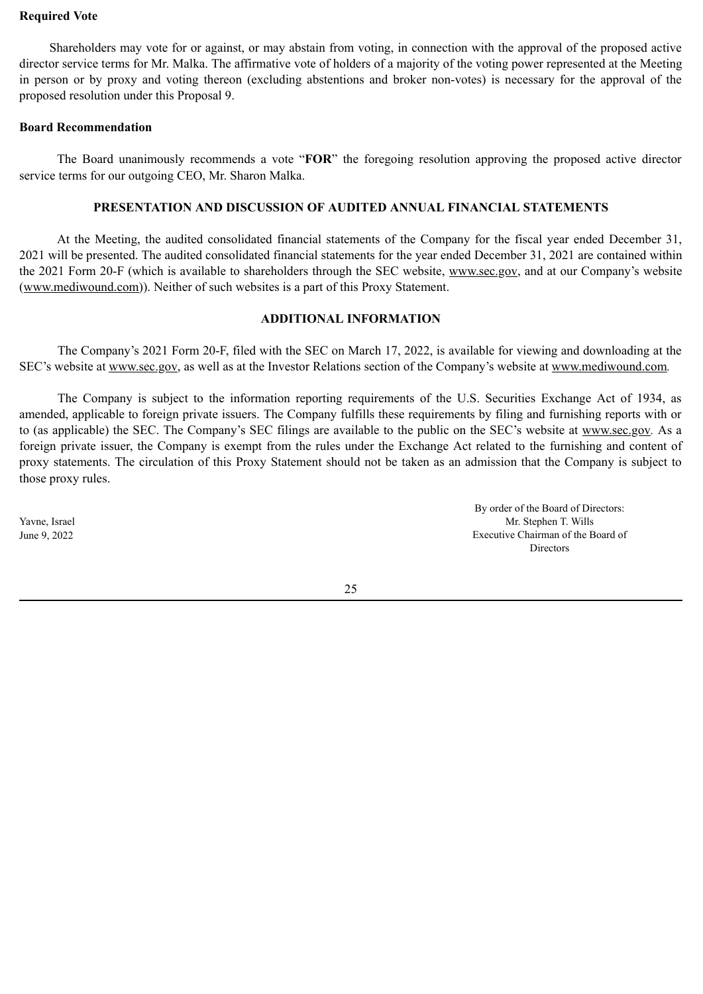## **Required Vote**

Shareholders may vote for or against, or may abstain from voting, in connection with the approval of the proposed active director service terms for Mr. Malka. The affirmative vote of holders of a majority of the voting power represented at the Meeting in person or by proxy and voting thereon (excluding abstentions and broker non-votes) is necessary for the approval of the proposed resolution under this Proposal 9.

### **Board Recommendation**

The Board unanimously recommends a vote "**FOR**" the foregoing resolution approving the proposed active director service terms for our outgoing CEO, Mr. Sharon Malka.

# **PRESENTATION AND DISCUSSION OF AUDITED ANNUAL FINANCIAL STATEMENTS**

At the Meeting, the audited consolidated financial statements of the Company for the fiscal year ended December 31, 2021 will be presented. The audited consolidated financial statements for the year ended December 31, 2021 are contained within the 2021 Form 20-F (which is available to shareholders through the SEC website, www.sec.gov, and at our Company's website (www.mediwound.com)). Neither of such websites is a part of this Proxy Statement.

# **ADDITIONAL INFORMATION**

The Company's 2021 Form 20-F, filed with the SEC on March 17, 2022, is available for viewing and downloading at the SEC's website at www.sec.gov, as well as at the Investor Relations section of the Company's website at www.mediwound.com*.*

The Company is subject to the information reporting requirements of the U.S. Securities Exchange Act of 1934, as amended, applicable to foreign private issuers. The Company fulfills these requirements by filing and furnishing reports with or to (as applicable) the SEC. The Company's SEC filings are available to the public on the SEC's website at www.sec.gov*.* As a foreign private issuer, the Company is exempt from the rules under the Exchange Act related to the furnishing and content of proxy statements. The circulation of this Proxy Statement should not be taken as an admission that the Company is subject to those proxy rules.

Yavne, Israel June 9, 2022

By order of the Board of Directors: Mr. Stephen T. Wills Executive Chairman of the Board of **Directors** 

25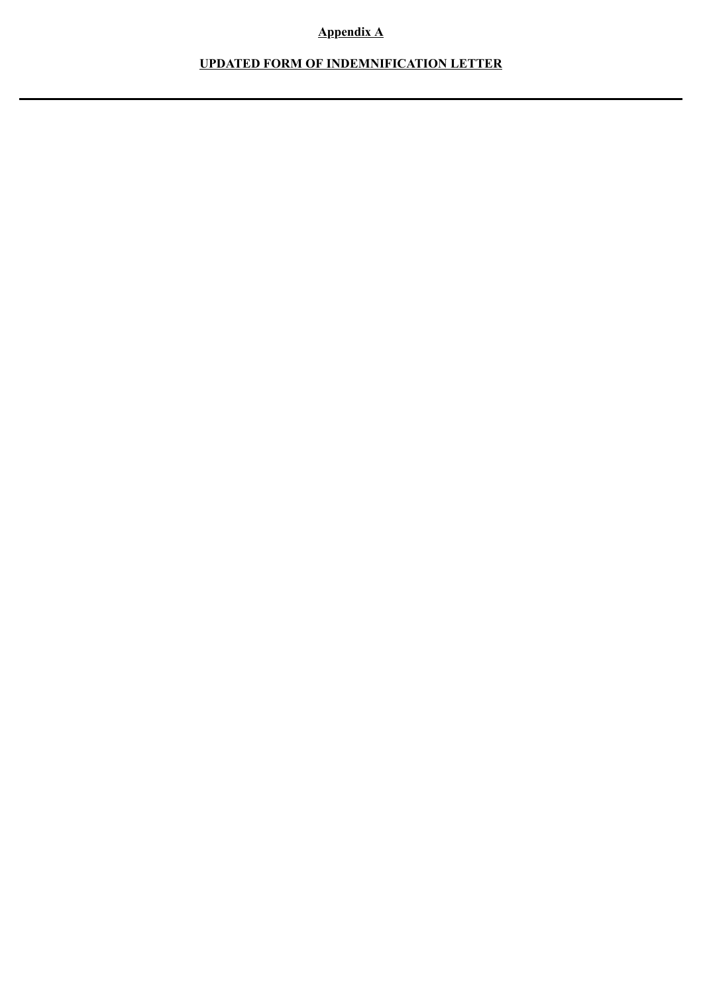# **Appendix A**

# **UPDATED FORM OF INDEMNIFICATION LETTER**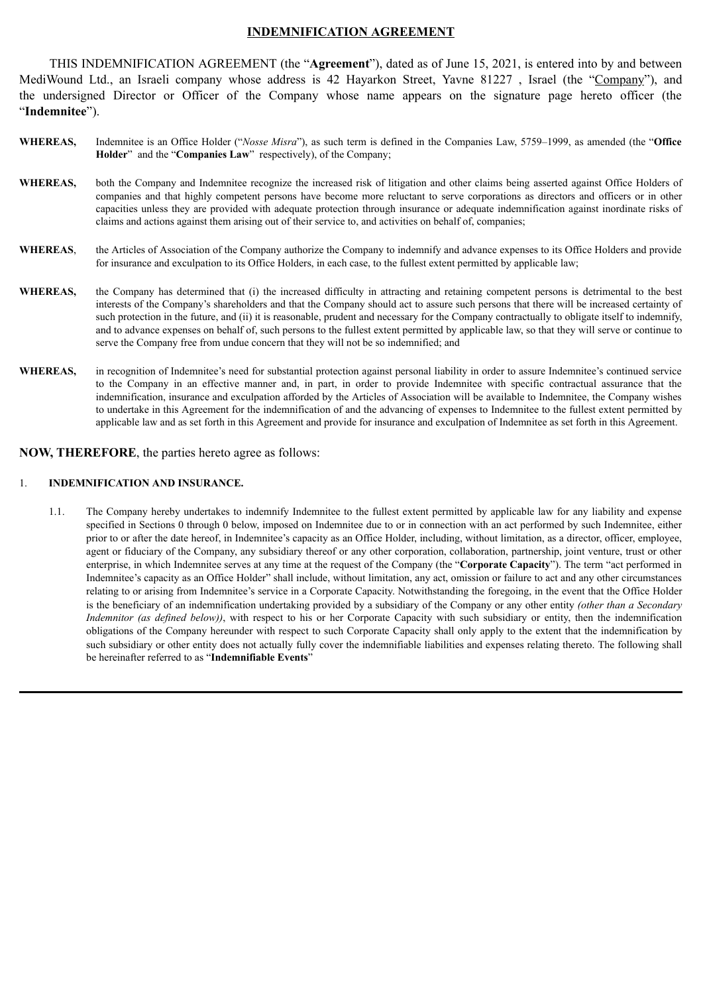## **INDEMNIFICATION AGREEMENT**

THIS INDEMNIFICATION AGREEMENT (the "**Agreement**"), dated as of June 15, 2021, is entered into by and between MediWound Ltd., an Israeli company whose address is 42 Hayarkon Street, Yavne 81227 , Israel (the "Company"), and the undersigned Director or Officer of the Company whose name appears on the signature page hereto officer (the "**Indemnitee**").

- **WHEREAS,** Indemnitee is an Office Holder ("*Nosse Misra*"), as such term is defined in the Companies Law, 5759–1999, as amended (the "**Office Holder**" and the "**Companies Law**" respectively), of the Company;
- **WHEREAS,** both the Company and Indemnitee recognize the increased risk of litigation and other claims being asserted against Office Holders of companies and that highly competent persons have become more reluctant to serve corporations as directors and officers or in other capacities unless they are provided with adequate protection through insurance or adequate indemnification against inordinate risks of claims and actions against them arising out of their service to, and activities on behalf of, companies;
- **WHEREAS**, the Articles of Association of the Company authorize the Company to indemnify and advance expenses to its Office Holders and provide for insurance and exculpation to its Office Holders, in each case, to the fullest extent permitted by applicable law;
- **WHEREAS,** the Company has determined that (i) the increased difficulty in attracting and retaining competent persons is detrimental to the best interests of the Company's shareholders and that the Company should act to assure such persons that there will be increased certainty of such protection in the future, and (ii) it is reasonable, prudent and necessary for the Company contractually to obligate itself to indemnify, and to advance expenses on behalf of, such persons to the fullest extent permitted by applicable law, so that they will serve or continue to serve the Company free from undue concern that they will not be so indemnified; and
- WHEREAS, in recognition of Indemnitee's need for substantial protection against personal liability in order to assure Indemnitee's continued service to the Company in an effective manner and, in part, in order to provide Indemnitee with specific contractual assurance that the indemnification, insurance and exculpation afforded by the Articles of Association will be available to Indemnitee, the Company wishes to undertake in this Agreement for the indemnification of and the advancing of expenses to Indemnitee to the fullest extent permitted by applicable law and as set forth in this Agreement and provide for insurance and exculpation of Indemnitee as set forth in this Agreement.

### **NOW, THEREFORE**, the parties hereto agree as follows:

#### 1. **INDEMNIFICATION AND INSURANCE.**

1.1. The Company hereby undertakes to indemnify Indemnitee to the fullest extent permitted by applicable law for any liability and expense specified in Sections 0 through 0 below, imposed on Indemnitee due to or in connection with an act performed by such Indemnitee, either prior to or after the date hereof, in Indemnitee's capacity as an Office Holder, including, without limitation, as a director, officer, employee, agent or fiduciary of the Company, any subsidiary thereof or any other corporation, collaboration, partnership, joint venture, trust or other enterprise, in which Indemnitee serves at any time at the request of the Company (the "**Corporate Capacity**"). The term "act performed in Indemnitee's capacity as an Office Holder" shall include, without limitation, any act, omission or failure to act and any other circumstances relating to or arising from Indemnitee's service in a Corporate Capacity. Notwithstanding the foregoing, in the event that the Office Holder is the beneficiary of an indemnification undertaking provided by a subsidiary of the Company or any other entity *(other than a Secondary Indemnitor (as defined below))*, with respect to his or her Corporate Capacity with such subsidiary or entity, then the indemnification obligations of the Company hereunder with respect to such Corporate Capacity shall only apply to the extent that the indemnification by such subsidiary or other entity does not actually fully cover the indemnifiable liabilities and expenses relating thereto. The following shall be hereinafter referred to as "**Indemnifiable Events**"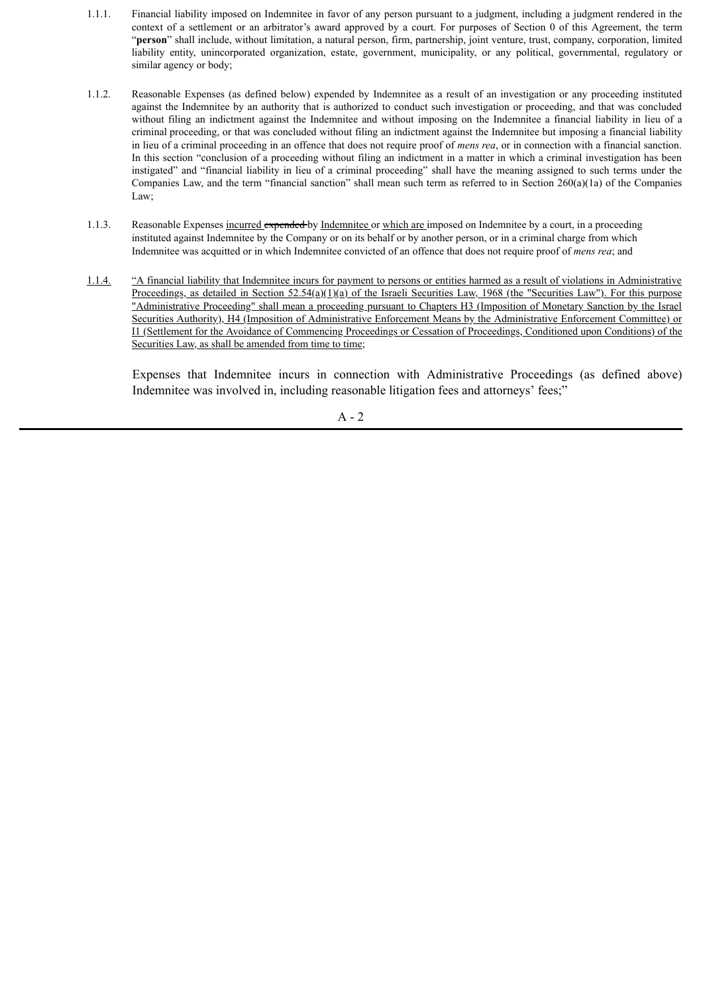- 1.1.1. Financial liability imposed on Indemnitee in favor of any person pursuant to a judgment, including a judgment rendered in the context of a settlement or an arbitrator's award approved by a court. For purposes of Section 0 of this Agreement, the term "**person**" shall include, without limitation, a natural person, firm, partnership, joint venture, trust, company, corporation, limited liability entity, unincorporated organization, estate, government, municipality, or any political, governmental, regulatory or similar agency or body;
- 1.1.2. Reasonable Expenses (as defined below) expended by Indemnitee as a result of an investigation or any proceeding instituted against the Indemnitee by an authority that is authorized to conduct such investigation or proceeding, and that was concluded without filing an indictment against the Indemnitee and without imposing on the Indemnitee a financial liability in lieu of a criminal proceeding, or that was concluded without filing an indictment against the Indemnitee but imposing a financial liability in lieu of a criminal proceeding in an offence that does not require proof of *mens rea*, or in connection with a financial sanction. In this section "conclusion of a proceeding without filing an indictment in a matter in which a criminal investigation has been instigated" and "financial liability in lieu of a criminal proceeding" shall have the meaning assigned to such terms under the Companies Law, and the term "financial sanction" shall mean such term as referred to in Section 260(a)(1a) of the Companies Law;
- 1.1.3. Reasonable Expenses incurred expended by Indemnitee or which are imposed on Indemnitee by a court, in a proceeding instituted against Indemnitee by the Company or on its behalf or by another person, or in a criminal charge from which Indemnitee was acquitted or in which Indemnitee convicted of an offence that does not require proof of *mens rea*; and
- 1.1.4. "A financial liability that Indemnitee incurs for payment to persons or entities harmed as a result of violations in Administrative Proceedings, as detailed in Section 52.54(a)(1)(a) of the Israeli Securities Law, 1968 (the "Securities Law"). For this purpose "Administrative Proceeding" shall mean a proceeding pursuant to Chapters H3 (Imposition of Monetary Sanction by the Israel Securities Authority), H4 (Imposition of Administrative Enforcement Means by the Administrative Enforcement Committee) or I1 (Settlement for the Avoidance of Commencing Proceedings or Cessation of Proceedings, Conditioned upon Conditions) of the Securities Law, as shall be amended from time to time;

Expenses that Indemnitee incurs in connection with Administrative Proceedings (as defined above) Indemnitee was involved in, including reasonable litigation fees and attorneys' fees;"

 $A - 2$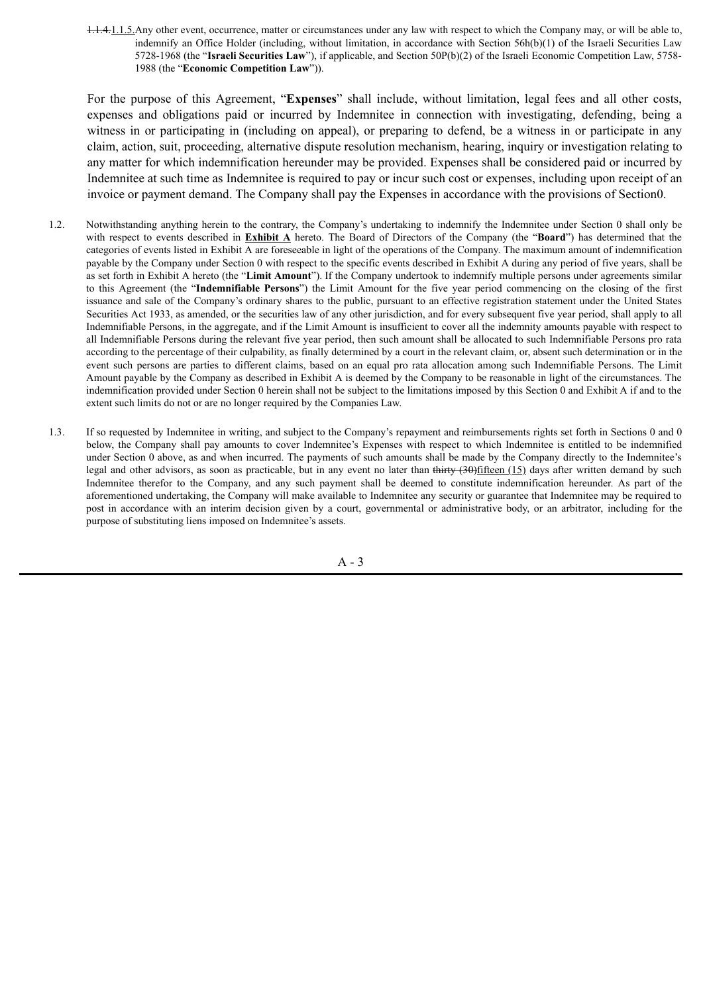1.1.4.1.1.5. Any other event, occurrence, matter or circumstances under any law with respect to which the Company may, or will be able to, indemnify an Office Holder (including, without limitation, in accordance with Section 56h(b)(1) of the Israeli Securities Law 5728-1968 (the "**Israeli Securities Law**"), if applicable, and Section 50P(b)(2) of the Israeli Economic Competition Law, 5758- 1988 (the "**Economic Competition Law**")).

For the purpose of this Agreement, "**Expenses**" shall include, without limitation, legal fees and all other costs, expenses and obligations paid or incurred by Indemnitee in connection with investigating, defending, being a witness in or participating in (including on appeal), or preparing to defend, be a witness in or participate in any claim, action, suit, proceeding, alternative dispute resolution mechanism, hearing, inquiry or investigation relating to any matter for which indemnification hereunder may be provided. Expenses shall be considered paid or incurred by Indemnitee at such time as Indemnitee is required to pay or incur such cost or expenses, including upon receipt of an invoice or payment demand. The Company shall pay the Expenses in accordance with the provisions of Section0.

- 1.2. Notwithstanding anything herein to the contrary, the Company's undertaking to indemnify the Indemnitee under Section 0 shall only be with respect to events described in **Exhibit A** hereto. The Board of Directors of the Company (the "**Board**") has determined that the categories of events listed in Exhibit A are foreseeable in light of the operations of the Company. The maximum amount of indemnification payable by the Company under Section 0 with respect to the specific events described in Exhibit A during any period of five years, shall be as set forth in Exhibit A hereto (the "**Limit Amount**"). If the Company undertook to indemnify multiple persons under agreements similar to this Agreement (the "**Indemnifiable Persons**") the Limit Amount for the five year period commencing on the closing of the first issuance and sale of the Company's ordinary shares to the public, pursuant to an effective registration statement under the United States Securities Act 1933, as amended, or the securities law of any other jurisdiction, and for every subsequent five year period, shall apply to all Indemnifiable Persons, in the aggregate, and if the Limit Amount is insufficient to cover all the indemnity amounts payable with respect to all Indemnifiable Persons during the relevant five year period, then such amount shall be allocated to such Indemnifiable Persons pro rata according to the percentage of their culpability, as finally determined by a court in the relevant claim, or, absent such determination or in the event such persons are parties to different claims, based on an equal pro rata allocation among such Indemnifiable Persons. The Limit Amount payable by the Company as described in Exhibit A is deemed by the Company to be reasonable in light of the circumstances. The indemnification provided under Section 0 herein shall not be subject to the limitations imposed by this Section 0 and Exhibit A if and to the extent such limits do not or are no longer required by the Companies Law.
- 1.3. If so requested by Indemnitee in writing, and subject to the Company's repayment and reimbursements rights set forth in Sections 0 and 0 below, the Company shall pay amounts to cover Indemnitee's Expenses with respect to which Indemnitee is entitled to be indemnified under Section 0 above, as and when incurred. The payments of such amounts shall be made by the Company directly to the Indemnitee's legal and other advisors, as soon as practicable, but in any event no later than thirty  $(30)$  fifteen  $(15)$  days after written demand by such Indemnitee therefor to the Company, and any such payment shall be deemed to constitute indemnification hereunder. As part of the aforementioned undertaking, the Company will make available to Indemnitee any security or guarantee that Indemnitee may be required to post in accordance with an interim decision given by a court, governmental or administrative body, or an arbitrator, including for the purpose of substituting liens imposed on Indemnitee's assets.

A - 3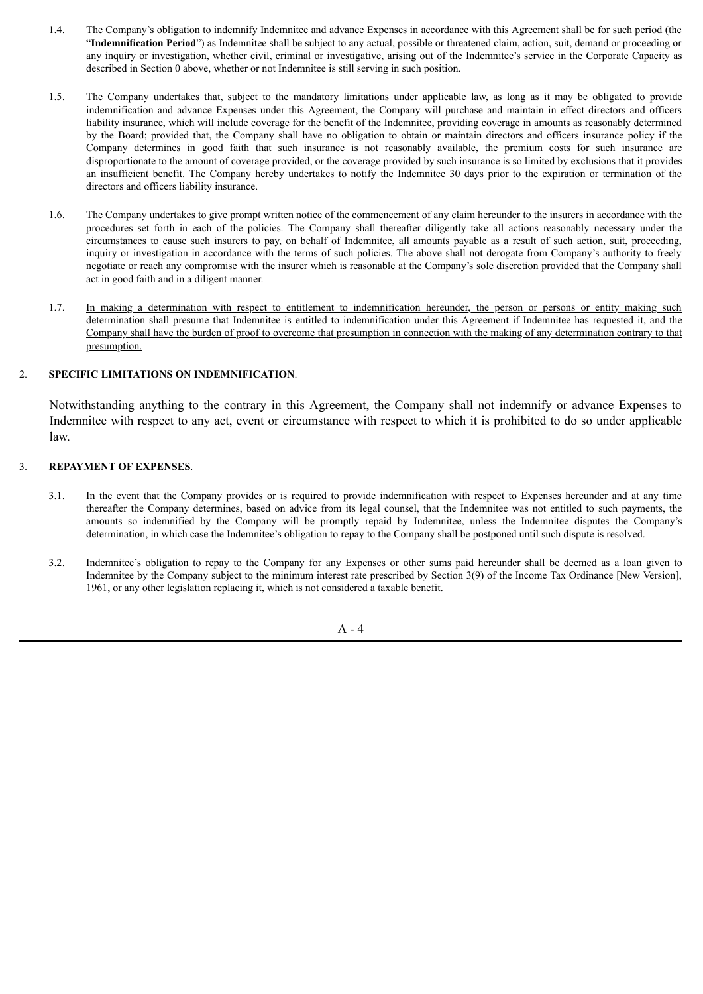- 1.4. The Company's obligation to indemnify Indemnitee and advance Expenses in accordance with this Agreement shall be for such period (the "**Indemnification Period**") as Indemnitee shall be subject to any actual, possible or threatened claim, action, suit, demand or proceeding or any inquiry or investigation, whether civil, criminal or investigative, arising out of the Indemnitee's service in the Corporate Capacity as described in Section 0 above, whether or not Indemnitee is still serving in such position.
- 1.5. The Company undertakes that, subject to the mandatory limitations under applicable law, as long as it may be obligated to provide indemnification and advance Expenses under this Agreement, the Company will purchase and maintain in effect directors and officers liability insurance, which will include coverage for the benefit of the Indemnitee, providing coverage in amounts as reasonably determined by the Board; provided that, the Company shall have no obligation to obtain or maintain directors and officers insurance policy if the Company determines in good faith that such insurance is not reasonably available, the premium costs for such insurance are disproportionate to the amount of coverage provided, or the coverage provided by such insurance is so limited by exclusions that it provides an insufficient benefit. The Company hereby undertakes to notify the Indemnitee 30 days prior to the expiration or termination of the directors and officers liability insurance.
- 1.6. The Company undertakes to give prompt written notice of the commencement of any claim hereunder to the insurers in accordance with the procedures set forth in each of the policies. The Company shall thereafter diligently take all actions reasonably necessary under the circumstances to cause such insurers to pay, on behalf of Indemnitee, all amounts payable as a result of such action, suit, proceeding, inquiry or investigation in accordance with the terms of such policies. The above shall not derogate from Company's authority to freely negotiate or reach any compromise with the insurer which is reasonable at the Company's sole discretion provided that the Company shall act in good faith and in a diligent manner.
- 1.7. In making a determination with respect to entitlement to indemnification hereunder, the person or persons or entity making such determination shall presume that Indemnitee is entitled to indemnification under this Agreement if Indemnitee has requested it, and the Company shall have the burden of proof to overcome that presumption in connection with the making of any determination contrary to that presumption.

#### 2. **SPECIFIC LIMITATIONS ON INDEMNIFICATION**.

Notwithstanding anything to the contrary in this Agreement, the Company shall not indemnify or advance Expenses to Indemnitee with respect to any act, event or circumstance with respect to which it is prohibited to do so under applicable law.

#### 3. **REPAYMENT OF EXPENSES**.

- 3.1. In the event that the Company provides or is required to provide indemnification with respect to Expenses hereunder and at any time thereafter the Company determines, based on advice from its legal counsel, that the Indemnitee was not entitled to such payments, the amounts so indemnified by the Company will be promptly repaid by Indemnitee, unless the Indemnitee disputes the Company's determination, in which case the Indemnitee's obligation to repay to the Company shall be postponed until such dispute is resolved.
- 3.2. Indemnitee's obligation to repay to the Company for any Expenses or other sums paid hereunder shall be deemed as a loan given to Indemnitee by the Company subject to the minimum interest rate prescribed by Section 3(9) of the Income Tax Ordinance [New Version], 1961, or any other legislation replacing it, which is not considered a taxable benefit.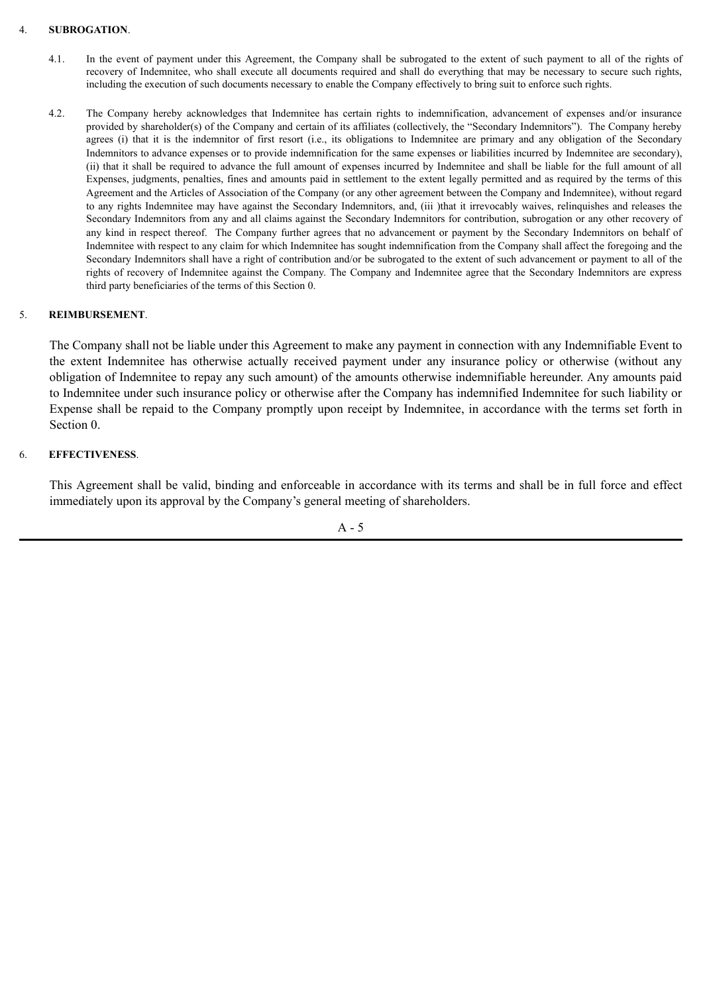#### 4. **SUBROGATION**.

- 4.1. In the event of payment under this Agreement, the Company shall be subrogated to the extent of such payment to all of the rights of recovery of Indemnitee, who shall execute all documents required and shall do everything that may be necessary to secure such rights, including the execution of such documents necessary to enable the Company effectively to bring suit to enforce such rights.
- 4.2. The Company hereby acknowledges that Indemnitee has certain rights to indemnification, advancement of expenses and/or insurance provided by shareholder(s) of the Company and certain of its affiliates (collectively, the "Secondary Indemnitors"). The Company hereby agrees (i) that it is the indemnitor of first resort (i.e., its obligations to Indemnitee are primary and any obligation of the Secondary Indemnitors to advance expenses or to provide indemnification for the same expenses or liabilities incurred by Indemnitee are secondary), (ii) that it shall be required to advance the full amount of expenses incurred by Indemnitee and shall be liable for the full amount of all Expenses, judgments, penalties, fines and amounts paid in settlement to the extent legally permitted and as required by the terms of this Agreement and the Articles of Association of the Company (or any other agreement between the Company and Indemnitee), without regard to any rights Indemnitee may have against the Secondary Indemnitors, and, (iii )that it irrevocably waives, relinquishes and releases the Secondary Indemnitors from any and all claims against the Secondary Indemnitors for contribution, subrogation or any other recovery of any kind in respect thereof. The Company further agrees that no advancement or payment by the Secondary Indemnitors on behalf of Indemnitee with respect to any claim for which Indemnitee has sought indemnification from the Company shall affect the foregoing and the Secondary Indemnitors shall have a right of contribution and/or be subrogated to the extent of such advancement or payment to all of the rights of recovery of Indemnitee against the Company. The Company and Indemnitee agree that the Secondary Indemnitors are express third party beneficiaries of the terms of this Section 0.

# 5. **REIMBURSEMENT**.

The Company shall not be liable under this Agreement to make any payment in connection with any Indemnifiable Event to the extent Indemnitee has otherwise actually received payment under any insurance policy or otherwise (without any obligation of Indemnitee to repay any such amount) of the amounts otherwise indemnifiable hereunder. Any amounts paid to Indemnitee under such insurance policy or otherwise after the Company has indemnified Indemnitee for such liability or Expense shall be repaid to the Company promptly upon receipt by Indemnitee, in accordance with the terms set forth in Section 0.

### 6. **EFFECTIVENESS**.

This Agreement shall be valid, binding and enforceable in accordance with its terms and shall be in full force and effect immediately upon its approval by the Company's general meeting of shareholders.

 $A - 5$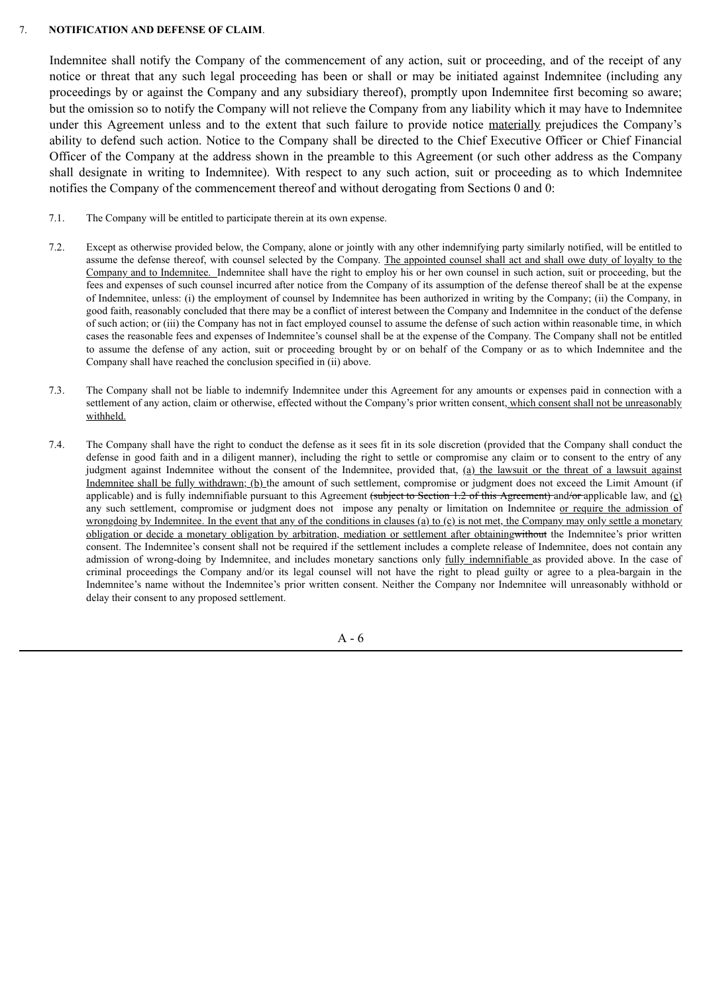#### 7. **NOTIFICATION AND DEFENSE OF CLAIM**.

Indemnitee shall notify the Company of the commencement of any action, suit or proceeding, and of the receipt of any notice or threat that any such legal proceeding has been or shall or may be initiated against Indemnitee (including any proceedings by or against the Company and any subsidiary thereof), promptly upon Indemnitee first becoming so aware; but the omission so to notify the Company will not relieve the Company from any liability which it may have to Indemnitee under this Agreement unless and to the extent that such failure to provide notice materially prejudices the Company's ability to defend such action. Notice to the Company shall be directed to the Chief Executive Officer or Chief Financial Officer of the Company at the address shown in the preamble to this Agreement (or such other address as the Company shall designate in writing to Indemnitee). With respect to any such action, suit or proceeding as to which Indemnitee notifies the Company of the commencement thereof and without derogating from Sections 0 and 0:

- 7.1. The Company will be entitled to participate therein at its own expense.
- 7.2. Except as otherwise provided below, the Company, alone or jointly with any other indemnifying party similarly notified, will be entitled to assume the defense thereof, with counsel selected by the Company. The appointed counsel shall act and shall owe duty of loyalty to the Company and to Indemnitee. Indemnitee shall have the right to employ his or her own counsel in such action, suit or proceeding, but the fees and expenses of such counsel incurred after notice from the Company of its assumption of the defense thereof shall be at the expense of Indemnitee, unless: (i) the employment of counsel by Indemnitee has been authorized in writing by the Company; (ii) the Company, in good faith, reasonably concluded that there may be a conflict of interest between the Company and Indemnitee in the conduct of the defense of such action; or (iii) the Company has not in fact employed counsel to assume the defense of such action within reasonable time, in which cases the reasonable fees and expenses of Indemnitee's counsel shall be at the expense of the Company. The Company shall not be entitled to assume the defense of any action, suit or proceeding brought by or on behalf of the Company or as to which Indemnitee and the Company shall have reached the conclusion specified in (ii) above.
- 7.3. The Company shall not be liable to indemnify Indemnitee under this Agreement for any amounts or expenses paid in connection with a settlement of any action, claim or otherwise, effected without the Company's prior written consent, which consent shall not be unreasonably withheld.
- 7.4. The Company shall have the right to conduct the defense as it sees fit in its sole discretion (provided that the Company shall conduct the defense in good faith and in a diligent manner), including the right to settle or compromise any claim or to consent to the entry of any judgment against Indemnitee without the consent of the Indemnitee, provided that, (a) the lawsuit or the threat of a lawsuit against Indemnitee shall be fully withdrawn; (b) the amount of such settlement, compromise or judgment does not exceed the Limit Amount (if applicable) and is fully indemnifiable pursuant to this Agreement (subject to Section 1.2 of this Agreement) and/or applicable law, and  $(c)$ any such settlement, compromise or judgment does not impose any penalty or limitation on Indemnitee or require the admission of wrongdoing by Indemnitee. In the event that any of the conditions in clauses (a) to (c) is not met, the Company may only settle a monetary obligation or decide a monetary obligation by arbitration, mediation or settlement after obtainingwithout the Indemnitee's prior written consent. The Indemnitee's consent shall not be required if the settlement includes a complete release of Indemnitee, does not contain any admission of wrong-doing by Indemnitee, and includes monetary sanctions only fully indemnifiable as provided above. In the case of criminal proceedings the Company and/or its legal counsel will not have the right to plead guilty or agree to a plea-bargain in the Indemnitee's name without the Indemnitee's prior written consent. Neither the Company nor Indemnitee will unreasonably withhold or delay their consent to any proposed settlement.

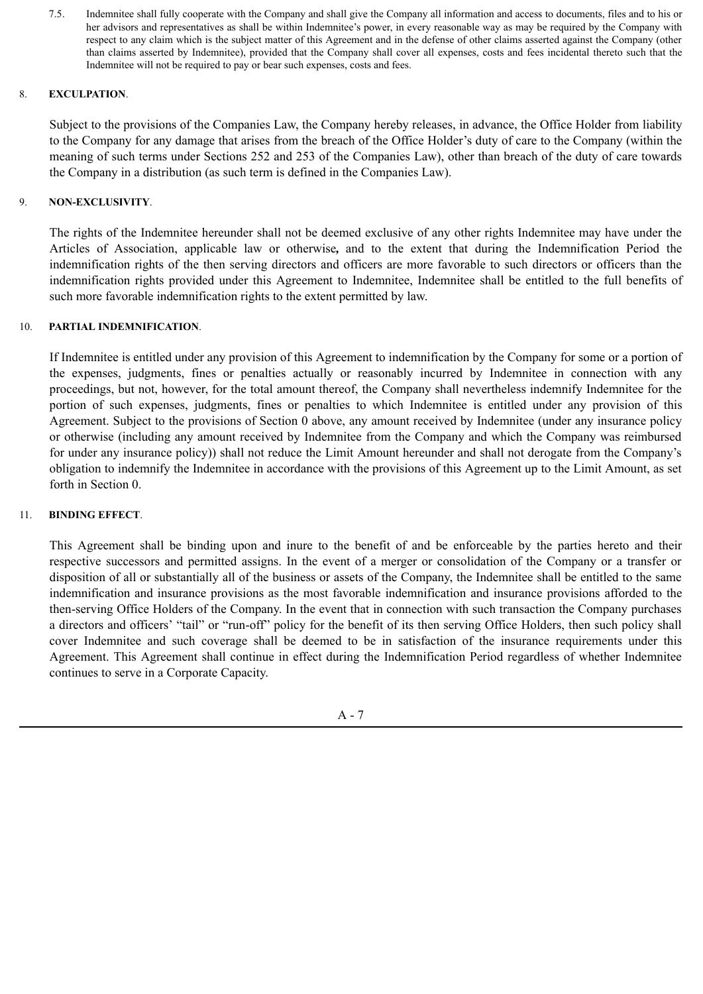7.5. Indemnitee shall fully cooperate with the Company and shall give the Company all information and access to documents, files and to his or her advisors and representatives as shall be within Indemnitee's power, in every reasonable way as may be required by the Company with respect to any claim which is the subject matter of this Agreement and in the defense of other claims asserted against the Company (other than claims asserted by Indemnitee), provided that the Company shall cover all expenses, costs and fees incidental thereto such that the Indemnitee will not be required to pay or bear such expenses, costs and fees.

### 8. **EXCULPATION**.

Subject to the provisions of the Companies Law, the Company hereby releases, in advance, the Office Holder from liability to the Company for any damage that arises from the breach of the Office Holder's duty of care to the Company (within the meaning of such terms under Sections 252 and 253 of the Companies Law), other than breach of the duty of care towards the Company in a distribution (as such term is defined in the Companies Law).

# 9. **NON-EXCLUSIVITY**.

The rights of the Indemnitee hereunder shall not be deemed exclusive of any other rights Indemnitee may have under the Articles of Association, applicable law or otherwise*,* and to the extent that during the Indemnification Period the indemnification rights of the then serving directors and officers are more favorable to such directors or officers than the indemnification rights provided under this Agreement to Indemnitee, Indemnitee shall be entitled to the full benefits of such more favorable indemnification rights to the extent permitted by law.

### 10. **PARTIAL INDEMNIFICATION**.

If Indemnitee is entitled under any provision of this Agreement to indemnification by the Company for some or a portion of the expenses, judgments, fines or penalties actually or reasonably incurred by Indemnitee in connection with any proceedings, but not, however, for the total amount thereof, the Company shall nevertheless indemnify Indemnitee for the portion of such expenses, judgments, fines or penalties to which Indemnitee is entitled under any provision of this Agreement. Subject to the provisions of Section 0 above, any amount received by Indemnitee (under any insurance policy or otherwise (including any amount received by Indemnitee from the Company and which the Company was reimbursed for under any insurance policy)) shall not reduce the Limit Amount hereunder and shall not derogate from the Company's obligation to indemnify the Indemnitee in accordance with the provisions of this Agreement up to the Limit Amount, as set forth in Section 0.

# 11. **BINDING EFFECT**.

This Agreement shall be binding upon and inure to the benefit of and be enforceable by the parties hereto and their respective successors and permitted assigns. In the event of a merger or consolidation of the Company or a transfer or disposition of all or substantially all of the business or assets of the Company, the Indemnitee shall be entitled to the same indemnification and insurance provisions as the most favorable indemnification and insurance provisions afforded to the then-serving Office Holders of the Company. In the event that in connection with such transaction the Company purchases a directors and officers' "tail" or "run-off" policy for the benefit of its then serving Office Holders, then such policy shall cover Indemnitee and such coverage shall be deemed to be in satisfaction of the insurance requirements under this Agreement. This Agreement shall continue in effect during the Indemnification Period regardless of whether Indemnitee continues to serve in a Corporate Capacity.

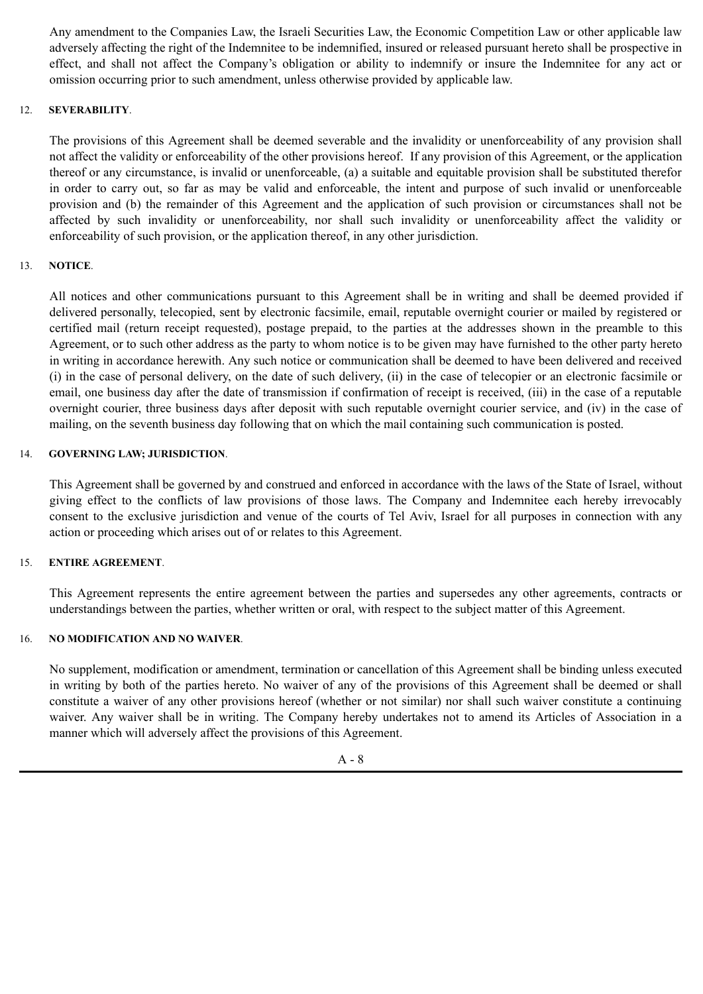Any amendment to the Companies Law, the Israeli Securities Law, the Economic Competition Law or other applicable law adversely affecting the right of the Indemnitee to be indemnified, insured or released pursuant hereto shall be prospective in effect, and shall not affect the Company's obligation or ability to indemnify or insure the Indemnitee for any act or omission occurring prior to such amendment, unless otherwise provided by applicable law.

### 12. **SEVERABILITY**.

The provisions of this Agreement shall be deemed severable and the invalidity or unenforceability of any provision shall not affect the validity or enforceability of the other provisions hereof. If any provision of this Agreement, or the application thereof or any circumstance, is invalid or unenforceable, (a) a suitable and equitable provision shall be substituted therefor in order to carry out, so far as may be valid and enforceable, the intent and purpose of such invalid or unenforceable provision and (b) the remainder of this Agreement and the application of such provision or circumstances shall not be affected by such invalidity or unenforceability, nor shall such invalidity or unenforceability affect the validity or enforceability of such provision, or the application thereof, in any other jurisdiction.

### 13. **NOTICE**.

All notices and other communications pursuant to this Agreement shall be in writing and shall be deemed provided if delivered personally, telecopied, sent by electronic facsimile, email, reputable overnight courier or mailed by registered or certified mail (return receipt requested), postage prepaid, to the parties at the addresses shown in the preamble to this Agreement, or to such other address as the party to whom notice is to be given may have furnished to the other party hereto in writing in accordance herewith. Any such notice or communication shall be deemed to have been delivered and received (i) in the case of personal delivery, on the date of such delivery, (ii) in the case of telecopier or an electronic facsimile or email, one business day after the date of transmission if confirmation of receipt is received, (iii) in the case of a reputable overnight courier, three business days after deposit with such reputable overnight courier service, and (iv) in the case of mailing, on the seventh business day following that on which the mail containing such communication is posted.

### 14. **GOVERNING LAW; JURISDICTION**.

This Agreement shall be governed by and construed and enforced in accordance with the laws of the State of Israel, without giving effect to the conflicts of law provisions of those laws. The Company and Indemnitee each hereby irrevocably consent to the exclusive jurisdiction and venue of the courts of Tel Aviv, Israel for all purposes in connection with any action or proceeding which arises out of or relates to this Agreement.

#### 15. **ENTIRE AGREEMENT**.

This Agreement represents the entire agreement between the parties and supersedes any other agreements, contracts or understandings between the parties, whether written or oral, with respect to the subject matter of this Agreement.

### 16. **NO MODIFICATION AND NO WAIVER**.

No supplement, modification or amendment, termination or cancellation of this Agreement shall be binding unless executed in writing by both of the parties hereto. No waiver of any of the provisions of this Agreement shall be deemed or shall constitute a waiver of any other provisions hereof (whether or not similar) nor shall such waiver constitute a continuing waiver. Any waiver shall be in writing. The Company hereby undertakes not to amend its Articles of Association in a manner which will adversely affect the provisions of this Agreement.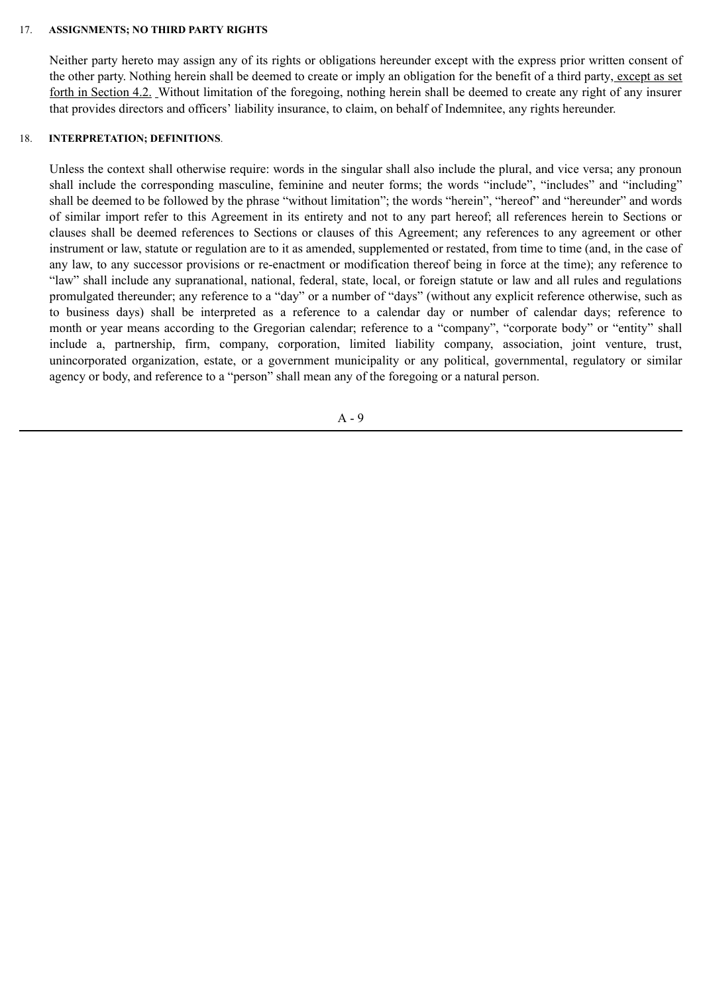#### 17. **ASSIGNMENTS; NO THIRD PARTY RIGHTS**

Neither party hereto may assign any of its rights or obligations hereunder except with the express prior written consent of the other party. Nothing herein shall be deemed to create or imply an obligation for the benefit of a third party, except as set forth in Section 4.2. Without limitation of the foregoing, nothing herein shall be deemed to create any right of any insurer that provides directors and officers' liability insurance, to claim, on behalf of Indemnitee, any rights hereunder.

### 18. **INTERPRETATION; DEFINITIONS**.

Unless the context shall otherwise require: words in the singular shall also include the plural, and vice versa; any pronoun shall include the corresponding masculine, feminine and neuter forms; the words "include", "includes" and "including" shall be deemed to be followed by the phrase "without limitation"; the words "herein", "hereof" and "hereunder" and words of similar import refer to this Agreement in its entirety and not to any part hereof; all references herein to Sections or clauses shall be deemed references to Sections or clauses of this Agreement; any references to any agreement or other instrument or law, statute or regulation are to it as amended, supplemented or restated, from time to time (and, in the case of any law, to any successor provisions or re-enactment or modification thereof being in force at the time); any reference to "law" shall include any supranational, national, federal, state, local, or foreign statute or law and all rules and regulations promulgated thereunder; any reference to a "day" or a number of "days" (without any explicit reference otherwise, such as to business days) shall be interpreted as a reference to a calendar day or number of calendar days; reference to month or year means according to the Gregorian calendar; reference to a "company", "corporate body" or "entity" shall include a, partnership, firm, company, corporation, limited liability company, association, joint venture, trust, unincorporated organization, estate, or a government municipality or any political, governmental, regulatory or similar agency or body, and reference to a "person" shall mean any of the foregoing or a natural person.

A - 9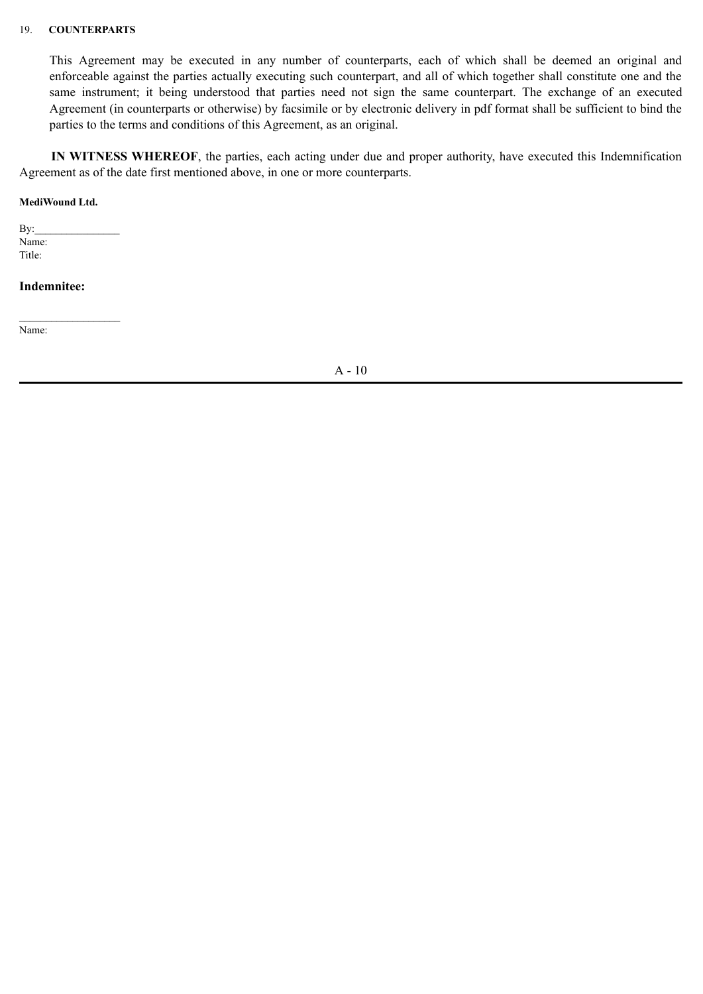#### 19. **COUNTERPARTS**

This Agreement may be executed in any number of counterparts, each of which shall be deemed an original and enforceable against the parties actually executing such counterpart, and all of which together shall constitute one and the same instrument; it being understood that parties need not sign the same counterpart. The exchange of an executed Agreement (in counterparts or otherwise) by facsimile or by electronic delivery in pdf format shall be sufficient to bind the parties to the terms and conditions of this Agreement, as an original.

**IN WITNESS WHEREOF**, the parties, each acting under due and proper authority, have executed this Indemnification Agreement as of the date first mentioned above, in one or more counterparts.

#### **MediWound Ltd.**

 $Bv:$ Name: Title:

 $\mathcal{L}_\text{max}$ 

**Indemnitee:**

Name:

A - 10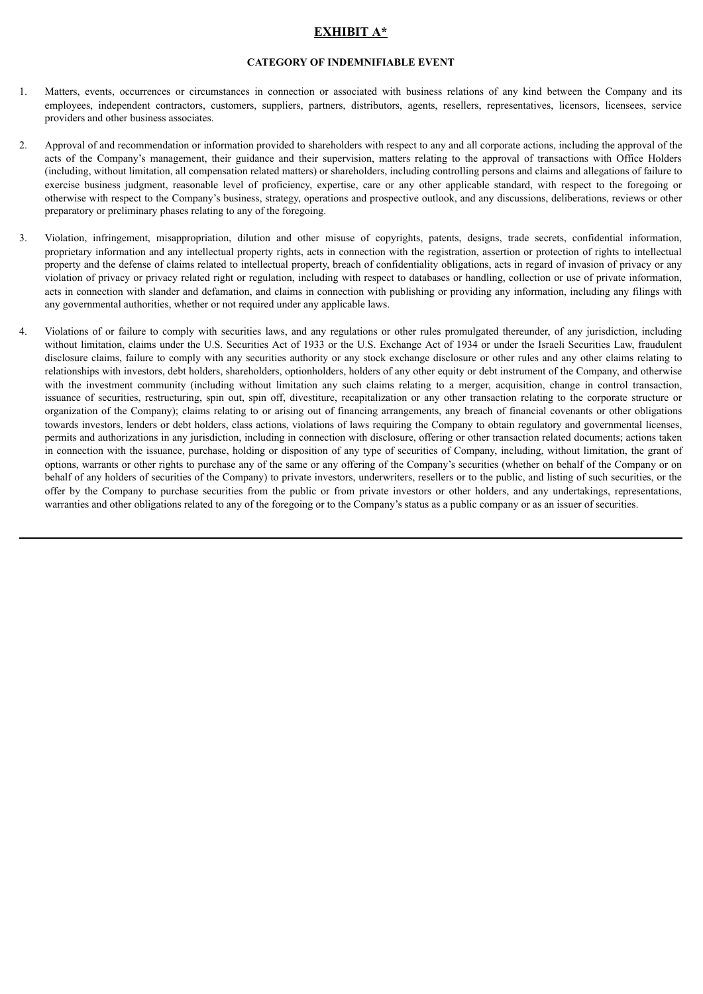# **EXHIBIT A\***

#### **CATEGORY OF INDEMNIFIABLE EVENT**

- 1. Matters, events, occurrences or circumstances in connection or associated with business relations of any kind between the Company and its employees, independent contractors, customers, suppliers, partners, distributors, agents, resellers, representatives, licensors, licensees, service providers and other business associates.
- 2. Approval of and recommendation or information provided to shareholders with respect to any and all corporate actions, including the approval of the acts of the Company's management, their guidance and their supervision, matters relating to the approval of transactions with Office Holders (including, without limitation, all compensation related matters) or shareholders, including controlling persons and claims and allegations of failure to exercise business judgment, reasonable level of proficiency, expertise, care or any other applicable standard, with respect to the foregoing or otherwise with respect to the Company's business, strategy, operations and prospective outlook, and any discussions, deliberations, reviews or other preparatory or preliminary phases relating to any of the foregoing.
- 3. Violation, infringement, misappropriation, dilution and other misuse of copyrights, patents, designs, trade secrets, confidential information, proprietary information and any intellectual property rights, acts in connection with the registration, assertion or protection of rights to intellectual property and the defense of claims related to intellectual property, breach of confidentiality obligations, acts in regard of invasion of privacy or any violation of privacy or privacy related right or regulation, including with respect to databases or handling, collection or use of private information, acts in connection with slander and defamation, and claims in connection with publishing or providing any information, including any filings with any governmental authorities, whether or not required under any applicable laws.
- 4. Violations of or failure to comply with securities laws, and any regulations or other rules promulgated thereunder, of any jurisdiction, including without limitation, claims under the U.S. Securities Act of 1933 or the U.S. Exchange Act of 1934 or under the Israeli Securities Law, fraudulent disclosure claims, failure to comply with any securities authority or any stock exchange disclosure or other rules and any other claims relating to relationships with investors, debt holders, shareholders, optionholders, holders of any other equity or debt instrument of the Company, and otherwise with the investment community (including without limitation any such claims relating to a merger, acquisition, change in control transaction, issuance of securities, restructuring, spin out, spin off, divestiture, recapitalization or any other transaction relating to the corporate structure or organization of the Company); claims relating to or arising out of financing arrangements, any breach of financial covenants or other obligations towards investors, lenders or debt holders, class actions, violations of laws requiring the Company to obtain regulatory and governmental licenses, permits and authorizations in any jurisdiction, including in connection with disclosure, offering or other transaction related documents; actions taken in connection with the issuance, purchase, holding or disposition of any type of securities of Company, including, without limitation, the grant of options, warrants or other rights to purchase any of the same or any offering of the Company's securities (whether on behalf of the Company or on behalf of any holders of securities of the Company) to private investors, underwriters, resellers or to the public, and listing of such securities, or the offer by the Company to purchase securities from the public or from private investors or other holders, and any undertakings, representations, warranties and other obligations related to any of the foregoing or to the Company's status as a public company or as an issuer of securities.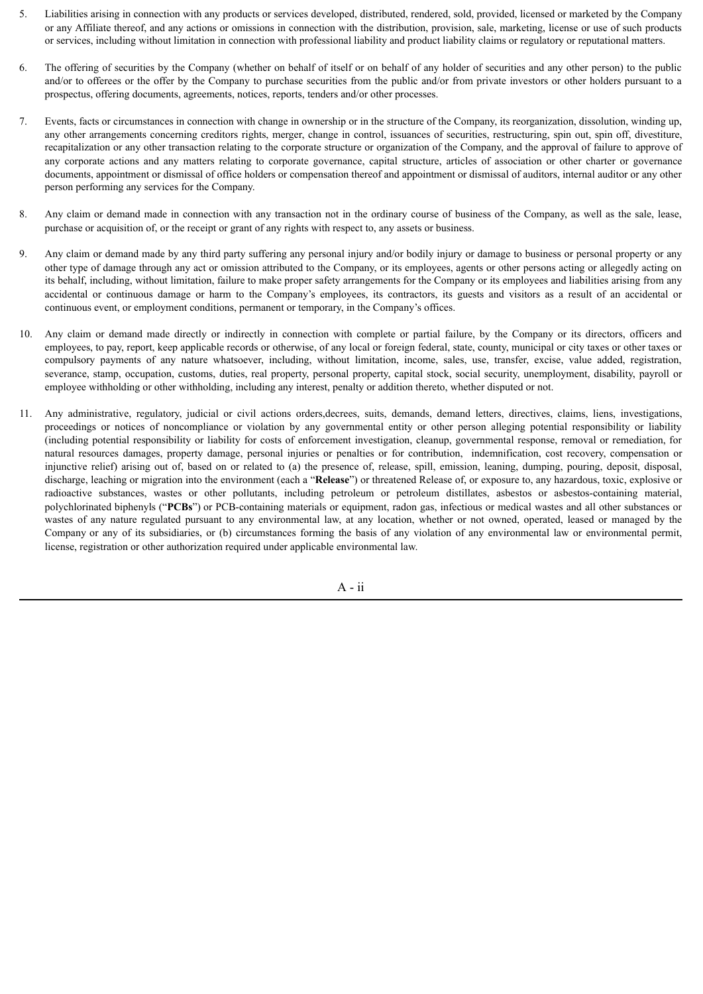- 5. Liabilities arising in connection with any products or services developed, distributed, rendered, sold, provided, licensed or marketed by the Company or any Affiliate thereof, and any actions or omissions in connection with the distribution, provision, sale, marketing, license or use of such products or services, including without limitation in connection with professional liability and product liability claims or regulatory or reputational matters.
- 6. The offering of securities by the Company (whether on behalf of itself or on behalf of any holder of securities and any other person) to the public and/or to offerees or the offer by the Company to purchase securities from the public and/or from private investors or other holders pursuant to a prospectus, offering documents, agreements, notices, reports, tenders and/or other processes.
- 7. Events, facts or circumstances in connection with change in ownership or in the structure of the Company, its reorganization, dissolution, winding up, any other arrangements concerning creditors rights, merger, change in control, issuances of securities, restructuring, spin out, spin off, divestiture, recapitalization or any other transaction relating to the corporate structure or organization of the Company, and the approval of failure to approve of any corporate actions and any matters relating to corporate governance, capital structure, articles of association or other charter or governance documents, appointment or dismissal of office holders or compensation thereof and appointment or dismissal of auditors, internal auditor or any other person performing any services for the Company.
- 8. Any claim or demand made in connection with any transaction not in the ordinary course of business of the Company, as well as the sale, lease, purchase or acquisition of, or the receipt or grant of any rights with respect to, any assets or business.
- 9. Any claim or demand made by any third party suffering any personal injury and/or bodily injury or damage to business or personal property or any other type of damage through any act or omission attributed to the Company, or its employees, agents or other persons acting or allegedly acting on its behalf, including, without limitation, failure to make proper safety arrangements for the Company or its employees and liabilities arising from any accidental or continuous damage or harm to the Company's employees, its contractors, its guests and visitors as a result of an accidental or continuous event, or employment conditions, permanent or temporary, in the Company's offices.
- 10. Any claim or demand made directly or indirectly in connection with complete or partial failure, by the Company or its directors, officers and employees, to pay, report, keep applicable records or otherwise, of any local or foreign federal, state, county, municipal or city taxes or other taxes or compulsory payments of any nature whatsoever, including, without limitation, income, sales, use, transfer, excise, value added, registration, severance, stamp, occupation, customs, duties, real property, personal property, capital stock, social security, unemployment, disability, payroll or employee withholding or other withholding, including any interest, penalty or addition thereto, whether disputed or not.
- 11. Any administrative, regulatory, judicial or civil actions orders,decrees, suits, demands, demand letters, directives, claims, liens, investigations, proceedings or notices of noncompliance or violation by any governmental entity or other person alleging potential responsibility or liability (including potential responsibility or liability for costs of enforcement investigation, cleanup, governmental response, removal or remediation, for natural resources damages, property damage, personal injuries or penalties or for contribution, indemnification, cost recovery, compensation or injunctive relief) arising out of, based on or related to (a) the presence of, release, spill, emission, leaning, dumping, pouring, deposit, disposal, discharge, leaching or migration into the environment (each a "**Release**") or threatened Release of, or exposure to, any hazardous, toxic, explosive or radioactive substances, wastes or other pollutants, including petroleum or petroleum distillates, asbestos or asbestos-containing material, polychlorinated biphenyls ("**PCBs**") or PCB-containing materials or equipment, radon gas, infectious or medical wastes and all other substances or wastes of any nature regulated pursuant to any environmental law, at any location, whether or not owned, operated, leased or managed by the Company or any of its subsidiaries, or (b) circumstances forming the basis of any violation of any environmental law or environmental permit, license, registration or other authorization required under applicable environmental law.

 $A - ii$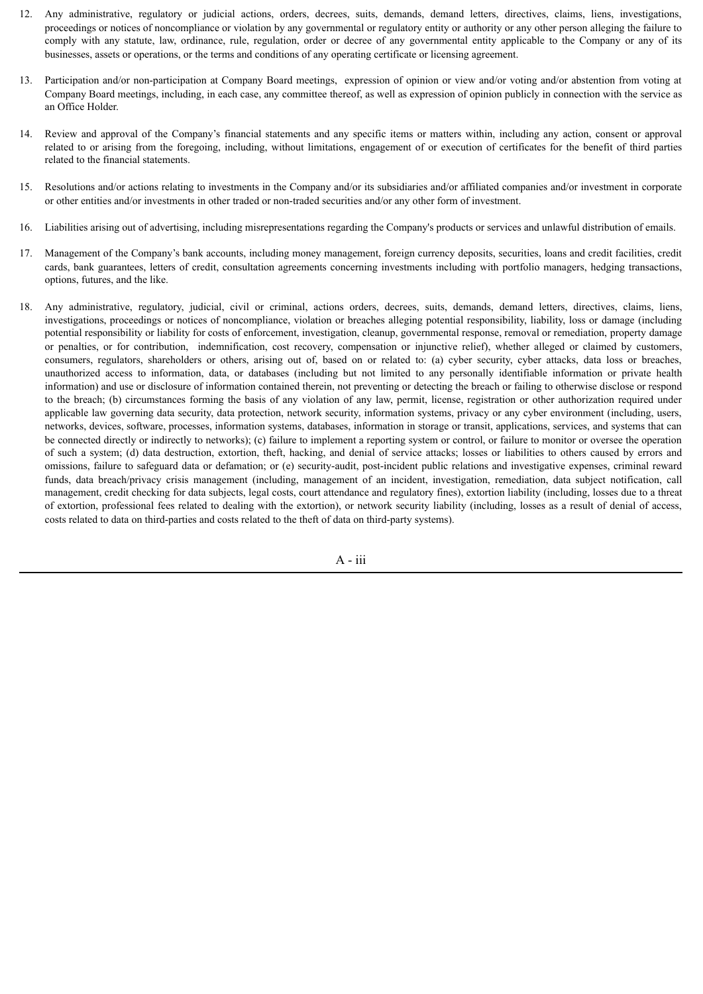- 12. Any administrative, regulatory or judicial actions, orders, decrees, suits, demands, demand letters, directives, claims, liens, investigations, proceedings or notices of noncompliance or violation by any governmental or regulatory entity or authority or any other person alleging the failure to comply with any statute, law, ordinance, rule, regulation, order or decree of any governmental entity applicable to the Company or any of its businesses, assets or operations, or the terms and conditions of any operating certificate or licensing agreement.
- 13. Participation and/or non-participation at Company Board meetings, expression of opinion or view and/or voting and/or abstention from voting at Company Board meetings, including, in each case, any committee thereof, as well as expression of opinion publicly in connection with the service as an Office Holder.
- 14. Review and approval of the Company's financial statements and any specific items or matters within, including any action, consent or approval related to or arising from the foregoing, including, without limitations, engagement of or execution of certificates for the benefit of third parties related to the financial statements.
- 15. Resolutions and/or actions relating to investments in the Company and/or its subsidiaries and/or affiliated companies and/or investment in corporate or other entities and/or investments in other traded or non-traded securities and/or any other form of investment.
- 16. Liabilities arising out of advertising, including misrepresentations regarding the Company's products or services and unlawful distribution of emails.
- 17. Management of the Company's bank accounts, including money management, foreign currency deposits, securities, loans and credit facilities, credit cards, bank guarantees, letters of credit, consultation agreements concerning investments including with portfolio managers, hedging transactions, options, futures, and the like.
- 18. Any administrative, regulatory, judicial, civil or criminal, actions orders, decrees, suits, demands, demand letters, directives, claims, liens, investigations, proceedings or notices of noncompliance, violation or breaches alleging potential responsibility, liability, loss or damage (including potential responsibility or liability for costs of enforcement, investigation, cleanup, governmental response, removal or remediation, property damage or penalties, or for contribution, indemnification, cost recovery, compensation or injunctive relief), whether alleged or claimed by customers, consumers, regulators, shareholders or others, arising out of, based on or related to: (a) cyber security, cyber attacks, data loss or breaches, unauthorized access to information, data, or databases (including but not limited to any personally identifiable information or private health information) and use or disclosure of information contained therein, not preventing or detecting the breach or failing to otherwise disclose or respond to the breach; (b) circumstances forming the basis of any violation of any law, permit, license, registration or other authorization required under applicable law governing data security, data protection, network security, information systems, privacy or any cyber environment (including, users, networks, devices, software, processes, information systems, databases, information in storage or transit, applications, services, and systems that can be connected directly or indirectly to networks); (c) failure to implement a reporting system or control, or failure to monitor or oversee the operation of such a system; (d) data destruction, extortion, theft, hacking, and denial of service attacks; losses or liabilities to others caused by errors and omissions, failure to safeguard data or defamation; or (e) security-audit, post-incident public relations and investigative expenses, criminal reward funds, data breach/privacy crisis management (including, management of an incident, investigation, remediation, data subject notification, call management, credit checking for data subjects, legal costs, court attendance and regulatory fines), extortion liability (including, losses due to a threat of extortion, professional fees related to dealing with the extortion), or network security liability (including, losses as a result of denial of access, costs related to data on third-parties and costs related to the theft of data on third-party systems).

A - iii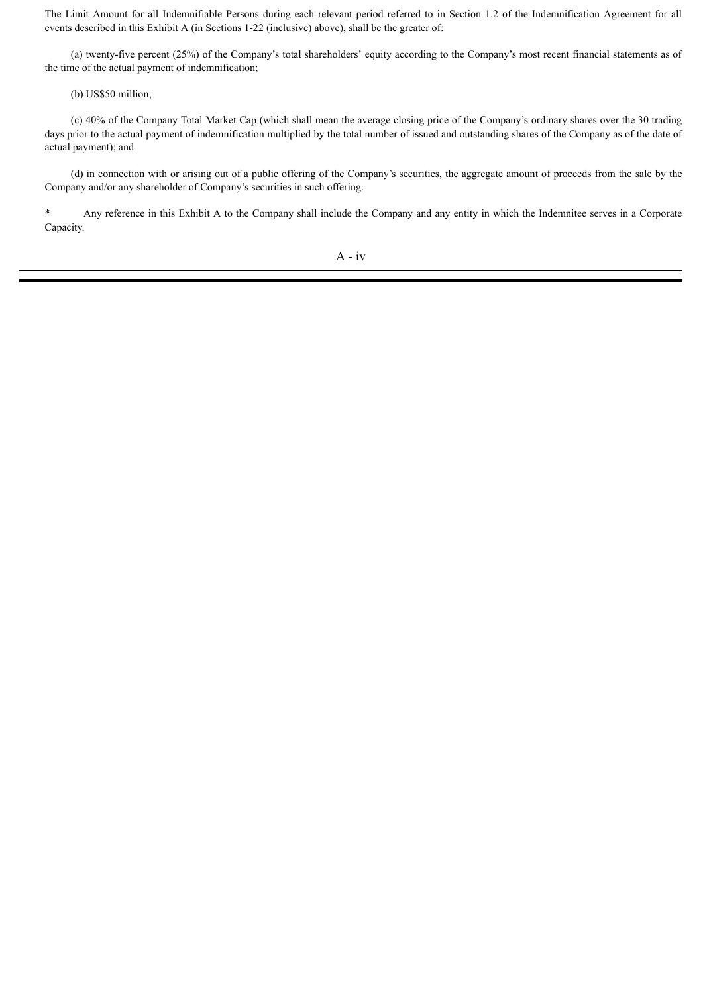The Limit Amount for all Indemnifiable Persons during each relevant period referred to in Section 1.2 of the Indemnification Agreement for all events described in this Exhibit A (in Sections 1-22 (inclusive) above), shall be the greater of:

(a) twenty-five percent (25%) of the Company's total shareholders' equity according to the Company's most recent financial statements as of the time of the actual payment of indemnification;

(b) US\$50 million;

(c) 40% of the Company Total Market Cap (which shall mean the average closing price of the Company's ordinary shares over the 30 trading days prior to the actual payment of indemnification multiplied by the total number of issued and outstanding shares of the Company as of the date of actual payment); and

(d) in connection with or arising out of a public offering of the Company's securities, the aggregate amount of proceeds from the sale by the Company and/or any shareholder of Company's securities in such offering.

\* Any reference in this Exhibit A to the Company shall include the Company and any entity in which the Indemnitee serves in a Corporate Capacity.

A - iv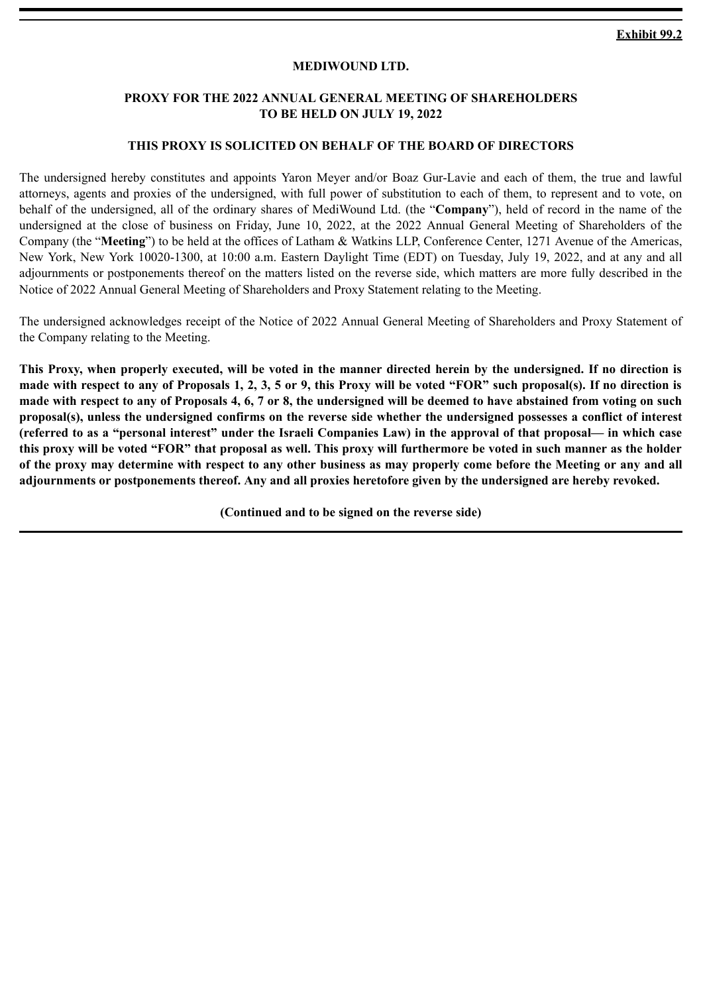# **MEDIWOUND LTD.**

# <span id="page-47-0"></span>**PROXY FOR THE 2022 ANNUAL GENERAL MEETING OF SHAREHOLDERS TO BE HELD ON JULY 19, 2022**

### **THIS PROXY IS SOLICITED ON BEHALF OF THE BOARD OF DIRECTORS**

The undersigned hereby constitutes and appoints Yaron Meyer and/or Boaz Gur-Lavie and each of them, the true and lawful attorneys, agents and proxies of the undersigned, with full power of substitution to each of them, to represent and to vote, on behalf of the undersigned, all of the ordinary shares of MediWound Ltd. (the "**Company**"), held of record in the name of the undersigned at the close of business on Friday, June 10, 2022, at the 2022 Annual General Meeting of Shareholders of the Company (the "**Meeting**") to be held at the offices of Latham & Watkins LLP, Conference Center, 1271 Avenue of the Americas, New York, New York 10020-1300, at 10:00 a.m. Eastern Daylight Time (EDT) on Tuesday, July 19, 2022, and at any and all adjournments or postponements thereof on the matters listed on the reverse side, which matters are more fully described in the Notice of 2022 Annual General Meeting of Shareholders and Proxy Statement relating to the Meeting.

The undersigned acknowledges receipt of the Notice of 2022 Annual General Meeting of Shareholders and Proxy Statement of the Company relating to the Meeting.

**This Proxy, when properly executed, will be voted in the manner directed herein by the undersigned. If no direction is made with respect to any of Proposals 1, 2, 3, 5 or 9, this Proxy will be voted "FOR" such proposal(s). If no direction is made with respect to any of Proposals 4, 6, 7 or 8, the undersigned will be deemed to have abstained from voting on such proposal(s), unless the undersigned confirms on the reverse side whether the undersigned possesses a conflict of interest (referred to as a "personal interest" under the Israeli Companies Law) in the approval of that proposal— in which case this proxy will be voted "FOR" that proposal as well. This proxy will furthermore be voted in such manner as the holder of the proxy may determine with respect to any other business as may properly come before the Meeting or any and all adjournments or postponements thereof. Any and all proxies heretofore given by the undersigned are hereby revoked.**

**(Continued and to be signed on the reverse side)**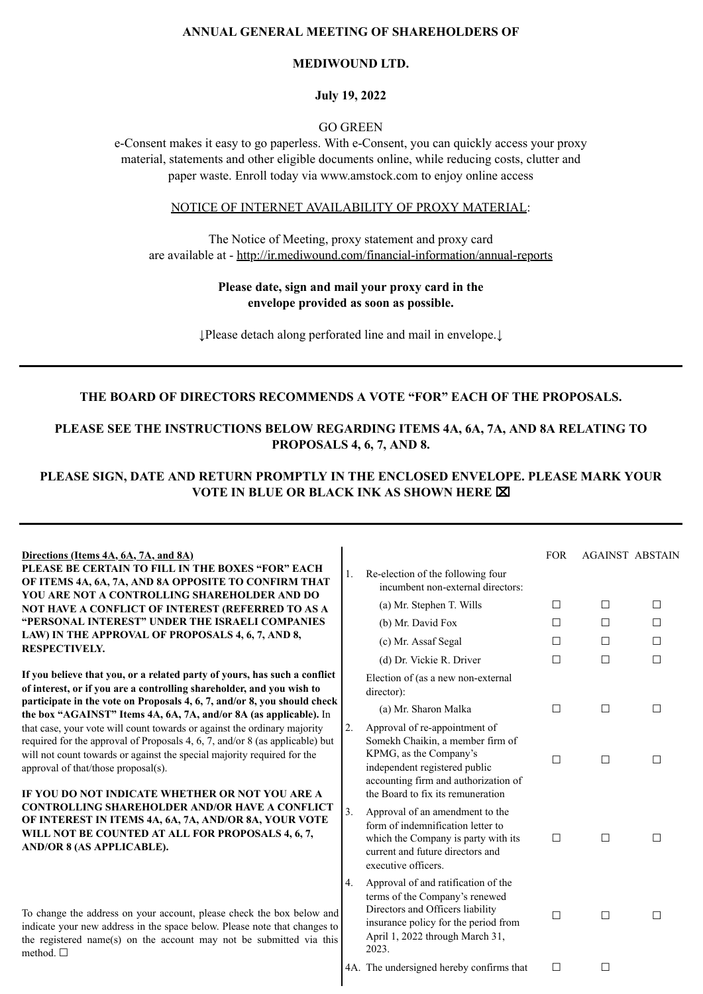# **ANNUAL GENERAL MEETING OF SHAREHOLDERS OF**

### **MEDIWOUND LTD.**

#### **July 19, 2022**

## GO GREEN

e-Consent makes it easy to go paperless. With e-Consent, you can quickly access your proxy material, statements and other eligible documents online, while reducing costs, clutter and paper waste. Enroll today via www.amstock.com to enjoy online access

# NOTICE OF INTERNET AVAILABILITY OF PROXY MATERIAL:

The Notice of Meeting, proxy statement and proxy card are available at - http://ir.mediwound.com/financial-information/annual-reports

### **Please date, sign and mail your proxy card in the envelope provided as soon as possible.**

↓Please detach along perforated line and mail in envelope.↓

# **THE BOARD OF DIRECTORS RECOMMENDS A VOTE "FOR" EACH OF THE PROPOSALS.**

# **PLEASE SEE THE INSTRUCTIONS BELOW REGARDING ITEMS 4A, 6A, 7A, AND 8A RELATING TO PROPOSALS 4, 6, 7, AND 8.**

# **PLEASE SIGN, DATE AND RETURN PROMPTLY IN THE ENCLOSED ENVELOPE. PLEASE MARK YOUR VOTE IN BLUE OR BLACK INK AS SHOWN HERE** ⌧

| <u>Directions (Items 4A, 6A, 7A, and 8A)</u> |  |
|----------------------------------------------|--|
|                                              |  |

**PLEASE BE CERTAIN TO FILL IN THE BOXES "FOR" EACH OF ITEMS 4A, 6A, 7A, AND 8A OPPOSITE TO CONFIRM THAT YOU ARE NOT A CONTROLLING SHAREHOLDER AND DO NOT HAVE A CONFLICT OF INTEREST (REFERRED TO AS A "PERSONAL INTEREST" UNDER THE ISRAELI COMPANIES LAW) IN THE APPROVAL OF PROPOSALS 4, 6, 7, AND 8, RESPECTIVELY.**

**If you believe that you, or a related party of yours, has such a conflict of interest, or if you are a controlling shareholder, and you wish to participate in the vote on Proposals 4, 6, 7, and/or 8, you should check the box "AGAINST" Items 4A, 6A, 7A, and/or 8A (as applicable).** In that case, your vote will count towards or against the ordinary majority required for the approval of Proposals 4, 6, 7, and/or 8 (as applicable) but will not count towards or against the special majority required for the approval of that/those proposal(s).

#### **IF YOU DO NOT INDICATE WHETHER OR NOT YOU ARE A CONTROLLING SHAREHOLDER AND/OR HAVE A CONFLICT OF INTEREST IN ITEMS 4A, 6A, 7A, AND/OR 8A, YOUR VOTE WILL NOT BE COUNTED AT ALL FOR PROPOSALS 4, 6, 7, AND/OR 8 (AS APPLICABLE).**

To change the address on your account, please check the box below and indicate your new address in the space below. Please note that changes to the registered name(s) on the account may not be submitted via this method. ☐

|    |                                                                                                                                                                                                           | <b>FOR</b>   | <b>AGAINST ABSTAIN</b> |   |
|----|-----------------------------------------------------------------------------------------------------------------------------------------------------------------------------------------------------------|--------------|------------------------|---|
| 1. | Re-election of the following four<br>incumbent non-external directors:                                                                                                                                    |              |                        |   |
|    | (a) Mr. Stephen T. Wills                                                                                                                                                                                  | $\mathsf{L}$ | п                      | п |
|    | (b) Mr. David Fox                                                                                                                                                                                         | п            | П                      | п |
|    | (c) Mr. Assaf Segal                                                                                                                                                                                       | П            | П                      | п |
|    | (d) Dr. Vickie R. Driver                                                                                                                                                                                  |              |                        |   |
|    | Election of (as a new non-external<br>director):                                                                                                                                                          |              |                        |   |
|    | (a) Mr. Sharon Malka                                                                                                                                                                                      | П            | п                      | П |
| 2. | Approval of re-appointment of<br>Somekh Chaikin, a member firm of<br>KPMG, as the Company's<br>independent registered public<br>accounting firm and authorization of<br>the Board to fix its remuneration | П            | П                      | П |
| 3. | Approval of an amendment to the<br>form of indemnification letter to<br>which the Company is party with its<br>current and future directors and<br>executive officers.                                    |              |                        |   |
| 4. | Approval of and ratification of the<br>terms of the Company's renewed<br>Directors and Officers liability<br>insurance policy for the period from<br>April 1, 2022 through March 31,<br>2023.             | - 1          |                        |   |
|    | 4A. The undersigned hereby confirms that                                                                                                                                                                  |              |                        |   |